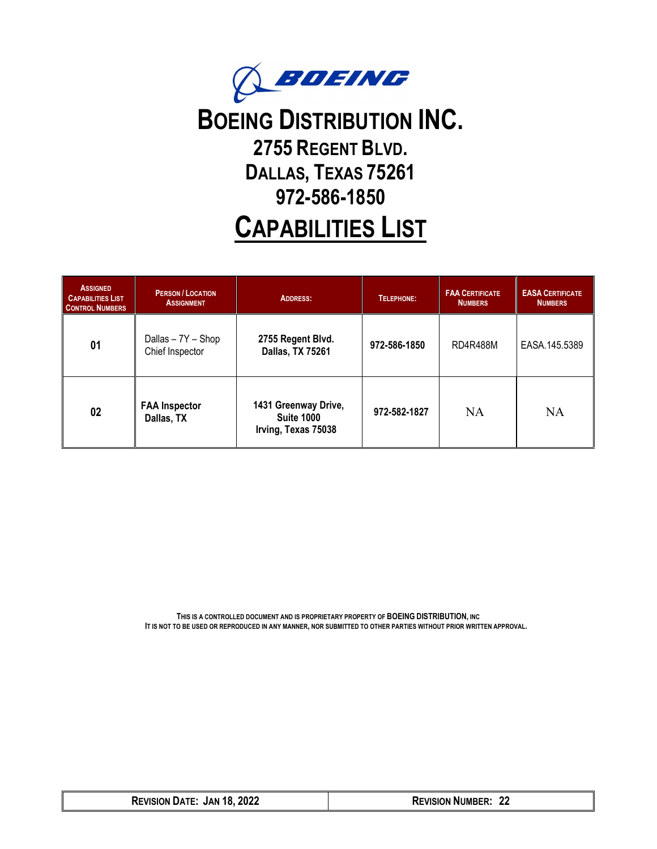

# **BOEING DISTRIBUTION INC. 2755 REGENT BLVD. DALLAS, TEXAS 75261 972-586-1850**

# **CAPABILITIES LIST**

| <b>ASSIGNED</b><br><b>CAPABILITIES LIST</b><br><b>CONTROL NUMBERS</b> | <b>PERSON/LOCATION</b><br><b>ASSIGNMENT</b> | <b>ADDRESS:</b>                                                  | TELEPHONE:   | <b>FAA CERTIFICATE</b><br><b>NUMBERS</b> | <b>EASA CERTIFICATE</b><br><b>NUMBERS</b> |
|-----------------------------------------------------------------------|---------------------------------------------|------------------------------------------------------------------|--------------|------------------------------------------|-------------------------------------------|
| 01                                                                    | Dallas - 7Y - Shop<br>Chief Inspector       | 2755 Regent Blvd.<br>Dallas, TX 75261                            | 972-586-1850 | <b>RD4R488M</b>                          | EASA.145.5389                             |
| 02                                                                    | <b>FAA Inspector</b><br>Dallas, TX          | 1431 Greenway Drive,<br><b>Suite 1000</b><br>Irving, Texas 75038 | 972-582-1827 | NA                                       | <b>NA</b>                                 |

**THIS IS A CONTROLLED DOCUMENT AND IS PROPRIETARY PROPERTY OF BOEING DISTRIBUTION, INC IT IS NOT TO BE USED OR REPRODUCED IN ANY MANNER, NOR SUBMITTED TO OTHER PARTIES WITHOUT PRIOR WRITTEN APPROVAL.**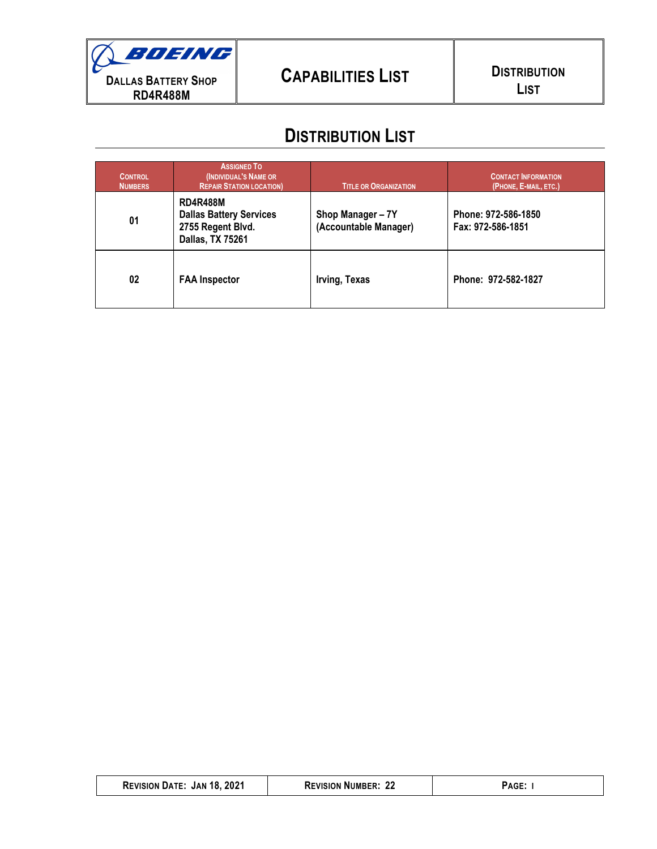# **DISTRIBUTION LIST**

| <b>CONTROL</b><br><b>NUMBERS</b> | <b>ASSIGNED TO</b><br>(INDIVIDUAL'S NAME OR<br><b>REPAIR STATION LOCATION)</b>                    | <b>TITLE OR ORGANIZATION</b>               | <b>CONTACT INFORMATION</b><br>(PHONE, E-MAIL, ETC.) |
|----------------------------------|---------------------------------------------------------------------------------------------------|--------------------------------------------|-----------------------------------------------------|
| 01                               | <b>RD4R488M</b><br><b>Dallas Battery Services</b><br>2755 Regent Blvd.<br><b>Dallas, TX 75261</b> | Shop Manager - 7Y<br>(Accountable Manager) | Phone: 972-586-1850<br>Fax: 972-586-1851            |
| 02                               | <b>FAA Inspector</b>                                                                              | Irving, Texas                              | Phone: 972-582-1827                                 |

| <b>REVISION DATE: JAN 18, 2021</b> | <b>REVISION NUMBER: 22</b> | PAGE: |
|------------------------------------|----------------------------|-------|
|------------------------------------|----------------------------|-------|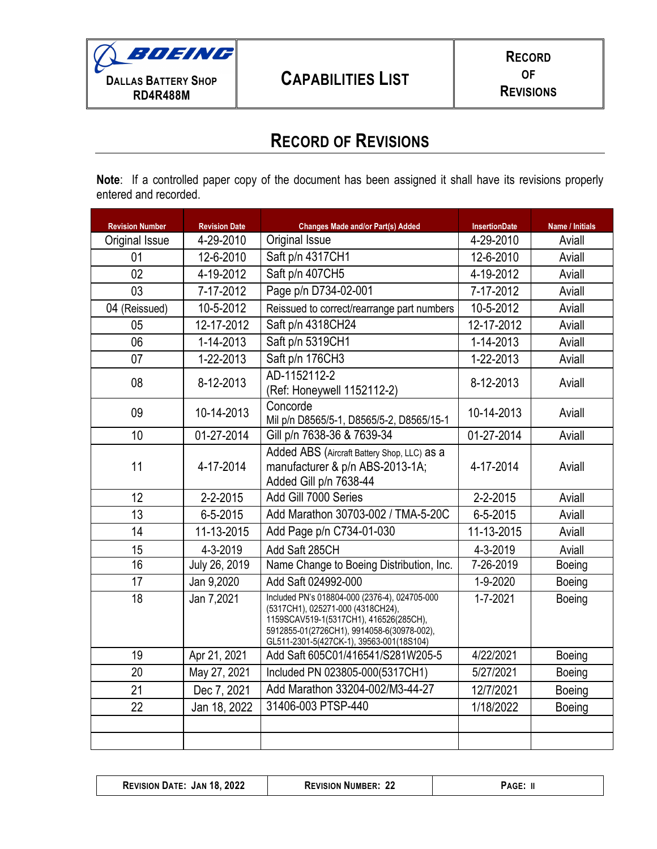## **RECORD OF REVISIONS**

**Note**: If a controlled paper copy of the document has been assigned it shall have its revisions properly entered and recorded.

| <b>Revision Number</b> | <b>Revision Date</b> | <b>Changes Made and/or Part(s) Added</b>                                                                                                                                                                               | <b>InsertionDate</b> | Name / Initials |
|------------------------|----------------------|------------------------------------------------------------------------------------------------------------------------------------------------------------------------------------------------------------------------|----------------------|-----------------|
| Original Issue         | 4-29-2010            | Original Issue                                                                                                                                                                                                         | 4-29-2010            | Aviall          |
| 01                     | 12-6-2010            | Saft p/n 4317CH1                                                                                                                                                                                                       | 12-6-2010            | Aviall          |
| 02                     | 4-19-2012            | Saft p/n 407CH5                                                                                                                                                                                                        | 4-19-2012            | Aviall          |
| 03                     | 7-17-2012            | Page p/n D734-02-001                                                                                                                                                                                                   | 7-17-2012            | Aviall          |
| 04 (Reissued)          | 10-5-2012            | Reissued to correct/rearrange part numbers                                                                                                                                                                             | 10-5-2012            | Aviall          |
| 05                     | 12-17-2012           | Saft p/n 4318CH24                                                                                                                                                                                                      | 12-17-2012           | Aviall          |
| 06                     | 1-14-2013            | Saft p/n 5319CH1                                                                                                                                                                                                       | 1-14-2013            | Aviall          |
| 07                     | 1-22-2013            | Saft p/n 176CH3                                                                                                                                                                                                        | 1-22-2013            | Aviall          |
| 08                     | 8-12-2013            | AD-1152112-2<br>(Ref: Honeywell 1152112-2)                                                                                                                                                                             | 8-12-2013            | Aviall          |
| 09                     | 10-14-2013           | Concorde<br>Mil p/n D8565/5-1, D8565/5-2, D8565/15-1                                                                                                                                                                   | 10-14-2013           | Aviall          |
| 10                     | 01-27-2014           | Gill p/n 7638-36 & 7639-34                                                                                                                                                                                             | 01-27-2014           | Aviall          |
| 11                     | 4-17-2014            | Added ABS (Aircraft Battery Shop, LLC) as a<br>manufacturer & p/n ABS-2013-1A;<br>Added Gill p/n 7638-44                                                                                                               | 4-17-2014            | Aviall          |
| 12                     | 2-2-2015             | Add Gill 7000 Series                                                                                                                                                                                                   | 2-2-2015             | Aviall          |
| 13                     | 6-5-2015             | Add Marathon 30703-002 / TMA-5-20C                                                                                                                                                                                     | 6-5-2015             | Aviall          |
| 14                     | 11-13-2015           | Add Page p/n C734-01-030                                                                                                                                                                                               | 11-13-2015           | Aviall          |
| 15                     | 4-3-2019             | Add Saft 285CH                                                                                                                                                                                                         | 4-3-2019             | Aviall          |
| 16                     | July 26, 2019        | Name Change to Boeing Distribution, Inc.                                                                                                                                                                               | 7-26-2019            | <b>Boeing</b>   |
| 17                     | Jan 9,2020           | Add Saft 024992-000                                                                                                                                                                                                    | 1-9-2020             | Boeing          |
| 18                     | Jan 7,2021           | Included PN's 018804-000 (2376-4), 024705-000<br>(5317CH1), 025271-000 (4318CH24),<br>1159SCAV519-1(5317CH1), 416526(285CH),<br>5912855-01(2726CH1), 9914058-6(30978-002),<br>GL511-2301-5(427CK-1), 39563-001(18S104) | $1 - 7 - 2021$       | Boeing          |
| 19                     | Apr 21, 2021         | Add Saft 605C01/416541/S281W205-5                                                                                                                                                                                      | 4/22/2021            | Boeing          |
| 20                     | May 27, 2021         | Included PN 023805-000(5317CH1)                                                                                                                                                                                        | 5/27/2021            | Boeing          |
| 21                     | Dec 7, 2021          | Add Marathon 33204-002/M3-44-27                                                                                                                                                                                        | 12/7/2021            | Boeing          |
| 22                     | Jan 18, 2022         | 31406-003 PTSP-440                                                                                                                                                                                                     | 1/18/2022            | Boeing          |
|                        |                      |                                                                                                                                                                                                                        |                      |                 |
|                        |                      |                                                                                                                                                                                                                        |                      |                 |

|  | 2022<br><b>JAN 18</b><br><b>REVISION</b><br>DATE: | ^^<br><b>REVISION NUMBER:</b> | ACF |
|--|---------------------------------------------------|-------------------------------|-----|
|--|---------------------------------------------------|-------------------------------|-----|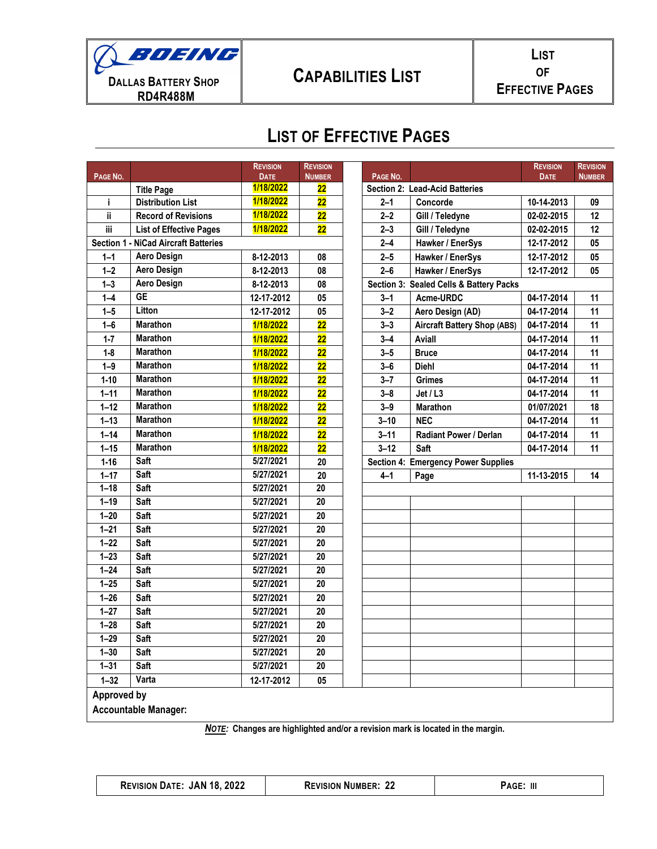

# **CAPABILITIES LIST**

# **LIST OF EFFECTIVE PAGES**

| 1/18/2022<br>$\overline{22}$<br><b>Section 2: Lead-Acid Batteries</b><br><b>Title Page</b><br>1/18/2022<br><b>Distribution List</b><br>$\overline{22}$<br>10-14-2013<br>i.<br>$2 - 1$<br>Concorde<br>09<br>1/18/2022<br>ii.<br>$\overline{22}$<br>$2 - 2$<br><b>Record of Revisions</b><br>Gill / Teledyne<br>02-02-2015<br>12<br>1/18/2022<br>iii<br>$\overline{22}$<br>$2 - 3$<br><b>List of Effective Pages</b><br>Gill / Teledyne<br>02-02-2015<br>12<br><b>Section 1 - NiCad Aircraft Batteries</b><br>$2 - 4$<br>Hawker / EnerSys<br>12-17-2012<br>05<br><b>Aero Design</b><br>08<br>$2 - 5$<br>Hawker / EnerSys<br>12-17-2012<br>05<br>$1 - 1$<br>8-12-2013<br><b>Aero Design</b><br>$1 - 2$<br>$2 - 6$<br>05<br>8-12-2013<br>08<br>Hawker / EnerSys<br>12-17-2012<br><b>Aero Design</b><br>$1 - 3$<br>08<br>Section 3: Sealed Cells & Battery Packs<br>8-12-2013<br><b>GE</b><br>$1 - 4$<br>05<br>Acme-URDC<br>12-17-2012<br>04-17-2014<br>11<br>3–1<br>Litton<br>$1 - 5$<br>12-17-2012<br>05<br>$3 - 2$<br>11<br>Aero Design (AD)<br>04-17-2014<br><b>Marathon</b><br>$\overline{22}$<br>$1 - 6$<br>1/18/2022<br>$3 - 3$<br><b>Aircraft Battery Shop (ABS)</b><br>04-17-2014<br>11<br><b>Marathon</b><br>$\overline{22}$<br>$1 - 7$<br>1/18/2022<br>$3 - 4$<br>Aviall<br>11<br>04-17-2014<br><b>Marathon</b><br>$\overline{22}$<br>$1 - 8$<br>1/18/2022<br>$3 - 5$<br>04-17-2014<br>11<br><b>Bruce</b><br><b>Marathon</b><br>$\overline{22}$<br><b>Diehl</b><br>11<br>$1 - 9$<br>1/18/2022<br>$3 - 6$<br>04-17-2014<br><b>Marathon</b><br>$\overline{22}$<br>$1 - 10$<br>1/18/2022<br>$3 - 7$<br>11<br><b>Grimes</b><br>04-17-2014<br><b>Marathon</b><br>$\overline{22}$<br>11<br>$1 - 11$<br>1/18/2022<br>$3 - 8$<br>Jet / L3<br>04-17-2014<br><b>Marathon</b><br>$\overline{22}$<br>$1 - 12$<br>1/18/2022<br><b>Marathon</b><br>01/07/2021<br>18<br>$3 - 9$<br><b>Marathon</b><br>$\overline{22}$<br>$1 - 13$<br>1/18/2022<br><b>NEC</b><br>11<br>$3 - 10$<br>04-17-2014<br><b>Marathon</b><br>$1 - 14$<br>$\overline{22}$<br>1/18/2022<br>$3 - 11$<br><b>Radiant Power / Derlan</b><br>04-17-2014<br>11<br><b>Marathon</b><br>22<br>$3 - 12$<br>$1 - 15$<br>1/18/2022<br>Saft<br>04-17-2014<br>11<br>Saft<br>5/27/2021<br>$1 - 16$<br><b>Section 4: Emergency Power Supplies</b><br>20<br>Saft<br>5/27/2021<br>$1 - 17$<br>20<br>Page<br>11-13-2015<br>14<br>$4 - 1$<br>$1 - 18$<br>Saft<br>5/27/2021<br>20<br>$1 - 19$<br>Saft<br>5/27/2021<br>20<br>Saft<br>$1 - 20$<br>5/27/2021<br>20<br>$1 - 21$<br>Saft<br>5/27/2021<br>20<br>$1 - 22$<br>Saft<br>20<br>5/27/2021<br>Saft<br>$1 - 23$<br>5/27/2021<br>20<br>$1 - 24$<br>Saft<br>5/27/2021<br>20<br>$1 - 25$<br>Saft<br>5/27/2021<br>20<br>$\overline{20}$<br>$1 - 26$<br>Saft<br>5/27/2021<br>$1 - 27$<br>Saft<br>$\overline{20}$<br>5/27/2021<br>$1 - 28$<br>Saft<br>20<br>5/27/2021<br>$1 - 29$<br>Saft<br>5/27/2021<br>$\overline{20}$<br>$1 - 30$<br>Saft<br>5/27/2021<br>20<br>Saft<br>5/27/2021<br>$1 - 31$<br>20<br>Varta<br>$1 - 32$<br>12-17-2012<br>$05\,$<br>Approved by | PAGE NO. | <b>REVISION</b><br><b>DATE</b> | <b>REVISION</b><br><b>NUMBER</b> | PAGE NO. | <b>REVISION</b><br><b>DATE</b> | <b>REVISION</b><br><b>NUMBER</b> |
|-------------------------------------------------------------------------------------------------------------------------------------------------------------------------------------------------------------------------------------------------------------------------------------------------------------------------------------------------------------------------------------------------------------------------------------------------------------------------------------------------------------------------------------------------------------------------------------------------------------------------------------------------------------------------------------------------------------------------------------------------------------------------------------------------------------------------------------------------------------------------------------------------------------------------------------------------------------------------------------------------------------------------------------------------------------------------------------------------------------------------------------------------------------------------------------------------------------------------------------------------------------------------------------------------------------------------------------------------------------------------------------------------------------------------------------------------------------------------------------------------------------------------------------------------------------------------------------------------------------------------------------------------------------------------------------------------------------------------------------------------------------------------------------------------------------------------------------------------------------------------------------------------------------------------------------------------------------------------------------------------------------------------------------------------------------------------------------------------------------------------------------------------------------------------------------------------------------------------------------------------------------------------------------------------------------------------------------------------------------------------------------------------------------------------------------------------------------------------------------------------------------------------------------------------------------------------------------------------------------------------------------------------------------------------------------------------------------------------------------------------------------------------------------------------------------------------------------------------------------------------------------------------------------------------------------------------------------------------------------------------------------------------------------------------------|----------|--------------------------------|----------------------------------|----------|--------------------------------|----------------------------------|
|                                                                                                                                                                                                                                                                                                                                                                                                                                                                                                                                                                                                                                                                                                                                                                                                                                                                                                                                                                                                                                                                                                                                                                                                                                                                                                                                                                                                                                                                                                                                                                                                                                                                                                                                                                                                                                                                                                                                                                                                                                                                                                                                                                                                                                                                                                                                                                                                                                                                                                                                                                                                                                                                                                                                                                                                                                                                                                                                                                                                                                                       |          |                                |                                  |          |                                |                                  |
|                                                                                                                                                                                                                                                                                                                                                                                                                                                                                                                                                                                                                                                                                                                                                                                                                                                                                                                                                                                                                                                                                                                                                                                                                                                                                                                                                                                                                                                                                                                                                                                                                                                                                                                                                                                                                                                                                                                                                                                                                                                                                                                                                                                                                                                                                                                                                                                                                                                                                                                                                                                                                                                                                                                                                                                                                                                                                                                                                                                                                                                       |          |                                |                                  |          |                                |                                  |
|                                                                                                                                                                                                                                                                                                                                                                                                                                                                                                                                                                                                                                                                                                                                                                                                                                                                                                                                                                                                                                                                                                                                                                                                                                                                                                                                                                                                                                                                                                                                                                                                                                                                                                                                                                                                                                                                                                                                                                                                                                                                                                                                                                                                                                                                                                                                                                                                                                                                                                                                                                                                                                                                                                                                                                                                                                                                                                                                                                                                                                                       |          |                                |                                  |          |                                |                                  |
|                                                                                                                                                                                                                                                                                                                                                                                                                                                                                                                                                                                                                                                                                                                                                                                                                                                                                                                                                                                                                                                                                                                                                                                                                                                                                                                                                                                                                                                                                                                                                                                                                                                                                                                                                                                                                                                                                                                                                                                                                                                                                                                                                                                                                                                                                                                                                                                                                                                                                                                                                                                                                                                                                                                                                                                                                                                                                                                                                                                                                                                       |          |                                |                                  |          |                                |                                  |
|                                                                                                                                                                                                                                                                                                                                                                                                                                                                                                                                                                                                                                                                                                                                                                                                                                                                                                                                                                                                                                                                                                                                                                                                                                                                                                                                                                                                                                                                                                                                                                                                                                                                                                                                                                                                                                                                                                                                                                                                                                                                                                                                                                                                                                                                                                                                                                                                                                                                                                                                                                                                                                                                                                                                                                                                                                                                                                                                                                                                                                                       |          |                                |                                  |          |                                |                                  |
|                                                                                                                                                                                                                                                                                                                                                                                                                                                                                                                                                                                                                                                                                                                                                                                                                                                                                                                                                                                                                                                                                                                                                                                                                                                                                                                                                                                                                                                                                                                                                                                                                                                                                                                                                                                                                                                                                                                                                                                                                                                                                                                                                                                                                                                                                                                                                                                                                                                                                                                                                                                                                                                                                                                                                                                                                                                                                                                                                                                                                                                       |          |                                |                                  |          |                                |                                  |
|                                                                                                                                                                                                                                                                                                                                                                                                                                                                                                                                                                                                                                                                                                                                                                                                                                                                                                                                                                                                                                                                                                                                                                                                                                                                                                                                                                                                                                                                                                                                                                                                                                                                                                                                                                                                                                                                                                                                                                                                                                                                                                                                                                                                                                                                                                                                                                                                                                                                                                                                                                                                                                                                                                                                                                                                                                                                                                                                                                                                                                                       |          |                                |                                  |          |                                |                                  |
|                                                                                                                                                                                                                                                                                                                                                                                                                                                                                                                                                                                                                                                                                                                                                                                                                                                                                                                                                                                                                                                                                                                                                                                                                                                                                                                                                                                                                                                                                                                                                                                                                                                                                                                                                                                                                                                                                                                                                                                                                                                                                                                                                                                                                                                                                                                                                                                                                                                                                                                                                                                                                                                                                                                                                                                                                                                                                                                                                                                                                                                       |          |                                |                                  |          |                                |                                  |
|                                                                                                                                                                                                                                                                                                                                                                                                                                                                                                                                                                                                                                                                                                                                                                                                                                                                                                                                                                                                                                                                                                                                                                                                                                                                                                                                                                                                                                                                                                                                                                                                                                                                                                                                                                                                                                                                                                                                                                                                                                                                                                                                                                                                                                                                                                                                                                                                                                                                                                                                                                                                                                                                                                                                                                                                                                                                                                                                                                                                                                                       |          |                                |                                  |          |                                |                                  |
|                                                                                                                                                                                                                                                                                                                                                                                                                                                                                                                                                                                                                                                                                                                                                                                                                                                                                                                                                                                                                                                                                                                                                                                                                                                                                                                                                                                                                                                                                                                                                                                                                                                                                                                                                                                                                                                                                                                                                                                                                                                                                                                                                                                                                                                                                                                                                                                                                                                                                                                                                                                                                                                                                                                                                                                                                                                                                                                                                                                                                                                       |          |                                |                                  |          |                                |                                  |
|                                                                                                                                                                                                                                                                                                                                                                                                                                                                                                                                                                                                                                                                                                                                                                                                                                                                                                                                                                                                                                                                                                                                                                                                                                                                                                                                                                                                                                                                                                                                                                                                                                                                                                                                                                                                                                                                                                                                                                                                                                                                                                                                                                                                                                                                                                                                                                                                                                                                                                                                                                                                                                                                                                                                                                                                                                                                                                                                                                                                                                                       |          |                                |                                  |          |                                |                                  |
|                                                                                                                                                                                                                                                                                                                                                                                                                                                                                                                                                                                                                                                                                                                                                                                                                                                                                                                                                                                                                                                                                                                                                                                                                                                                                                                                                                                                                                                                                                                                                                                                                                                                                                                                                                                                                                                                                                                                                                                                                                                                                                                                                                                                                                                                                                                                                                                                                                                                                                                                                                                                                                                                                                                                                                                                                                                                                                                                                                                                                                                       |          |                                |                                  |          |                                |                                  |
|                                                                                                                                                                                                                                                                                                                                                                                                                                                                                                                                                                                                                                                                                                                                                                                                                                                                                                                                                                                                                                                                                                                                                                                                                                                                                                                                                                                                                                                                                                                                                                                                                                                                                                                                                                                                                                                                                                                                                                                                                                                                                                                                                                                                                                                                                                                                                                                                                                                                                                                                                                                                                                                                                                                                                                                                                                                                                                                                                                                                                                                       |          |                                |                                  |          |                                |                                  |
|                                                                                                                                                                                                                                                                                                                                                                                                                                                                                                                                                                                                                                                                                                                                                                                                                                                                                                                                                                                                                                                                                                                                                                                                                                                                                                                                                                                                                                                                                                                                                                                                                                                                                                                                                                                                                                                                                                                                                                                                                                                                                                                                                                                                                                                                                                                                                                                                                                                                                                                                                                                                                                                                                                                                                                                                                                                                                                                                                                                                                                                       |          |                                |                                  |          |                                |                                  |
|                                                                                                                                                                                                                                                                                                                                                                                                                                                                                                                                                                                                                                                                                                                                                                                                                                                                                                                                                                                                                                                                                                                                                                                                                                                                                                                                                                                                                                                                                                                                                                                                                                                                                                                                                                                                                                                                                                                                                                                                                                                                                                                                                                                                                                                                                                                                                                                                                                                                                                                                                                                                                                                                                                                                                                                                                                                                                                                                                                                                                                                       |          |                                |                                  |          |                                |                                  |
|                                                                                                                                                                                                                                                                                                                                                                                                                                                                                                                                                                                                                                                                                                                                                                                                                                                                                                                                                                                                                                                                                                                                                                                                                                                                                                                                                                                                                                                                                                                                                                                                                                                                                                                                                                                                                                                                                                                                                                                                                                                                                                                                                                                                                                                                                                                                                                                                                                                                                                                                                                                                                                                                                                                                                                                                                                                                                                                                                                                                                                                       |          |                                |                                  |          |                                |                                  |
|                                                                                                                                                                                                                                                                                                                                                                                                                                                                                                                                                                                                                                                                                                                                                                                                                                                                                                                                                                                                                                                                                                                                                                                                                                                                                                                                                                                                                                                                                                                                                                                                                                                                                                                                                                                                                                                                                                                                                                                                                                                                                                                                                                                                                                                                                                                                                                                                                                                                                                                                                                                                                                                                                                                                                                                                                                                                                                                                                                                                                                                       |          |                                |                                  |          |                                |                                  |
|                                                                                                                                                                                                                                                                                                                                                                                                                                                                                                                                                                                                                                                                                                                                                                                                                                                                                                                                                                                                                                                                                                                                                                                                                                                                                                                                                                                                                                                                                                                                                                                                                                                                                                                                                                                                                                                                                                                                                                                                                                                                                                                                                                                                                                                                                                                                                                                                                                                                                                                                                                                                                                                                                                                                                                                                                                                                                                                                                                                                                                                       |          |                                |                                  |          |                                |                                  |
|                                                                                                                                                                                                                                                                                                                                                                                                                                                                                                                                                                                                                                                                                                                                                                                                                                                                                                                                                                                                                                                                                                                                                                                                                                                                                                                                                                                                                                                                                                                                                                                                                                                                                                                                                                                                                                                                                                                                                                                                                                                                                                                                                                                                                                                                                                                                                                                                                                                                                                                                                                                                                                                                                                                                                                                                                                                                                                                                                                                                                                                       |          |                                |                                  |          |                                |                                  |
|                                                                                                                                                                                                                                                                                                                                                                                                                                                                                                                                                                                                                                                                                                                                                                                                                                                                                                                                                                                                                                                                                                                                                                                                                                                                                                                                                                                                                                                                                                                                                                                                                                                                                                                                                                                                                                                                                                                                                                                                                                                                                                                                                                                                                                                                                                                                                                                                                                                                                                                                                                                                                                                                                                                                                                                                                                                                                                                                                                                                                                                       |          |                                |                                  |          |                                |                                  |
|                                                                                                                                                                                                                                                                                                                                                                                                                                                                                                                                                                                                                                                                                                                                                                                                                                                                                                                                                                                                                                                                                                                                                                                                                                                                                                                                                                                                                                                                                                                                                                                                                                                                                                                                                                                                                                                                                                                                                                                                                                                                                                                                                                                                                                                                                                                                                                                                                                                                                                                                                                                                                                                                                                                                                                                                                                                                                                                                                                                                                                                       |          |                                |                                  |          |                                |                                  |
|                                                                                                                                                                                                                                                                                                                                                                                                                                                                                                                                                                                                                                                                                                                                                                                                                                                                                                                                                                                                                                                                                                                                                                                                                                                                                                                                                                                                                                                                                                                                                                                                                                                                                                                                                                                                                                                                                                                                                                                                                                                                                                                                                                                                                                                                                                                                                                                                                                                                                                                                                                                                                                                                                                                                                                                                                                                                                                                                                                                                                                                       |          |                                |                                  |          |                                |                                  |
|                                                                                                                                                                                                                                                                                                                                                                                                                                                                                                                                                                                                                                                                                                                                                                                                                                                                                                                                                                                                                                                                                                                                                                                                                                                                                                                                                                                                                                                                                                                                                                                                                                                                                                                                                                                                                                                                                                                                                                                                                                                                                                                                                                                                                                                                                                                                                                                                                                                                                                                                                                                                                                                                                                                                                                                                                                                                                                                                                                                                                                                       |          |                                |                                  |          |                                |                                  |
|                                                                                                                                                                                                                                                                                                                                                                                                                                                                                                                                                                                                                                                                                                                                                                                                                                                                                                                                                                                                                                                                                                                                                                                                                                                                                                                                                                                                                                                                                                                                                                                                                                                                                                                                                                                                                                                                                                                                                                                                                                                                                                                                                                                                                                                                                                                                                                                                                                                                                                                                                                                                                                                                                                                                                                                                                                                                                                                                                                                                                                                       |          |                                |                                  |          |                                |                                  |
|                                                                                                                                                                                                                                                                                                                                                                                                                                                                                                                                                                                                                                                                                                                                                                                                                                                                                                                                                                                                                                                                                                                                                                                                                                                                                                                                                                                                                                                                                                                                                                                                                                                                                                                                                                                                                                                                                                                                                                                                                                                                                                                                                                                                                                                                                                                                                                                                                                                                                                                                                                                                                                                                                                                                                                                                                                                                                                                                                                                                                                                       |          |                                |                                  |          |                                |                                  |
|                                                                                                                                                                                                                                                                                                                                                                                                                                                                                                                                                                                                                                                                                                                                                                                                                                                                                                                                                                                                                                                                                                                                                                                                                                                                                                                                                                                                                                                                                                                                                                                                                                                                                                                                                                                                                                                                                                                                                                                                                                                                                                                                                                                                                                                                                                                                                                                                                                                                                                                                                                                                                                                                                                                                                                                                                                                                                                                                                                                                                                                       |          |                                |                                  |          |                                |                                  |
|                                                                                                                                                                                                                                                                                                                                                                                                                                                                                                                                                                                                                                                                                                                                                                                                                                                                                                                                                                                                                                                                                                                                                                                                                                                                                                                                                                                                                                                                                                                                                                                                                                                                                                                                                                                                                                                                                                                                                                                                                                                                                                                                                                                                                                                                                                                                                                                                                                                                                                                                                                                                                                                                                                                                                                                                                                                                                                                                                                                                                                                       |          |                                |                                  |          |                                |                                  |
|                                                                                                                                                                                                                                                                                                                                                                                                                                                                                                                                                                                                                                                                                                                                                                                                                                                                                                                                                                                                                                                                                                                                                                                                                                                                                                                                                                                                                                                                                                                                                                                                                                                                                                                                                                                                                                                                                                                                                                                                                                                                                                                                                                                                                                                                                                                                                                                                                                                                                                                                                                                                                                                                                                                                                                                                                                                                                                                                                                                                                                                       |          |                                |                                  |          |                                |                                  |
|                                                                                                                                                                                                                                                                                                                                                                                                                                                                                                                                                                                                                                                                                                                                                                                                                                                                                                                                                                                                                                                                                                                                                                                                                                                                                                                                                                                                                                                                                                                                                                                                                                                                                                                                                                                                                                                                                                                                                                                                                                                                                                                                                                                                                                                                                                                                                                                                                                                                                                                                                                                                                                                                                                                                                                                                                                                                                                                                                                                                                                                       |          |                                |                                  |          |                                |                                  |
|                                                                                                                                                                                                                                                                                                                                                                                                                                                                                                                                                                                                                                                                                                                                                                                                                                                                                                                                                                                                                                                                                                                                                                                                                                                                                                                                                                                                                                                                                                                                                                                                                                                                                                                                                                                                                                                                                                                                                                                                                                                                                                                                                                                                                                                                                                                                                                                                                                                                                                                                                                                                                                                                                                                                                                                                                                                                                                                                                                                                                                                       |          |                                |                                  |          |                                |                                  |
|                                                                                                                                                                                                                                                                                                                                                                                                                                                                                                                                                                                                                                                                                                                                                                                                                                                                                                                                                                                                                                                                                                                                                                                                                                                                                                                                                                                                                                                                                                                                                                                                                                                                                                                                                                                                                                                                                                                                                                                                                                                                                                                                                                                                                                                                                                                                                                                                                                                                                                                                                                                                                                                                                                                                                                                                                                                                                                                                                                                                                                                       |          |                                |                                  |          |                                |                                  |
|                                                                                                                                                                                                                                                                                                                                                                                                                                                                                                                                                                                                                                                                                                                                                                                                                                                                                                                                                                                                                                                                                                                                                                                                                                                                                                                                                                                                                                                                                                                                                                                                                                                                                                                                                                                                                                                                                                                                                                                                                                                                                                                                                                                                                                                                                                                                                                                                                                                                                                                                                                                                                                                                                                                                                                                                                                                                                                                                                                                                                                                       |          |                                |                                  |          |                                |                                  |
|                                                                                                                                                                                                                                                                                                                                                                                                                                                                                                                                                                                                                                                                                                                                                                                                                                                                                                                                                                                                                                                                                                                                                                                                                                                                                                                                                                                                                                                                                                                                                                                                                                                                                                                                                                                                                                                                                                                                                                                                                                                                                                                                                                                                                                                                                                                                                                                                                                                                                                                                                                                                                                                                                                                                                                                                                                                                                                                                                                                                                                                       |          |                                |                                  |          |                                |                                  |
|                                                                                                                                                                                                                                                                                                                                                                                                                                                                                                                                                                                                                                                                                                                                                                                                                                                                                                                                                                                                                                                                                                                                                                                                                                                                                                                                                                                                                                                                                                                                                                                                                                                                                                                                                                                                                                                                                                                                                                                                                                                                                                                                                                                                                                                                                                                                                                                                                                                                                                                                                                                                                                                                                                                                                                                                                                                                                                                                                                                                                                                       |          |                                |                                  |          |                                |                                  |
|                                                                                                                                                                                                                                                                                                                                                                                                                                                                                                                                                                                                                                                                                                                                                                                                                                                                                                                                                                                                                                                                                                                                                                                                                                                                                                                                                                                                                                                                                                                                                                                                                                                                                                                                                                                                                                                                                                                                                                                                                                                                                                                                                                                                                                                                                                                                                                                                                                                                                                                                                                                                                                                                                                                                                                                                                                                                                                                                                                                                                                                       |          |                                |                                  |          |                                |                                  |
|                                                                                                                                                                                                                                                                                                                                                                                                                                                                                                                                                                                                                                                                                                                                                                                                                                                                                                                                                                                                                                                                                                                                                                                                                                                                                                                                                                                                                                                                                                                                                                                                                                                                                                                                                                                                                                                                                                                                                                                                                                                                                                                                                                                                                                                                                                                                                                                                                                                                                                                                                                                                                                                                                                                                                                                                                                                                                                                                                                                                                                                       |          |                                |                                  |          |                                |                                  |
|                                                                                                                                                                                                                                                                                                                                                                                                                                                                                                                                                                                                                                                                                                                                                                                                                                                                                                                                                                                                                                                                                                                                                                                                                                                                                                                                                                                                                                                                                                                                                                                                                                                                                                                                                                                                                                                                                                                                                                                                                                                                                                                                                                                                                                                                                                                                                                                                                                                                                                                                                                                                                                                                                                                                                                                                                                                                                                                                                                                                                                                       |          |                                |                                  |          |                                |                                  |
|                                                                                                                                                                                                                                                                                                                                                                                                                                                                                                                                                                                                                                                                                                                                                                                                                                                                                                                                                                                                                                                                                                                                                                                                                                                                                                                                                                                                                                                                                                                                                                                                                                                                                                                                                                                                                                                                                                                                                                                                                                                                                                                                                                                                                                                                                                                                                                                                                                                                                                                                                                                                                                                                                                                                                                                                                                                                                                                                                                                                                                                       |          |                                |                                  |          |                                |                                  |
| Accountable Manager:                                                                                                                                                                                                                                                                                                                                                                                                                                                                                                                                                                                                                                                                                                                                                                                                                                                                                                                                                                                                                                                                                                                                                                                                                                                                                                                                                                                                                                                                                                                                                                                                                                                                                                                                                                                                                                                                                                                                                                                                                                                                                                                                                                                                                                                                                                                                                                                                                                                                                                                                                                                                                                                                                                                                                                                                                                                                                                                                                                                                                                  |          |                                |                                  |          |                                |                                  |
| NOTE: Changes are highlighted and/or a revision mark is located in the margin.                                                                                                                                                                                                                                                                                                                                                                                                                                                                                                                                                                                                                                                                                                                                                                                                                                                                                                                                                                                                                                                                                                                                                                                                                                                                                                                                                                                                                                                                                                                                                                                                                                                                                                                                                                                                                                                                                                                                                                                                                                                                                                                                                                                                                                                                                                                                                                                                                                                                                                                                                                                                                                                                                                                                                                                                                                                                                                                                                                        |          |                                |                                  |          |                                |                                  |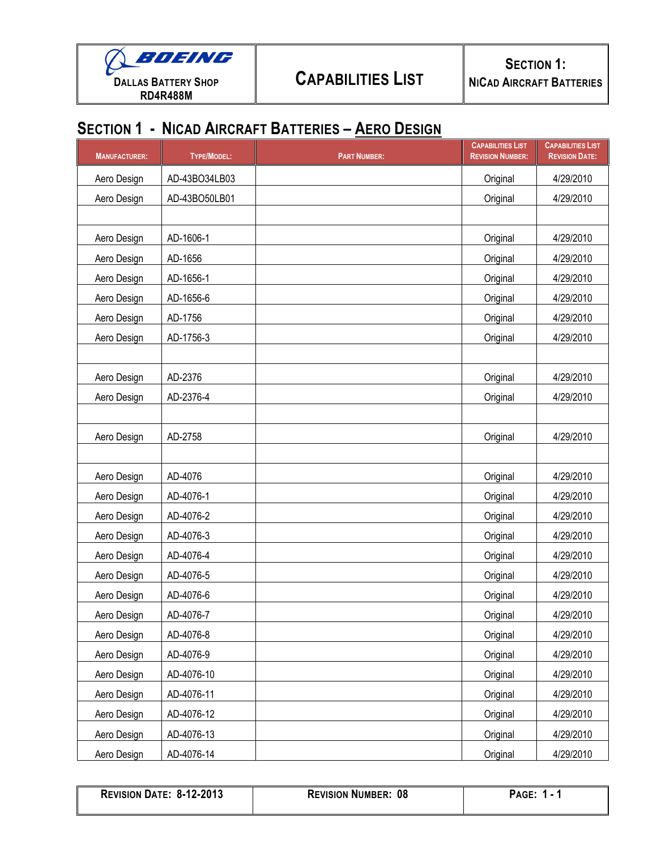

## **SECTION 1 - NICAD AIRCRAFT BATTERIES – AERO DESIGN**

| <b>MANUFACTURER:</b> | <b>TYPE/MODEL:</b> | <b>PART NUMBER:</b> | <b>CAPABILITIES LIST</b><br><b>REVISION NUMBER:</b> | <b>CAPABILITIES LIST</b><br><b>REVISION DATE:</b> |
|----------------------|--------------------|---------------------|-----------------------------------------------------|---------------------------------------------------|
| Aero Design          | AD-43BO34LB03      |                     | Original                                            | 4/29/2010                                         |
| Aero Design          | AD-43BO50LB01      |                     | Original                                            | 4/29/2010                                         |
|                      |                    |                     |                                                     |                                                   |
| Aero Design          | AD-1606-1          |                     | Original                                            | 4/29/2010                                         |
| Aero Design          | AD-1656            |                     | Original                                            | 4/29/2010                                         |
| Aero Design          | AD-1656-1          |                     | Original                                            | 4/29/2010                                         |
| Aero Design          | AD-1656-6          |                     | Original                                            | 4/29/2010                                         |
| Aero Design          | AD-1756            |                     | Original                                            | 4/29/2010                                         |
| Aero Design          | AD-1756-3          |                     | Original                                            | 4/29/2010                                         |
|                      |                    |                     |                                                     |                                                   |
| Aero Design          | AD-2376            |                     | Original                                            | 4/29/2010                                         |
| Aero Design          | AD-2376-4          |                     | Original                                            | 4/29/2010                                         |
|                      |                    |                     |                                                     |                                                   |
| Aero Design          | AD-2758            |                     | Original                                            | 4/29/2010                                         |
|                      |                    |                     |                                                     |                                                   |
| Aero Design          | AD-4076            |                     | Original                                            | 4/29/2010                                         |
| Aero Design          | AD-4076-1          |                     | Original                                            | 4/29/2010                                         |
| Aero Design          | AD-4076-2          |                     | Original                                            | 4/29/2010                                         |
| Aero Design          | AD-4076-3          |                     | Original                                            | 4/29/2010                                         |
| Aero Design          | AD-4076-4          |                     | Original                                            | 4/29/2010                                         |
| Aero Design          | AD-4076-5          |                     | Original                                            | 4/29/2010                                         |
| Aero Design          | AD-4076-6          |                     | Original                                            | 4/29/2010                                         |
| Aero Design          | AD-4076-7          |                     | Original                                            | 4/29/2010                                         |
| Aero Design          | AD-4076-8          |                     | Original                                            | 4/29/2010                                         |
| Aero Design          | AD-4076-9          |                     | Original                                            | 4/29/2010                                         |
| Aero Design          | AD-4076-10         |                     | Original                                            | 4/29/2010                                         |
| Aero Design          | AD-4076-11         |                     | Original                                            | 4/29/2010                                         |
| Aero Design          | AD-4076-12         |                     | Original                                            | 4/29/2010                                         |
| Aero Design          | AD-4076-13         |                     | Original                                            | 4/29/2010                                         |
| Aero Design          | AD-4076-14         |                     | Original                                            | 4/29/2010                                         |

| <b>REVISION DATE: 8-12-2013</b> | <b>REVISION NUMBER: 08</b> | <b>PAGE: 1 - 1</b> |
|---------------------------------|----------------------------|--------------------|
|                                 |                            |                    |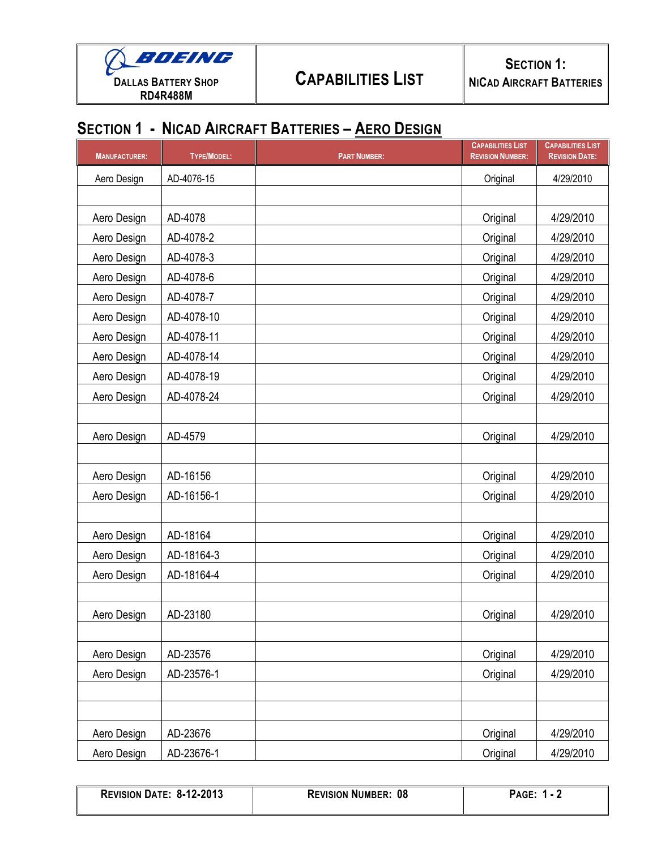

## **SECTION 1 - NICAD AIRCRAFT BATTERIES – AERO DESIGN**

| <b>MANUFACTURER:</b> | <b>TYPE/MODEL:</b> | <b>PART NUMBER:</b> | <b>CAPABILITIES LIST</b><br><b>REVISION NUMBER:</b> | <b>CAPABILITIES LIST</b><br><b>REVISION DATE:</b> |
|----------------------|--------------------|---------------------|-----------------------------------------------------|---------------------------------------------------|
| Aero Design          | AD-4076-15         |                     | Original                                            | 4/29/2010                                         |
|                      |                    |                     |                                                     |                                                   |
| Aero Design          | AD-4078            |                     | Original                                            | 4/29/2010                                         |
| Aero Design          | AD-4078-2          |                     | Original                                            | 4/29/2010                                         |
| Aero Design          | AD-4078-3          |                     | Original                                            | 4/29/2010                                         |
| Aero Design          | AD-4078-6          |                     | Original                                            | 4/29/2010                                         |
| Aero Design          | AD-4078-7          |                     | Original                                            | 4/29/2010                                         |
| Aero Design          | AD-4078-10         |                     | Original                                            | 4/29/2010                                         |
| Aero Design          | AD-4078-11         |                     | Original                                            | 4/29/2010                                         |
| Aero Design          | AD-4078-14         |                     | Original                                            | 4/29/2010                                         |
| Aero Design          | AD-4078-19         |                     | Original                                            | 4/29/2010                                         |
| Aero Design          | AD-4078-24         |                     | Original                                            | 4/29/2010                                         |
|                      |                    |                     |                                                     |                                                   |
| Aero Design          | AD-4579            |                     | Original                                            | 4/29/2010                                         |
|                      |                    |                     |                                                     |                                                   |
| Aero Design          | AD-16156           |                     | Original                                            | 4/29/2010                                         |
| Aero Design          | AD-16156-1         |                     | Original                                            | 4/29/2010                                         |
|                      |                    |                     |                                                     |                                                   |
| Aero Design          | AD-18164           |                     | Original                                            | 4/29/2010                                         |
| Aero Design          | AD-18164-3         |                     | Original                                            | 4/29/2010                                         |
| Aero Design          | AD-18164-4         |                     | Original                                            | 4/29/2010                                         |
|                      |                    |                     |                                                     |                                                   |
| Aero Design          | AD-23180           |                     | Original                                            | 4/29/2010                                         |
|                      |                    |                     |                                                     |                                                   |
| Aero Design          | AD-23576           |                     | Original                                            | 4/29/2010                                         |
| Aero Design          | AD-23576-1         |                     | Original                                            | 4/29/2010                                         |
|                      |                    |                     |                                                     |                                                   |
|                      |                    |                     |                                                     |                                                   |
| Aero Design          | AD-23676           |                     | Original                                            | 4/29/2010                                         |
| Aero Design          | AD-23676-1         |                     | Original                                            | 4/29/2010                                         |

| <b>REVISION DATE: 8-12-2013</b> | <b>REVISION NUMBER: 08</b> | <b>PAGE: 1 - 2</b> |
|---------------------------------|----------------------------|--------------------|
|                                 |                            |                    |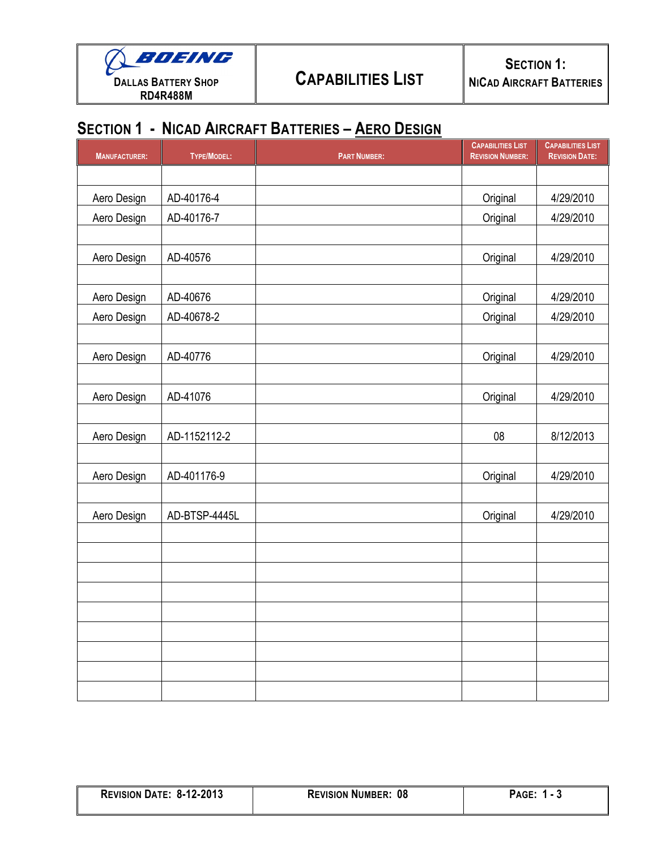

## **SECTION 1 - NICAD AIRCRAFT BATTERIES – AERO DESIGN**

| <b>MANUFACTURER:</b> | <b>TYPE/MODEL:</b> | <b>PART NUMBER:</b> | <b>CAPABILITIES LIST</b><br><b>REVISION NUMBER:</b> | <b>CAPABILITIES LIST</b><br><b>REVISION DATE:</b> |  |
|----------------------|--------------------|---------------------|-----------------------------------------------------|---------------------------------------------------|--|
|                      |                    |                     |                                                     |                                                   |  |
| Aero Design          | AD-40176-4         |                     | Original                                            | 4/29/2010                                         |  |
| Aero Design          | AD-40176-7         |                     | Original                                            | 4/29/2010                                         |  |
|                      |                    |                     |                                                     |                                                   |  |
| Aero Design          | AD-40576           |                     | Original                                            | 4/29/2010                                         |  |
|                      |                    |                     |                                                     |                                                   |  |
| Aero Design          | AD-40676           |                     | Original                                            | 4/29/2010                                         |  |
| Aero Design          | AD-40678-2         |                     | Original                                            | 4/29/2010                                         |  |
| Aero Design          | AD-40776           |                     | Original                                            | 4/29/2010                                         |  |
| Aero Design          | AD-41076           |                     | Original                                            | 4/29/2010                                         |  |
| Aero Design          | AD-1152112-2       |                     | 08                                                  | 8/12/2013                                         |  |
| Aero Design          | AD-401176-9        |                     | Original                                            | 4/29/2010                                         |  |
| Aero Design          | AD-BTSP-4445L      |                     | Original                                            | 4/29/2010                                         |  |
|                      |                    |                     |                                                     |                                                   |  |
|                      |                    |                     |                                                     |                                                   |  |
|                      |                    |                     |                                                     |                                                   |  |
|                      |                    |                     |                                                     |                                                   |  |
|                      |                    |                     |                                                     |                                                   |  |
|                      |                    |                     |                                                     |                                                   |  |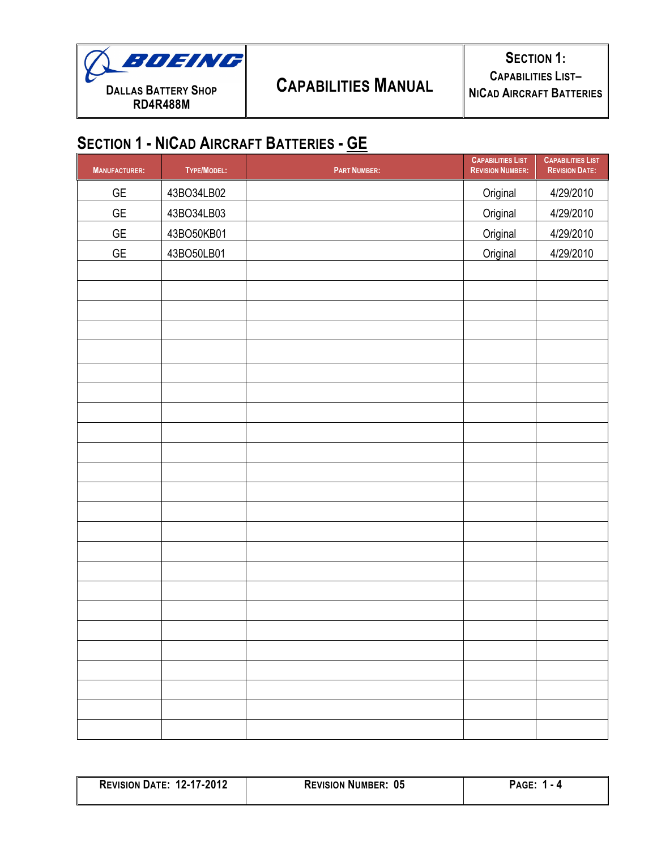

| <b>MANUFACTURER:</b> | TYPE/MODEL: | <b>PART NUMBER:</b> | <b>CAPABILITIES LIST</b><br><b>REVISION NUMBER:</b> | <b>CAPABILITIES LIST</b><br><b>REVISION DATE:</b> |
|----------------------|-------------|---------------------|-----------------------------------------------------|---------------------------------------------------|
| $\mathsf{GE}$        | 43BO34LB02  |                     | Original                                            | 4/29/2010                                         |
| $\mathsf{GE}$        | 43BO34LB03  |                     | Original                                            | 4/29/2010                                         |
| $\mathsf{GE}$        | 43BO50KB01  |                     | Original                                            | 4/29/2010                                         |
| $\mathsf{GE}$        | 43BO50LB01  |                     | Original                                            | 4/29/2010                                         |
|                      |             |                     |                                                     |                                                   |
|                      |             |                     |                                                     |                                                   |
|                      |             |                     |                                                     |                                                   |
|                      |             |                     |                                                     |                                                   |
|                      |             |                     |                                                     |                                                   |
|                      |             |                     |                                                     |                                                   |
|                      |             |                     |                                                     |                                                   |
|                      |             |                     |                                                     |                                                   |
|                      |             |                     |                                                     |                                                   |
|                      |             |                     |                                                     |                                                   |
|                      |             |                     |                                                     |                                                   |
|                      |             |                     |                                                     |                                                   |
|                      |             |                     |                                                     |                                                   |
|                      |             |                     |                                                     |                                                   |
|                      |             |                     |                                                     |                                                   |
|                      |             |                     |                                                     |                                                   |
|                      |             |                     |                                                     |                                                   |
|                      |             |                     |                                                     |                                                   |
|                      |             |                     |                                                     |                                                   |
|                      |             |                     |                                                     |                                                   |
|                      |             |                     |                                                     |                                                   |
|                      |             |                     |                                                     |                                                   |
|                      |             |                     |                                                     |                                                   |
|                      |             |                     |                                                     |                                                   |

| <b>REVISION DATE: 12-17-2012</b> | <b>REVISION NUMBER: 05</b> | <b>PAGE:</b> |
|----------------------------------|----------------------------|--------------|
|                                  |                            |              |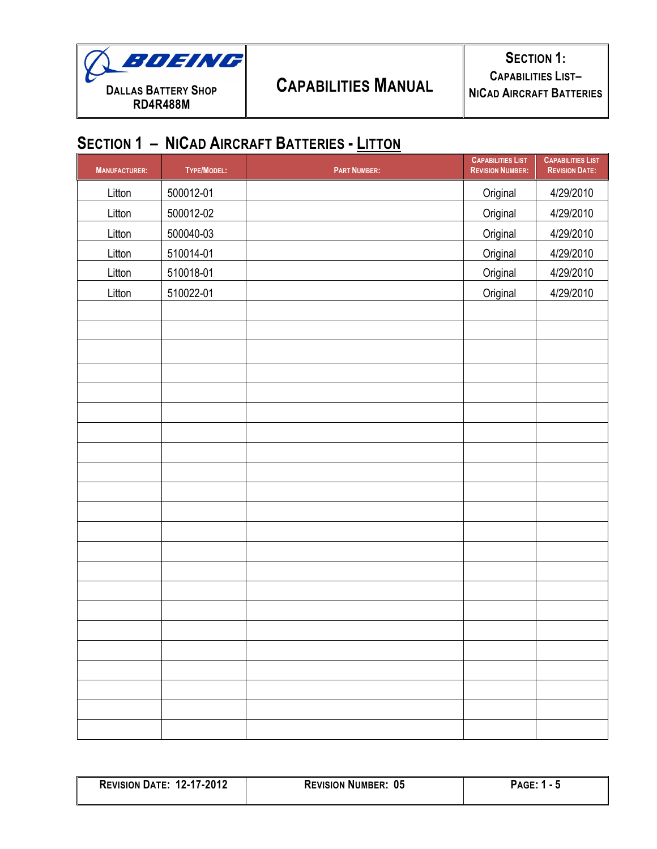

| <b>MANUFACTURER:</b> | TYPE/MODEL: | <b>PART NUMBER:</b> | <b>CAPABILITIES LIST</b><br><b>REVISION NUMBER:</b> | <b>CAPABILITIES LIST</b><br><b>REVISION DATE:</b> |
|----------------------|-------------|---------------------|-----------------------------------------------------|---------------------------------------------------|
| Litton               | 500012-01   |                     | Original                                            | 4/29/2010                                         |
| Litton               | 500012-02   |                     | Original                                            | 4/29/2010                                         |
| Litton               | 500040-03   |                     | Original                                            | 4/29/2010                                         |
| Litton               | 510014-01   |                     | Original                                            | 4/29/2010                                         |
| Litton               | 510018-01   |                     | Original                                            | 4/29/2010                                         |
| Litton               | 510022-01   |                     | Original                                            | 4/29/2010                                         |
|                      |             |                     |                                                     |                                                   |
|                      |             |                     |                                                     |                                                   |
|                      |             |                     |                                                     |                                                   |
|                      |             |                     |                                                     |                                                   |
|                      |             |                     |                                                     |                                                   |
|                      |             |                     |                                                     |                                                   |
|                      |             |                     |                                                     |                                                   |
|                      |             |                     |                                                     |                                                   |
|                      |             |                     |                                                     |                                                   |
|                      |             |                     |                                                     |                                                   |
|                      |             |                     |                                                     |                                                   |
|                      |             |                     |                                                     |                                                   |
|                      |             |                     |                                                     |                                                   |
|                      |             |                     |                                                     |                                                   |
|                      |             |                     |                                                     |                                                   |
|                      |             |                     |                                                     |                                                   |
|                      |             |                     |                                                     |                                                   |
|                      |             |                     |                                                     |                                                   |
|                      |             |                     |                                                     |                                                   |
|                      |             |                     |                                                     |                                                   |
|                      |             |                     |                                                     |                                                   |
|                      |             |                     |                                                     |                                                   |

| <b>REVISION DATE: 12-17-2012</b> | <b>REVISION NUMBER: 05</b> | PAGE: 1 |
|----------------------------------|----------------------------|---------|
|                                  |                            |         |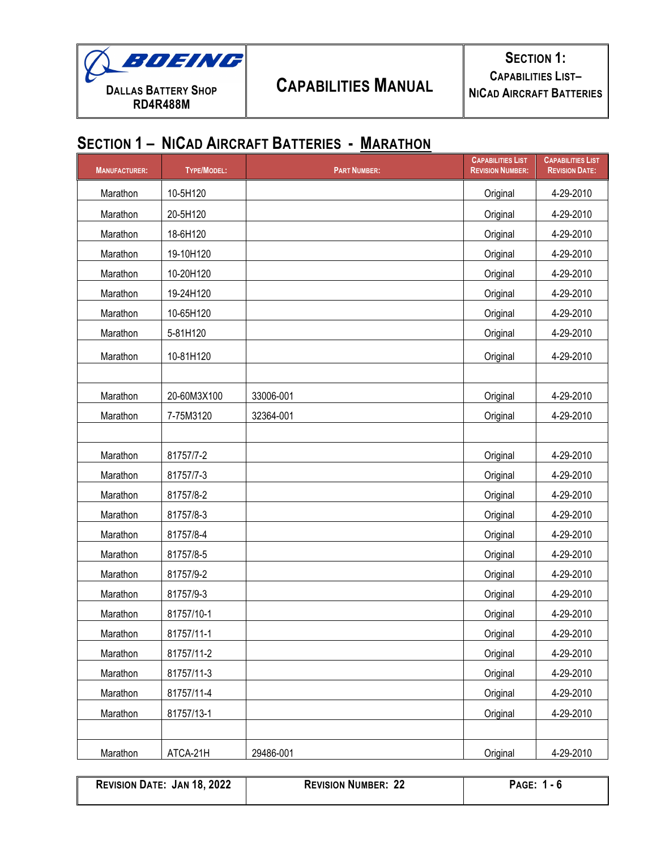

**SECTION 1: CAPABILITIES LIST– NICAD AIRCRAFT BATTERIES**

## **SECTION 1 – NICAD AIRCRAFT BATTERIES - MARATHON**

| <b>MANUFACTURER:</b> | <b>TYPE/MODEL:</b> | <b>PART NUMBER:</b> | <b>CAPABILITIES LIST</b><br><b>REVISION NUMBER:</b> | <b>CAPABILITIES LIST</b><br><b>REVISION DATE:</b> |
|----------------------|--------------------|---------------------|-----------------------------------------------------|---------------------------------------------------|
| Marathon             | 10-5H120           |                     | Original                                            | 4-29-2010                                         |
| Marathon             | 20-5H120           |                     | Original                                            | 4-29-2010                                         |
| Marathon             | 18-6H120           |                     | Original                                            | 4-29-2010                                         |
| Marathon             | 19-10H120          |                     | Original                                            | 4-29-2010                                         |
| Marathon             | 10-20H120          |                     | Original                                            | 4-29-2010                                         |
| Marathon             | 19-24H120          |                     | Original                                            | 4-29-2010                                         |
| Marathon             | 10-65H120          |                     | Original                                            | 4-29-2010                                         |
| Marathon             | 5-81H120           |                     | Original                                            | 4-29-2010                                         |
| Marathon             | 10-81H120          |                     | Original                                            | 4-29-2010                                         |
|                      |                    |                     |                                                     |                                                   |
| Marathon             | 20-60M3X100        | 33006-001           | Original                                            | 4-29-2010                                         |
| Marathon             | 7-75M3120          | 32364-001           | Original                                            | 4-29-2010                                         |
|                      |                    |                     |                                                     |                                                   |
| Marathon             | 81757/7-2          |                     | Original                                            | 4-29-2010                                         |
| Marathon             | 81757/7-3          |                     | Original                                            | 4-29-2010                                         |
| Marathon             | 81757/8-2          |                     | Original                                            | 4-29-2010                                         |
| Marathon             | 81757/8-3          |                     | Original                                            | 4-29-2010                                         |
| Marathon             | 81757/8-4          |                     | Original                                            | 4-29-2010                                         |
| Marathon             | 81757/8-5          |                     | Original                                            | 4-29-2010                                         |
| Marathon             | 81757/9-2          |                     | Original                                            | 4-29-2010                                         |
| Marathon             | 81757/9-3          |                     | Original                                            | 4-29-2010                                         |
| Marathon             | 81757/10-1         |                     | Original                                            | 4-29-2010                                         |
| Marathon             | 81757/11-1         |                     | Original                                            | 4-29-2010                                         |
| Marathon             | 81757/11-2         |                     | Original                                            | 4-29-2010                                         |
| Marathon             | 81757/11-3         |                     | Original                                            | 4-29-2010                                         |
| Marathon             | 81757/11-4         |                     | Original                                            | 4-29-2010                                         |
| Marathon             | 81757/13-1         |                     | Original                                            | 4-29-2010                                         |
|                      |                    |                     |                                                     |                                                   |
| Marathon             | ATCA-21H           | 29486-001           | Original                                            | 4-29-2010                                         |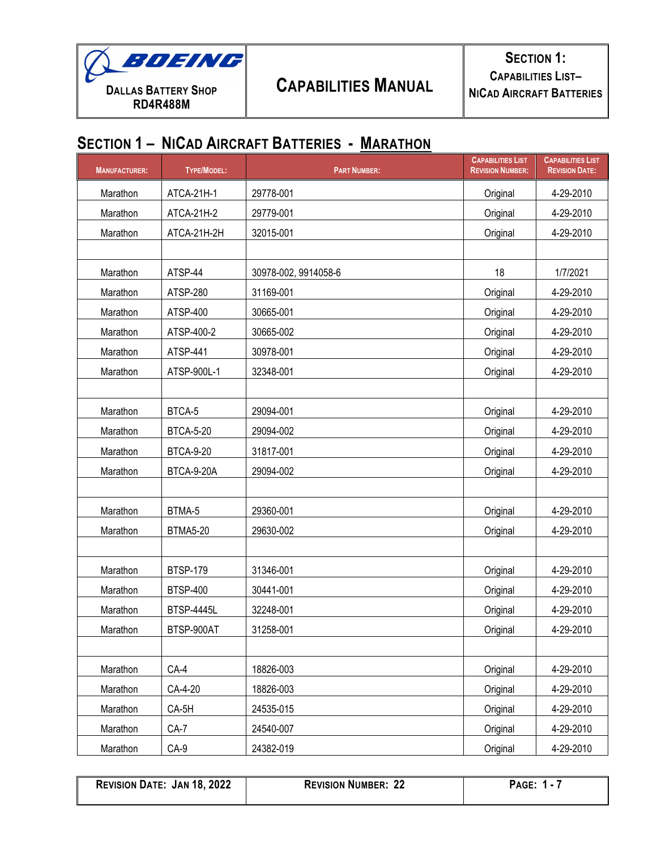

| <b>MANUFACTURER:</b> | <b>TYPE/MODEL:</b> | <b>PART NUMBER:</b>  | <b>CAPABILITIES LIST</b><br><b>REVISION NUMBER:</b> | <b>CAPABILITIES LIST</b><br><b>REVISION DATE:</b> |
|----------------------|--------------------|----------------------|-----------------------------------------------------|---------------------------------------------------|
| Marathon             | ATCA-21H-1         | 29778-001            | Original                                            | 4-29-2010                                         |
| Marathon             | ATCA-21H-2         | 29779-001            | Original                                            | 4-29-2010                                         |
| Marathon             | ATCA-21H-2H        | 32015-001            | Original                                            | 4-29-2010                                         |
|                      |                    |                      |                                                     |                                                   |
| Marathon             | ATSP-44            | 30978-002, 9914058-6 | 18                                                  | 1/7/2021                                          |
| Marathon             | ATSP-280           | 31169-001            | Original                                            | 4-29-2010                                         |
| Marathon             | ATSP-400           | 30665-001            | Original                                            | 4-29-2010                                         |
| Marathon             | ATSP-400-2         | 30665-002            | Original                                            | 4-29-2010                                         |
| Marathon             | ATSP-441           | 30978-001            | Original                                            | 4-29-2010                                         |
| Marathon             | ATSP-900L-1        | 32348-001            | Original                                            | 4-29-2010                                         |
|                      |                    |                      |                                                     |                                                   |
| Marathon             | BTCA-5             | 29094-001            | Original                                            | 4-29-2010                                         |
| Marathon             | <b>BTCA-5-20</b>   | 29094-002            | Original                                            | 4-29-2010                                         |
| Marathon             | <b>BTCA-9-20</b>   | 31817-001            | Original                                            | 4-29-2010                                         |
| Marathon             | BTCA-9-20A         | 29094-002            | Original                                            | 4-29-2010                                         |
|                      |                    |                      |                                                     |                                                   |
| Marathon             | BTMA-5             | 29360-001            | Original                                            | 4-29-2010                                         |
| Marathon             | <b>BTMA5-20</b>    | 29630-002            | Original                                            | 4-29-2010                                         |
|                      |                    |                      |                                                     |                                                   |
| Marathon             | <b>BTSP-179</b>    | 31346-001            | Original                                            | 4-29-2010                                         |
| Marathon             | <b>BTSP-400</b>    | 30441-001            | Original                                            | 4-29-2010                                         |
| Marathon             | <b>BTSP-4445L</b>  | 32248-001            | Original                                            | 4-29-2010                                         |
| Marathon             | BTSP-900AT         | 31258-001            | Original                                            | 4-29-2010                                         |
|                      |                    |                      |                                                     |                                                   |
| Marathon             | CA-4               | 18826-003            | Original                                            | 4-29-2010                                         |
| Marathon             | CA-4-20            | 18826-003            | Original                                            | 4-29-2010                                         |
| Marathon             | CA-5H              | 24535-015            | Original                                            | 4-29-2010                                         |
| Marathon             | $CA-7$             | 24540-007            | Original                                            | 4-29-2010                                         |
| Marathon             | $CA-9$             | 24382-019            | Original                                            | 4-29-2010                                         |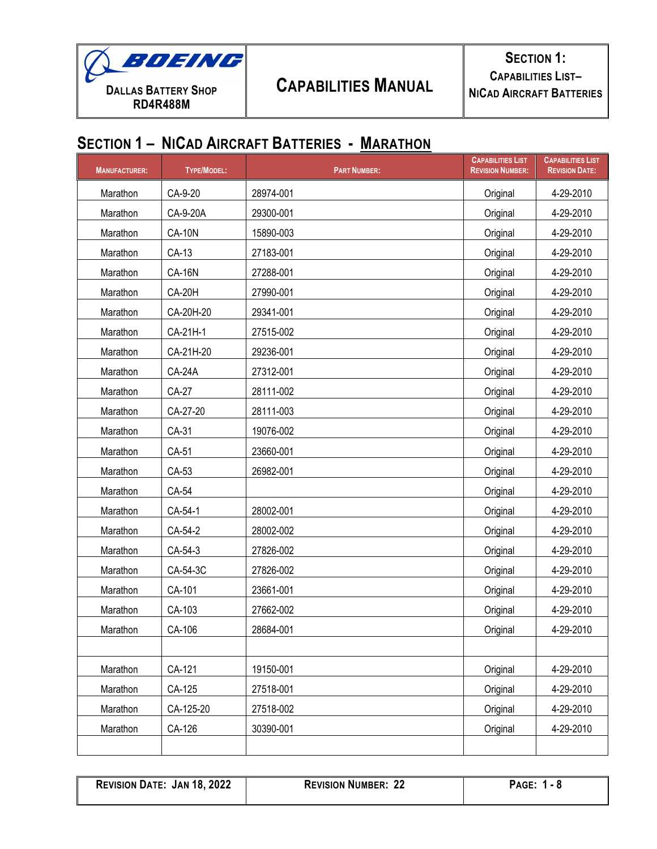

| <b>MANUFACTURER:</b> | TYPE/MODEL:   | <b>PART NUMBER:</b> | <b>CAPABILITIES LIST</b><br><b>REVISION NUMBER:</b> | <b>CAPABILITIES LIST</b><br><b>REVISION DATE:</b> |
|----------------------|---------------|---------------------|-----------------------------------------------------|---------------------------------------------------|
| Marathon             | CA-9-20       | 28974-001           | Original                                            | 4-29-2010                                         |
| Marathon             | CA-9-20A      | 29300-001           | Original                                            | 4-29-2010                                         |
| Marathon             | <b>CA-10N</b> | 15890-003           | Original                                            | 4-29-2010                                         |
| Marathon             | CA-13         | 27183-001           | Original                                            | 4-29-2010                                         |
| Marathon             | <b>CA-16N</b> | 27288-001           | Original                                            | 4-29-2010                                         |
| Marathon             | <b>CA-20H</b> | 27990-001           | Original                                            | 4-29-2010                                         |
| Marathon             | CA-20H-20     | 29341-001           | Original                                            | 4-29-2010                                         |
| Marathon             | CA-21H-1      | 27515-002           | Original                                            | 4-29-2010                                         |
| Marathon             | CA-21H-20     | 29236-001           | Original                                            | 4-29-2010                                         |
| Marathon             | <b>CA-24A</b> | 27312-001           | Original                                            | 4-29-2010                                         |
| Marathon             | <b>CA-27</b>  | 28111-002           | Original                                            | 4-29-2010                                         |
| Marathon             | CA-27-20      | 28111-003           | Original                                            | 4-29-2010                                         |
| Marathon             | CA-31         | 19076-002           | Original                                            | 4-29-2010                                         |
| Marathon             | CA-51         | 23660-001           | Original                                            | 4-29-2010                                         |
| Marathon             | CA-53         | 26982-001           | Original                                            | 4-29-2010                                         |
| Marathon             | CA-54         |                     | Original                                            | 4-29-2010                                         |
| Marathon             | CA-54-1       | 28002-001           | Original                                            | 4-29-2010                                         |
| Marathon             | CA-54-2       | 28002-002           | Original                                            | 4-29-2010                                         |
| Marathon             | CA-54-3       | 27826-002           | Original                                            | 4-29-2010                                         |
| Marathon             | CA-54-3C      | 27826-002           | Original                                            | 4-29-2010                                         |
| Marathon             | CA-101        | 23661-001           | Original                                            | 4-29-2010                                         |
| Marathon             | CA-103        | 27662-002           | Original                                            | 4-29-2010                                         |
| Marathon             | CA-106        | 28684-001           | Original                                            | 4-29-2010                                         |
|                      |               |                     |                                                     |                                                   |
| Marathon             | CA-121        | 19150-001           | Original                                            | 4-29-2010                                         |
| Marathon             | CA-125        | 27518-001           | Original                                            | 4-29-2010                                         |
| Marathon             | CA-125-20     | 27518-002           | Original                                            | 4-29-2010                                         |
| Marathon             | CA-126        | 30390-001           | Original                                            | 4-29-2010                                         |
|                      |               |                     |                                                     |                                                   |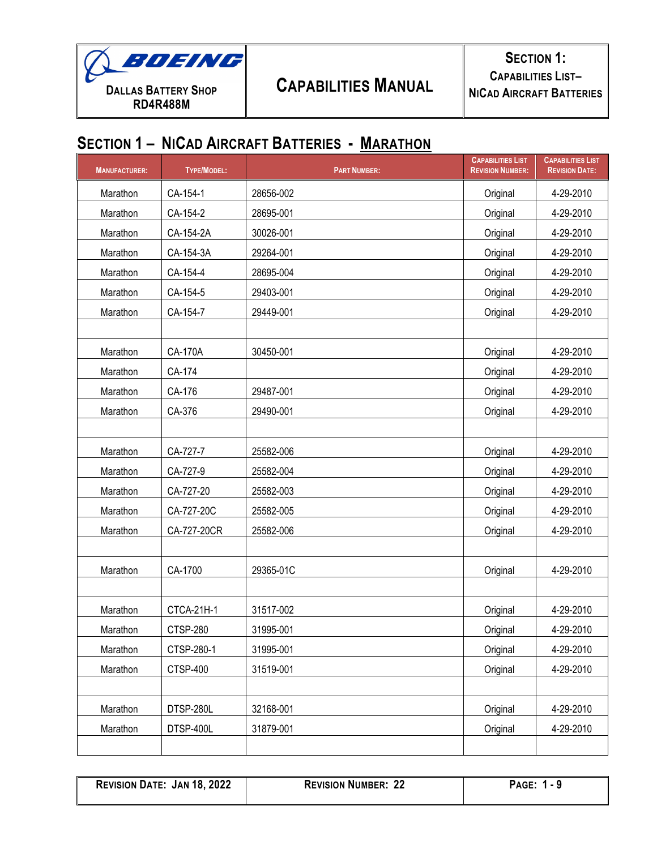

| <b>MANUFACTURER:</b> | <b>TYPE/MODEL:</b> | <b>PART NUMBER:</b> | <b>CAPABILITIES LIST</b><br><b>REVISION NUMBER:</b> | <b>CAPABILITIES LIST</b><br><b>REVISION DATE:</b> |
|----------------------|--------------------|---------------------|-----------------------------------------------------|---------------------------------------------------|
| Marathon             | CA-154-1           | 28656-002           | Original                                            | 4-29-2010                                         |
| Marathon             | CA-154-2           | 28695-001           | Original                                            | 4-29-2010                                         |
| Marathon             | CA-154-2A          | 30026-001           | Original                                            | 4-29-2010                                         |
| Marathon             | CA-154-3A          | 29264-001           | Original                                            | 4-29-2010                                         |
| Marathon             | CA-154-4           | 28695-004           | Original                                            | 4-29-2010                                         |
| Marathon             | CA-154-5           | 29403-001           | Original                                            | 4-29-2010                                         |
| Marathon             | CA-154-7           | 29449-001           | Original                                            | 4-29-2010                                         |
|                      |                    |                     |                                                     |                                                   |
| Marathon             | CA-170A            | 30450-001           | Original                                            | 4-29-2010                                         |
| Marathon             | CA-174             |                     | Original                                            | 4-29-2010                                         |
| Marathon             | CA-176             | 29487-001           | Original                                            | 4-29-2010                                         |
| Marathon             | CA-376             | 29490-001           | Original                                            | 4-29-2010                                         |
|                      |                    |                     |                                                     |                                                   |
| Marathon             | CA-727-7           | 25582-006           | Original                                            | 4-29-2010                                         |
| Marathon             | CA-727-9           | 25582-004           | Original                                            | 4-29-2010                                         |
| Marathon             | CA-727-20          | 25582-003           | Original                                            | 4-29-2010                                         |
| Marathon             | CA-727-20C         | 25582-005           | Original                                            | 4-29-2010                                         |
| Marathon             | CA-727-20CR        | 25582-006           | Original                                            | 4-29-2010                                         |
|                      |                    |                     |                                                     |                                                   |
| Marathon             | CA-1700            | 29365-01C           | Original                                            | 4-29-2010                                         |
|                      |                    |                     |                                                     |                                                   |
| Marathon             | CTCA-21H-1         | 31517-002           | Original                                            | 4-29-2010                                         |
| Marathon             | <b>CTSP-280</b>    | 31995-001           | Original                                            | 4-29-2010                                         |
| Marathon             | CTSP-280-1         | 31995-001           | Original                                            | 4-29-2010                                         |
| Marathon             | CTSP-400           | 31519-001           | Original                                            | 4-29-2010                                         |
|                      |                    |                     |                                                     |                                                   |
| Marathon             | DTSP-280L          | 32168-001           | Original                                            | 4-29-2010                                         |
| Marathon             | DTSP-400L          | 31879-001           | Original                                            | 4-29-2010                                         |
|                      |                    |                     |                                                     |                                                   |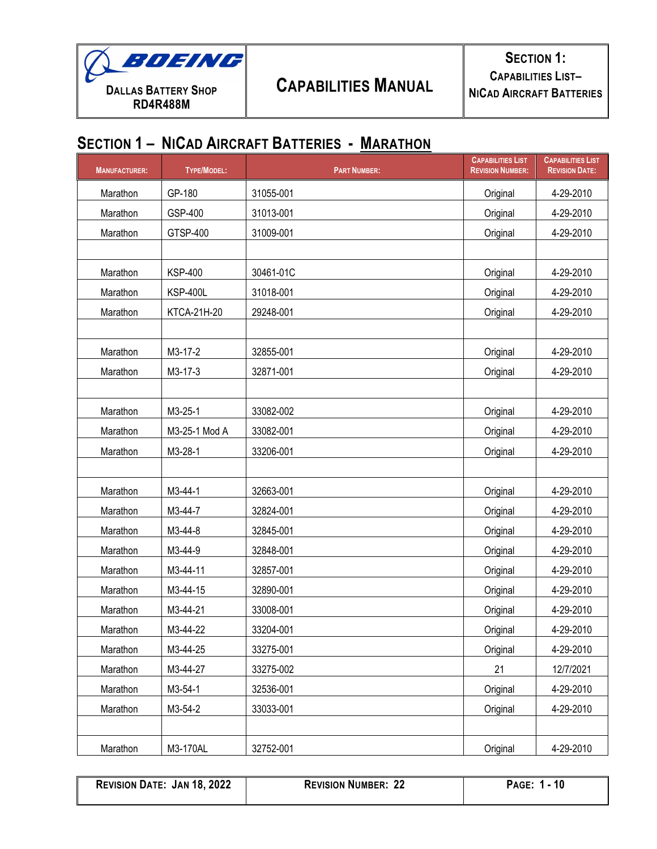

| <b>MANUFACTURER:</b> | <b>TYPE/MODEL:</b> | <b>PART NUMBER:</b> | <b>CAPABILITIES LIST</b><br><b>REVISION NUMBER:</b> | <b>CAPABILITIES LIST</b><br><b>REVISION DATE:</b> |
|----------------------|--------------------|---------------------|-----------------------------------------------------|---------------------------------------------------|
| Marathon             | GP-180             | 31055-001           | Original                                            | 4-29-2010                                         |
| Marathon             | GSP-400            | 31013-001           | Original                                            | 4-29-2010                                         |
| Marathon             | GTSP-400           | 31009-001           | Original                                            | 4-29-2010                                         |
|                      |                    |                     |                                                     |                                                   |
| Marathon             | <b>KSP-400</b>     | 30461-01C           | Original                                            | 4-29-2010                                         |
| Marathon             | <b>KSP-400L</b>    | 31018-001           | Original                                            | 4-29-2010                                         |
| Marathon             | KTCA-21H-20        | 29248-001           | Original                                            | 4-29-2010                                         |
|                      |                    |                     |                                                     |                                                   |
| Marathon             | M3-17-2            | 32855-001           | Original                                            | 4-29-2010                                         |
| Marathon             | M3-17-3            | 32871-001           | Original                                            | 4-29-2010                                         |
|                      |                    |                     |                                                     |                                                   |
| Marathon             | M3-25-1            | 33082-002           | Original                                            | 4-29-2010                                         |
| Marathon             | M3-25-1 Mod A      | 33082-001           | Original                                            | 4-29-2010                                         |
| Marathon             | M3-28-1            | 33206-001           | Original                                            | 4-29-2010                                         |
|                      |                    |                     |                                                     |                                                   |
| Marathon             | M3-44-1            | 32663-001           | Original                                            | 4-29-2010                                         |
| Marathon             | M3-44-7            | 32824-001           | Original                                            | 4-29-2010                                         |
| Marathon             | M3-44-8            | 32845-001           | Original                                            | 4-29-2010                                         |
| Marathon             | M3-44-9            | 32848-001           | Original                                            | 4-29-2010                                         |
| Marathon             | M3-44-11           | 32857-001           | Original                                            | 4-29-2010                                         |
| Marathon             | M3-44-15           | 32890-001           | Original                                            | 4-29-2010                                         |
| Marathon             | M3-44-21           | 33008-001           | Original                                            | 4-29-2010                                         |
| Marathon             | M3-44-22           | 33204-001           | Original                                            | 4-29-2010                                         |
| Marathon             | M3-44-25           | 33275-001           | Original                                            | 4-29-2010                                         |
| Marathon             | M3-44-27           | 33275-002           | 21                                                  | 12/7/2021                                         |
| Marathon             | M3-54-1            | 32536-001           | Original                                            | 4-29-2010                                         |
| Marathon             | M3-54-2            | 33033-001           | Original                                            | 4-29-2010                                         |
|                      |                    |                     |                                                     |                                                   |
| Marathon             | M3-170AL           | 32752-001           | Original                                            | 4-29-2010                                         |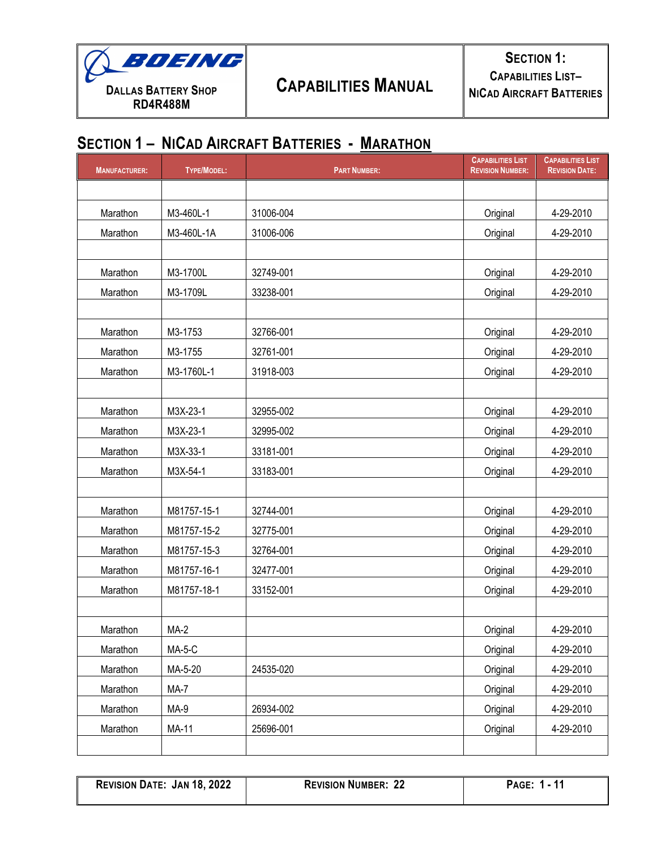

| <b>MANUFACTURER:</b> | <b>TYPE/MODEL:</b> | <b>PART NUMBER:</b> | <b>CAPABILITIES LIST</b><br><b>REVISION NUMBER:</b> | <b>CAPABILITIES LIST</b><br><b>REVISION DATE:</b> |
|----------------------|--------------------|---------------------|-----------------------------------------------------|---------------------------------------------------|
|                      |                    |                     |                                                     |                                                   |
| Marathon             | M3-460L-1          | 31006-004           | Original                                            | 4-29-2010                                         |
| Marathon             | M3-460L-1A         | 31006-006           | Original                                            | 4-29-2010                                         |
|                      |                    |                     |                                                     |                                                   |
| Marathon             | M3-1700L           | 32749-001           | Original                                            | 4-29-2010                                         |
| Marathon             | M3-1709L           | 33238-001           | Original                                            | 4-29-2010                                         |
|                      |                    |                     |                                                     |                                                   |
| Marathon             | M3-1753            | 32766-001           | Original                                            | 4-29-2010                                         |
| Marathon             | M3-1755            | 32761-001           | Original                                            | 4-29-2010                                         |
| Marathon             | M3-1760L-1         | 31918-003           | Original                                            | 4-29-2010                                         |
|                      |                    |                     |                                                     |                                                   |
| Marathon             | M3X-23-1           | 32955-002           | Original                                            | 4-29-2010                                         |
| Marathon             | M3X-23-1           | 32995-002           | Original                                            | 4-29-2010                                         |
| Marathon             | M3X-33-1           | 33181-001           | Original                                            | 4-29-2010                                         |
| Marathon             | M3X-54-1           | 33183-001           | Original                                            | 4-29-2010                                         |
|                      |                    |                     |                                                     |                                                   |
| Marathon             | M81757-15-1        | 32744-001           | Original                                            | 4-29-2010                                         |
| Marathon             | M81757-15-2        | 32775-001           | Original                                            | 4-29-2010                                         |
| Marathon             | M81757-15-3        | 32764-001           | Original                                            | 4-29-2010                                         |
| Marathon             | M81757-16-1        | 32477-001           | Original                                            | 4-29-2010                                         |
| Marathon             | M81757-18-1        | 33152-001           | Original                                            | 4-29-2010                                         |
|                      |                    |                     |                                                     |                                                   |
| Marathon             | $MA-2$             |                     | Original                                            | 4-29-2010                                         |
| Marathon             | $MA-5-C$           |                     | Original                                            | 4-29-2010                                         |
| Marathon             | MA-5-20            | 24535-020           | Original                                            | 4-29-2010                                         |
| Marathon             | MA-7               |                     | Original                                            | 4-29-2010                                         |
| Marathon             | MA-9               | 26934-002           | Original                                            | 4-29-2010                                         |
| Marathon             | MA-11              | 25696-001           | Original                                            | 4-29-2010                                         |
|                      |                    |                     |                                                     |                                                   |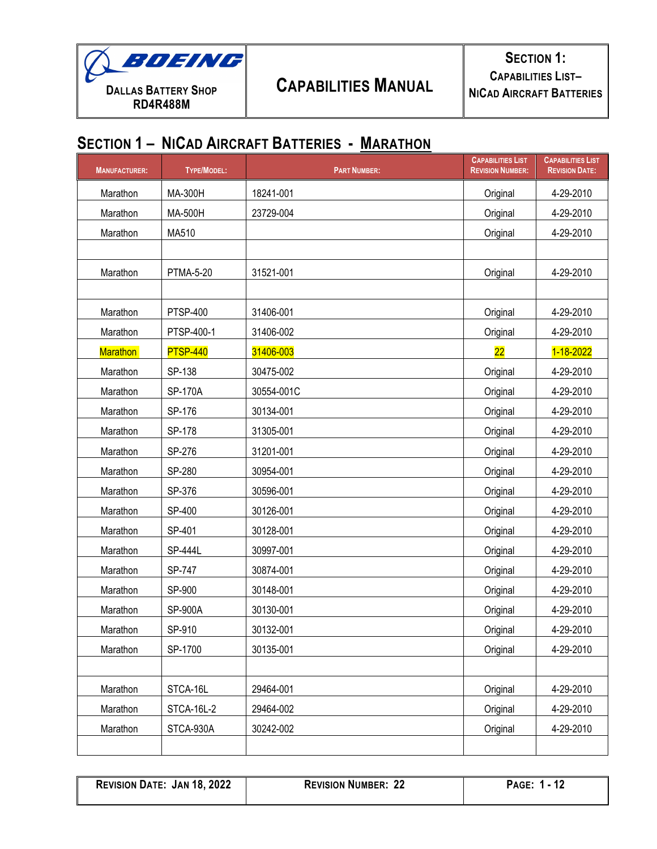

| <b>MANUFACTURER:</b> | <b>TYPE/MODEL:</b> | <b>PART NUMBER:</b> | <b>CAPABILITIES LIST</b><br><b>REVISION NUMBER:</b> | <b>CAPABILITIES LIST</b><br><b>REVISION DATE:</b> |
|----------------------|--------------------|---------------------|-----------------------------------------------------|---------------------------------------------------|
| Marathon             | MA-300H            | 18241-001           | Original                                            | 4-29-2010                                         |
| Marathon             | MA-500H            | 23729-004           | Original                                            | 4-29-2010                                         |
| Marathon             | MA510              |                     | Original                                            | 4-29-2010                                         |
|                      |                    |                     |                                                     |                                                   |
| Marathon             | <b>PTMA-5-20</b>   | 31521-001           | Original                                            | 4-29-2010                                         |
|                      |                    |                     |                                                     |                                                   |
| Marathon             | <b>PTSP-400</b>    | 31406-001           | Original                                            | 4-29-2010                                         |
| Marathon             | PTSP-400-1         | 31406-002           | Original                                            | 4-29-2010                                         |
| <b>Marathon</b>      | <b>PTSP-440</b>    | 31406-003           | 22                                                  | 1-18-2022                                         |
| Marathon             | SP-138             | 30475-002           | Original                                            | 4-29-2010                                         |
| Marathon             | <b>SP-170A</b>     | 30554-001C          | Original                                            | 4-29-2010                                         |
| Marathon             | SP-176             | 30134-001           | Original                                            | 4-29-2010                                         |
| Marathon             | SP-178             | 31305-001           | Original                                            | 4-29-2010                                         |
| Marathon             | SP-276             | 31201-001           | Original                                            | 4-29-2010                                         |
| Marathon             | SP-280             | 30954-001           | Original                                            | 4-29-2010                                         |
| Marathon             | SP-376             | 30596-001           | Original                                            | 4-29-2010                                         |
| Marathon             | SP-400             | 30126-001           | Original                                            | 4-29-2010                                         |
| Marathon             | SP-401             | 30128-001           | Original                                            | 4-29-2010                                         |
| Marathon             | <b>SP-444L</b>     | 30997-001           | Original                                            | 4-29-2010                                         |
| Marathon             | SP-747             | 30874-001           | Original                                            | 4-29-2010                                         |
| Marathon             | SP-900             | 30148-001           | Original                                            | 4-29-2010                                         |
| Marathon             | <b>SP-900A</b>     | 30130-001           | Original                                            | 4-29-2010                                         |
| Marathon             | SP-910             | 30132-001           | Original                                            | 4-29-2010                                         |
| Marathon             | SP-1700            | 30135-001           | Original                                            | 4-29-2010                                         |
|                      |                    |                     |                                                     |                                                   |
| Marathon             | STCA-16L           | 29464-001           | Original                                            | 4-29-2010                                         |
| Marathon             | STCA-16L-2         | 29464-002           | Original                                            | 4-29-2010                                         |
| Marathon             | STCA-930A          | 30242-002           | Original                                            | 4-29-2010                                         |
|                      |                    |                     |                                                     |                                                   |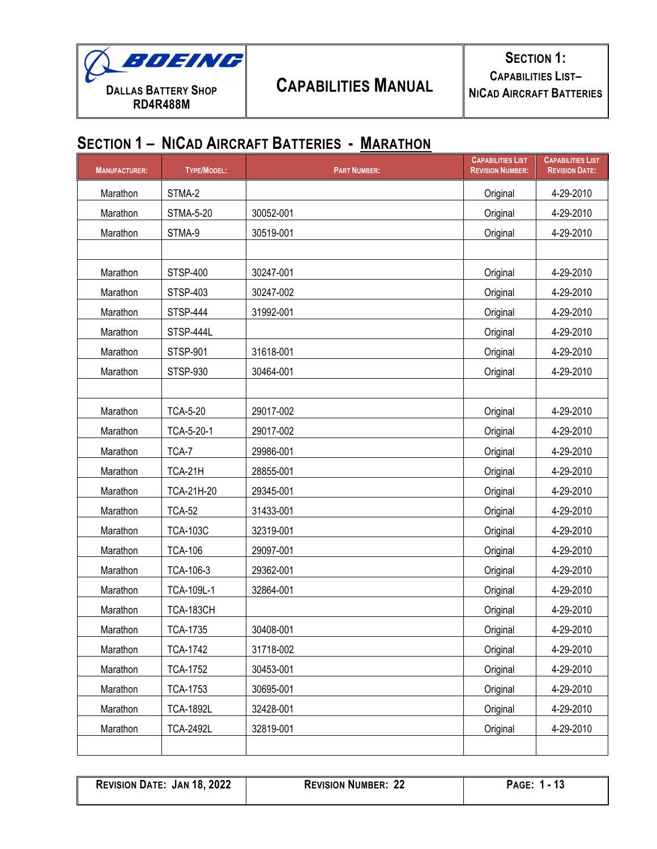

**SECTION 1: CAPABILITIES LIST– NICAD AIRCRAFT BATTERIES**

#### **SECTION 1 – NICAD AIRCRAFT BATTERIES - MARATHON**

| <b>MANUFACTURER:</b> | <b>TYPE/MODEL:</b> | <b>PART NUMBER:</b> | <b>CAPABILITIES LIST</b><br><b>REVISION NUMBER:</b> | <b>CAPABILITIES LIST</b><br><b>REVISION DATE:</b> |
|----------------------|--------------------|---------------------|-----------------------------------------------------|---------------------------------------------------|
| Marathon             | STMA-2             |                     | Original                                            | 4-29-2010                                         |
| Marathon             | <b>STMA-5-20</b>   | 30052-001           | Original                                            | 4-29-2010                                         |
| Marathon             | STMA-9             | 30519-001           | Original                                            | 4-29-2010                                         |
|                      |                    |                     |                                                     |                                                   |
| Marathon             | <b>STSP-400</b>    | 30247-001           | Original                                            | 4-29-2010                                         |
| Marathon             | <b>STSP-403</b>    | 30247-002           | Original                                            | 4-29-2010                                         |
| Marathon             | <b>STSP-444</b>    | 31992-001           | Original                                            | 4-29-2010                                         |
| Marathon             | STSP-444L          |                     | Original                                            | 4-29-2010                                         |
| Marathon             | <b>STSP-901</b>    | 31618-001           | Original                                            | 4-29-2010                                         |
| Marathon             | <b>STSP-930</b>    | 30464-001           | Original                                            | 4-29-2010                                         |
|                      |                    |                     |                                                     |                                                   |
| Marathon             | <b>TCA-5-20</b>    | 29017-002           | Original                                            | 4-29-2010                                         |
| Marathon             | TCA-5-20-1         | 29017-002           | Original                                            | 4-29-2010                                         |
| Marathon             | TCA-7              | 29986-001           | Original                                            | 4-29-2010                                         |
| Marathon             | TCA-21H            | 28855-001           | Original                                            | 4-29-2010                                         |
| Marathon             | <b>TCA-21H-20</b>  | 29345-001           | Original                                            | 4-29-2010                                         |
| Marathon             | <b>TCA-52</b>      | 31433-001           | Original                                            | 4-29-2010                                         |
| Marathon             | <b>TCA-103C</b>    | 32319-001           | Original                                            | 4-29-2010                                         |
| Marathon             | <b>TCA-106</b>     | 29097-001           | Original                                            | 4-29-2010                                         |
| Marathon             | TCA-106-3          | 29362-001           | Original                                            | 4-29-2010                                         |
| Marathon             | TCA-109L-1         | 32864-001           | Original                                            | 4-29-2010                                         |
| Marathon             | <b>TCA-183CH</b>   |                     | Original                                            | 4-29-2010                                         |
| Marathon             | <b>TCA-1735</b>    | 30408-001           | Original                                            | 4-29-2010                                         |
| Marathon             | <b>TCA-1742</b>    | 31718-002           | Original                                            | 4-29-2010                                         |
| Marathon             | <b>TCA-1752</b>    | 30453-001           | Original                                            | 4-29-2010                                         |
| Marathon             | <b>TCA-1753</b>    | 30695-001           | Original                                            | 4-29-2010                                         |
| Marathon             | <b>TCA-1892L</b>   | 32428-001           | Original                                            | 4-29-2010                                         |
| Marathon             | <b>TCA-2492L</b>   | 32819-001           | Original                                            | 4-29-2010                                         |
|                      |                    |                     |                                                     |                                                   |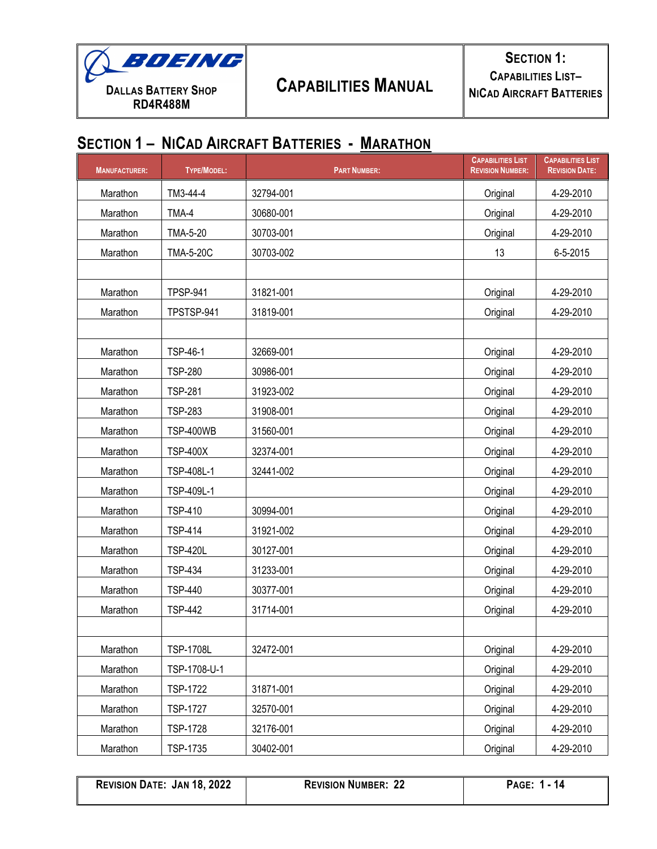

| <b>MANUFACTURER:</b> | <b>TYPE/MODEL:</b> | <b>PART NUMBER:</b> | <b>CAPABILITIES LIST</b><br><b>REVISION NUMBER:</b> | <b>CAPABILITIES LIST</b><br><b>REVISION DATE:</b> |
|----------------------|--------------------|---------------------|-----------------------------------------------------|---------------------------------------------------|
| Marathon             | TM3-44-4           | 32794-001           | Original                                            | 4-29-2010                                         |
| Marathon             | TMA-4              | 30680-001           | Original                                            | 4-29-2010                                         |
| Marathon             | <b>TMA-5-20</b>    | 30703-001           | Original                                            | 4-29-2010                                         |
| Marathon             | <b>TMA-5-20C</b>   | 30703-002           | 13                                                  | 6-5-2015                                          |
|                      |                    |                     |                                                     |                                                   |
| Marathon             | <b>TPSP-941</b>    | 31821-001           | Original                                            | 4-29-2010                                         |
| Marathon             | TPSTSP-941         | 31819-001           | Original                                            | 4-29-2010                                         |
|                      |                    |                     |                                                     |                                                   |
| Marathon             | <b>TSP-46-1</b>    | 32669-001           | Original                                            | 4-29-2010                                         |
| Marathon             | <b>TSP-280</b>     | 30986-001           | Original                                            | 4-29-2010                                         |
| Marathon             | <b>TSP-281</b>     | 31923-002           | Original                                            | 4-29-2010                                         |
| Marathon             | <b>TSP-283</b>     | 31908-001           | Original                                            | 4-29-2010                                         |
| Marathon             | <b>TSP-400WB</b>   | 31560-001           | Original                                            | 4-29-2010                                         |
| Marathon             | <b>TSP-400X</b>    | 32374-001           | Original                                            | 4-29-2010                                         |
| Marathon             | TSP-408L-1         | 32441-002           | Original                                            | 4-29-2010                                         |
| Marathon             | TSP-409L-1         |                     | Original                                            | 4-29-2010                                         |
| Marathon             | <b>TSP-410</b>     | 30994-001           | Original                                            | 4-29-2010                                         |
| Marathon             | <b>TSP-414</b>     | 31921-002           | Original                                            | 4-29-2010                                         |
| Marathon             | <b>TSP-420L</b>    | 30127-001           | Original                                            | 4-29-2010                                         |
| Marathon             | <b>TSP-434</b>     | 31233-001           | Original                                            | 4-29-2010                                         |
| Marathon             | <b>TSP-440</b>     | 30377-001           | Original                                            | 4-29-2010                                         |
| Marathon             | <b>TSP-442</b>     | 31714-001           | Original                                            | 4-29-2010                                         |
|                      |                    |                     |                                                     |                                                   |
| Marathon             | <b>TSP-1708L</b>   | 32472-001           | Original                                            | 4-29-2010                                         |
| Marathon             | TSP-1708-U-1       |                     | Original                                            | 4-29-2010                                         |
| Marathon             | <b>TSP-1722</b>    | 31871-001           | Original                                            | 4-29-2010                                         |
| Marathon             | <b>TSP-1727</b>    | 32570-001           | Original                                            | 4-29-2010                                         |
| Marathon             | <b>TSP-1728</b>    | 32176-001           | Original                                            | 4-29-2010                                         |
| Marathon             | TSP-1735           | 30402-001           | Original                                            | 4-29-2010                                         |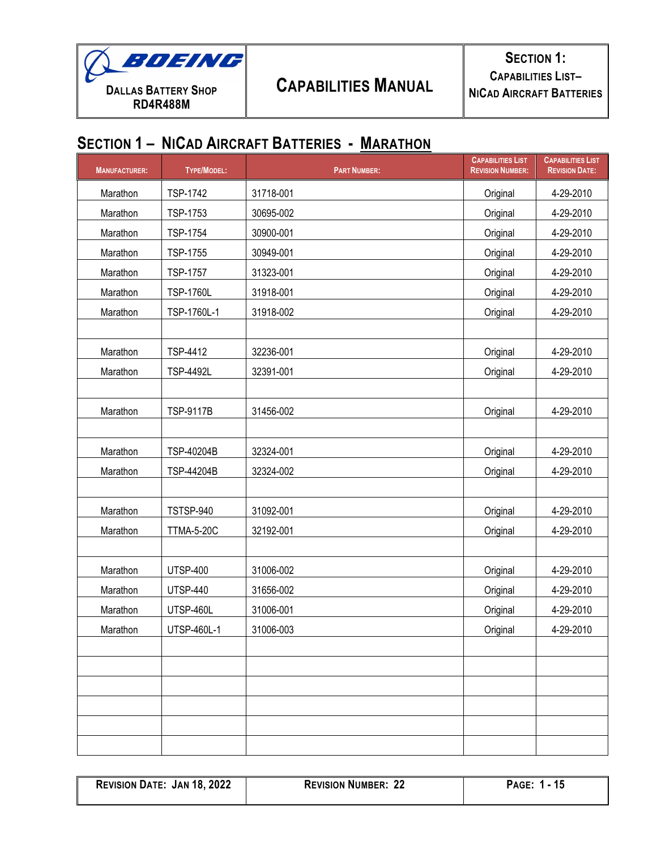

| <b>MANUFACTURER:</b> | TYPE/MODEL:       | <b>PART NUMBER:</b> | <b>CAPABILITIES LIST</b><br><b>REVISION NUMBER:</b> | <b>CAPABILITIES LIST</b><br><b>REVISION DATE:</b> |
|----------------------|-------------------|---------------------|-----------------------------------------------------|---------------------------------------------------|
| Marathon             | <b>TSP-1742</b>   | 31718-001           | Original                                            | 4-29-2010                                         |
| Marathon             | TSP-1753          | 30695-002           | Original                                            | 4-29-2010                                         |
| Marathon             | <b>TSP-1754</b>   | 30900-001           | Original                                            | 4-29-2010                                         |
| Marathon             | TSP-1755          | 30949-001           | Original                                            | 4-29-2010                                         |
| Marathon             | <b>TSP-1757</b>   | 31323-001           | Original                                            | 4-29-2010                                         |
| Marathon             | <b>TSP-1760L</b>  | 31918-001           | Original                                            | 4-29-2010                                         |
| Marathon             | TSP-1760L-1       | 31918-002           | Original                                            | 4-29-2010                                         |
|                      |                   |                     |                                                     |                                                   |
| Marathon             | <b>TSP-4412</b>   | 32236-001           | Original                                            | 4-29-2010                                         |
| Marathon             | <b>TSP-4492L</b>  | 32391-001           | Original                                            | 4-29-2010                                         |
|                      |                   |                     |                                                     |                                                   |
| Marathon             | <b>TSP-9117B</b>  | 31456-002           | Original                                            | 4-29-2010                                         |
|                      |                   |                     |                                                     |                                                   |
| Marathon             | TSP-40204B        | 32324-001           | Original                                            | 4-29-2010                                         |
| Marathon             | TSP-44204B        | 32324-002           | Original                                            | 4-29-2010                                         |
|                      |                   |                     |                                                     |                                                   |
| Marathon             | <b>TSTSP-940</b>  | 31092-001           | Original                                            | 4-29-2010                                         |
| Marathon             | <b>TTMA-5-20C</b> | 32192-001           | Original                                            | 4-29-2010                                         |
|                      |                   |                     |                                                     |                                                   |
| Marathon             | <b>UTSP-400</b>   | 31006-002           | Original                                            | 4-29-2010                                         |
| Marathon             | <b>UTSP-440</b>   | 31656-002           | Original                                            | 4-29-2010                                         |
| Marathon             | UTSP-460L         | 31006-001           | Original                                            | 4-29-2010                                         |
| Marathon             | UTSP-460L-1       | 31006-003           | Original                                            | 4-29-2010                                         |
|                      |                   |                     |                                                     |                                                   |
|                      |                   |                     |                                                     |                                                   |
|                      |                   |                     |                                                     |                                                   |
|                      |                   |                     |                                                     |                                                   |
|                      |                   |                     |                                                     |                                                   |
|                      |                   |                     |                                                     |                                                   |

| <b>REVISION DATE: JAN 18, 2022</b> | <b>REVISION NUMBER: 22</b> |
|------------------------------------|----------------------------|
|                                    |                            |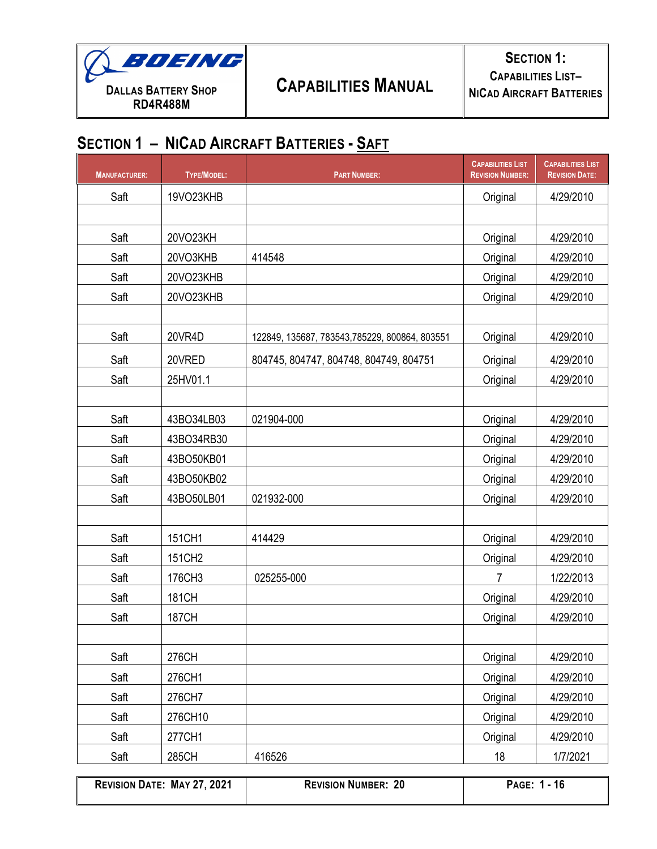

| <b>MANUFACTURER:</b> | TYPE/MODEL:  | <b>PART NUMBER:</b>                            | <b>CAPABILITIES LIST</b><br><b>REVISION NUMBER:</b> | <b>CAPABILITIES LIST</b><br><b>REVISION DATE:</b> |
|----------------------|--------------|------------------------------------------------|-----------------------------------------------------|---------------------------------------------------|
| Saft                 | 19VO23KHB    |                                                | Original                                            | 4/29/2010                                         |
|                      |              |                                                |                                                     |                                                   |
| Saft                 | 20VO23KH     |                                                | Original                                            | 4/29/2010                                         |
| Saft                 | 20VO3KHB     | 414548                                         | Original                                            | 4/29/2010                                         |
| Saft                 | 20VO23KHB    |                                                | Original                                            | 4/29/2010                                         |
| Saft                 | 20VO23KHB    |                                                | Original                                            | 4/29/2010                                         |
|                      |              |                                                |                                                     |                                                   |
| Saft                 | 20VR4D       | 122849, 135687, 783543, 785229, 800864, 803551 | Original                                            | 4/29/2010                                         |
| Saft                 | 20VRED       | 804745, 804747, 804748, 804749, 804751         | Original                                            | 4/29/2010                                         |
| Saft                 | 25HV01.1     |                                                | Original                                            | 4/29/2010                                         |
|                      |              |                                                |                                                     |                                                   |
| Saft                 | 43BO34LB03   | 021904-000                                     | Original                                            | 4/29/2010                                         |
| Saft                 | 43BO34RB30   |                                                | Original                                            | 4/29/2010                                         |
| Saft                 | 43BO50KB01   |                                                | Original                                            | 4/29/2010                                         |
| Saft                 | 43BO50KB02   |                                                | Original                                            | 4/29/2010                                         |
| Saft                 | 43BO50LB01   | 021932-000                                     | Original                                            | 4/29/2010                                         |
|                      |              |                                                |                                                     |                                                   |
| Saft                 | 151CH1       | 414429                                         | Original                                            | 4/29/2010                                         |
| Saft                 | 151CH2       |                                                | Original                                            | 4/29/2010                                         |
| Saft                 | 176CH3       | 025255-000                                     | 7                                                   | 1/22/2013                                         |
| Saft                 | 181CH        |                                                | Original                                            | 4/29/2010                                         |
| Saft                 | <b>187CH</b> |                                                | Original                                            | 4/29/2010                                         |
|                      |              |                                                |                                                     |                                                   |
| Saft                 | 276CH        |                                                | Original                                            | 4/29/2010                                         |
| Saft                 | 276CH1       |                                                | Original                                            | 4/29/2010                                         |
| Saft                 | 276CH7       |                                                | Original                                            | 4/29/2010                                         |
| Saft                 | 276CH10      |                                                | Original                                            | 4/29/2010                                         |
| Saft                 | 277CH1       |                                                | Original                                            | 4/29/2010                                         |
| Saft                 | 285CH        | 416526                                         | 18                                                  | 1/7/2021                                          |

| <b>REVISION DATE: MAY 27, 2021</b> | <b>REVISION NUMBER: 20</b> | 1 - 16<br>PAGE: 1 |
|------------------------------------|----------------------------|-------------------|
|                                    |                            |                   |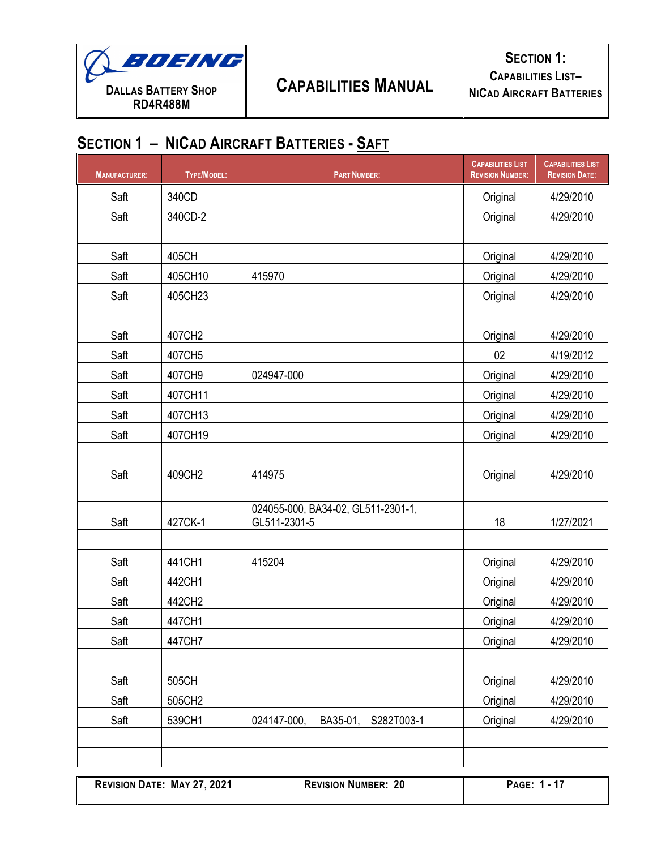

| <b>MANUFACTURER:</b> | <b>TYPE/MODEL:</b> | <b>PART NUMBER:</b>                                | <b>CAPABILITIES LIST</b><br><b>REVISION NUMBER:</b> | <b>CAPABILITIES LIST</b><br><b>REVISION DATE:</b> |
|----------------------|--------------------|----------------------------------------------------|-----------------------------------------------------|---------------------------------------------------|
| Saft                 | 340CD              |                                                    | Original                                            | 4/29/2010                                         |
| Saft                 | 340CD-2            |                                                    | Original                                            | 4/29/2010                                         |
|                      |                    |                                                    |                                                     |                                                   |
| Saft                 | 405CH              |                                                    | Original                                            | 4/29/2010                                         |
| Saft                 | 405CH10            | 415970                                             | Original                                            | 4/29/2010                                         |
| Saft                 | 405CH23            |                                                    | Original                                            | 4/29/2010                                         |
|                      |                    |                                                    |                                                     |                                                   |
| Saft                 | 407CH2             |                                                    | Original                                            | 4/29/2010                                         |
| Saft                 | 407CH5             |                                                    | 02                                                  | 4/19/2012                                         |
| Saft                 | 407CH9             | 024947-000                                         | Original                                            | 4/29/2010                                         |
| Saft                 | 407CH11            |                                                    | Original                                            | 4/29/2010                                         |
| Saft                 | 407CH13            |                                                    | Original                                            | 4/29/2010                                         |
| Saft                 | 407CH19            |                                                    | Original                                            | 4/29/2010                                         |
|                      |                    |                                                    |                                                     |                                                   |
| Saft                 | 409CH2             | 414975                                             | Original                                            | 4/29/2010                                         |
|                      |                    |                                                    |                                                     |                                                   |
| Saft                 | 427CK-1            | 024055-000, BA34-02, GL511-2301-1,<br>GL511-2301-5 | 18                                                  | 1/27/2021                                         |
|                      |                    |                                                    |                                                     |                                                   |
| Saft                 | 441CH1             | 415204                                             | Original                                            | 4/29/2010                                         |
| Saft                 | 442CH1             |                                                    | Original                                            | 4/29/2010                                         |
| Saft                 | 442CH2             |                                                    | Original                                            | 4/29/2010                                         |
| Saft                 | 447CH1             |                                                    | Original                                            | 4/29/2010                                         |
| Saft                 | 447CH7             |                                                    | Original                                            | 4/29/2010                                         |
|                      |                    |                                                    |                                                     |                                                   |
| Saft                 | 505CH              |                                                    | Original                                            | 4/29/2010                                         |
| Saft                 | 505CH2             |                                                    | Original                                            | 4/29/2010                                         |
| Saft                 | 539CH1             | 024147-000,<br>BA35-01,<br>S282T003-1              | Original                                            | 4/29/2010                                         |
|                      |                    |                                                    |                                                     |                                                   |
|                      |                    |                                                    |                                                     |                                                   |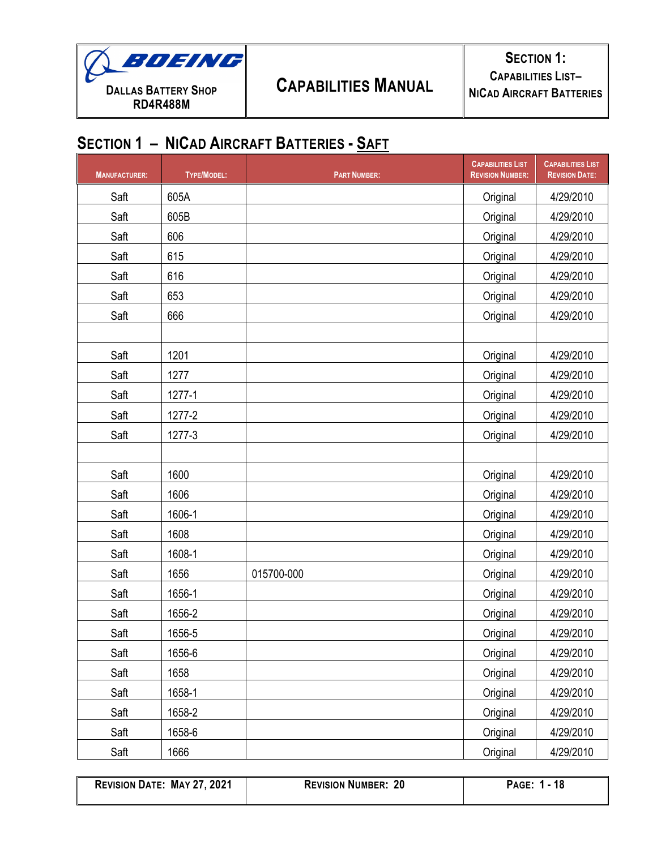

| <b>MANUFACTURER:</b> | TYPE/MODEL: | <b>PART NUMBER:</b> | <b>CAPABILITIES LIST</b><br><b>REVISION NUMBER:</b> | <b>CAPABILITIES LIST</b><br><b>REVISION DATE:</b> |
|----------------------|-------------|---------------------|-----------------------------------------------------|---------------------------------------------------|
| Saft                 | 605A        |                     | Original                                            | 4/29/2010                                         |
| Saft                 | 605B        |                     | Original                                            | 4/29/2010                                         |
| Saft                 | 606         |                     | Original                                            | 4/29/2010                                         |
| Saft                 | 615         |                     | Original                                            | 4/29/2010                                         |
| Saft                 | 616         |                     | Original                                            | 4/29/2010                                         |
| Saft                 | 653         |                     | Original                                            | 4/29/2010                                         |
| Saft                 | 666         |                     | Original                                            | 4/29/2010                                         |
|                      |             |                     |                                                     |                                                   |
| Saft                 | 1201        |                     | Original                                            | 4/29/2010                                         |
| Saft                 | 1277        |                     | Original                                            | 4/29/2010                                         |
| Saft                 | 1277-1      |                     | Original                                            | 4/29/2010                                         |
| Saft                 | 1277-2      |                     | Original                                            | 4/29/2010                                         |
| Saft                 | 1277-3      |                     | Original                                            | 4/29/2010                                         |
|                      |             |                     |                                                     |                                                   |
| Saft                 | 1600        |                     | Original                                            | 4/29/2010                                         |
| Saft                 | 1606        |                     | Original                                            | 4/29/2010                                         |
| Saft                 | 1606-1      |                     | Original                                            | 4/29/2010                                         |
| Saft                 | 1608        |                     | Original                                            | 4/29/2010                                         |
| Saft                 | 1608-1      |                     | Original                                            | 4/29/2010                                         |
| Saft                 | 1656        | 015700-000          | Original                                            | 4/29/2010                                         |
| Saft                 | 1656-1      |                     | Original                                            | 4/29/2010                                         |
| Saft                 | 1656-2      |                     | Original                                            | 4/29/2010                                         |
| Saft                 | 1656-5      |                     | Original                                            | 4/29/2010                                         |
| Saft                 | 1656-6      |                     | Original                                            | 4/29/2010                                         |
| Saft                 | 1658        |                     | Original                                            | 4/29/2010                                         |
| Saft                 | 1658-1      |                     | Original                                            | 4/29/2010                                         |
| Saft                 | 1658-2      |                     | Original                                            | 4/29/2010                                         |
| Saft                 | 1658-6      |                     | Original                                            | 4/29/2010                                         |
| Saft                 | 1666        |                     | Original                                            | 4/29/2010                                         |

**REVISION DATE: MAY 27, 2021 REVISION NUMBER: 20 PAGE: 1 - 18**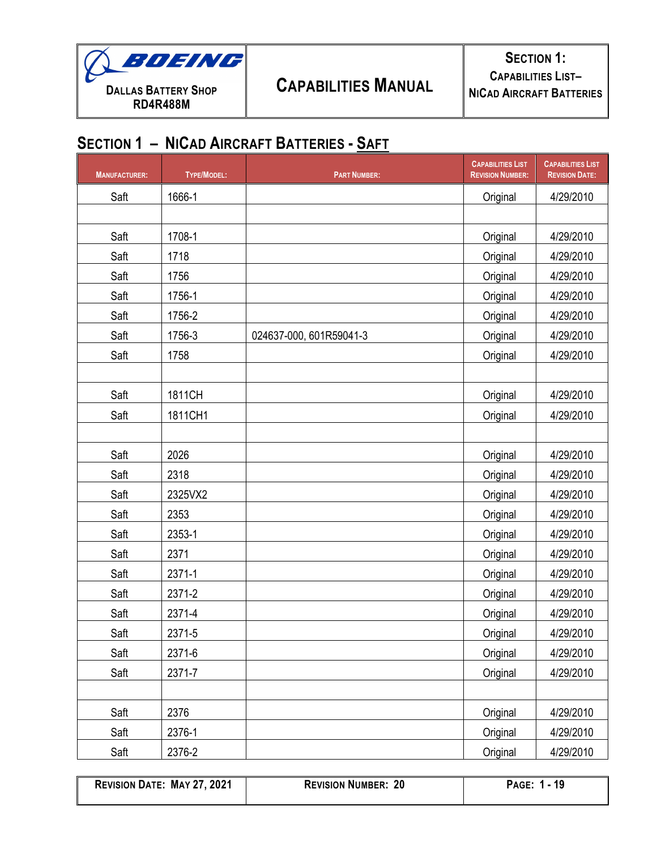

| <b>MANUFACTURER:</b> | TYPE/MODEL: | <b>PART NUMBER:</b>     | <b>CAPABILITIES LIST</b><br><b>REVISION NUMBER:</b> | <b>CAPABILITIES LIST</b><br><b>REVISION DATE:</b> |
|----------------------|-------------|-------------------------|-----------------------------------------------------|---------------------------------------------------|
| Saft                 | 1666-1      |                         | Original                                            | 4/29/2010                                         |
|                      |             |                         |                                                     |                                                   |
| Saft                 | 1708-1      |                         | Original                                            | 4/29/2010                                         |
| Saft                 | 1718        |                         | Original                                            | 4/29/2010                                         |
| Saft                 | 1756        |                         | Original                                            | 4/29/2010                                         |
| Saft                 | 1756-1      |                         | Original                                            | 4/29/2010                                         |
| Saft                 | 1756-2      |                         | Original                                            | 4/29/2010                                         |
| Saft                 | 1756-3      | 024637-000, 601R59041-3 | Original                                            | 4/29/2010                                         |
| Saft                 | 1758        |                         | Original                                            | 4/29/2010                                         |
|                      |             |                         |                                                     |                                                   |
| Saft                 | 1811CH      |                         | Original                                            | 4/29/2010                                         |
| Saft                 | 1811CH1     |                         | Original                                            | 4/29/2010                                         |
|                      |             |                         |                                                     |                                                   |
| Saft                 | 2026        |                         | Original                                            | 4/29/2010                                         |
| Saft                 | 2318        |                         | Original                                            | 4/29/2010                                         |
| Saft                 | 2325VX2     |                         | Original                                            | 4/29/2010                                         |
| Saft                 | 2353        |                         | Original                                            | 4/29/2010                                         |
| Saft                 | 2353-1      |                         | Original                                            | 4/29/2010                                         |
| Saft                 | 2371        |                         | Original                                            | 4/29/2010                                         |
| Saft                 | 2371-1      |                         | Original                                            | 4/29/2010                                         |
| Saft                 | 2371-2      |                         | Original                                            | 4/29/2010                                         |
| Saft                 | 2371-4      |                         | Original                                            | 4/29/2010                                         |
| Saft                 | 2371-5      |                         | Original                                            | 4/29/2010                                         |
| Saft                 | 2371-6      |                         | Original                                            | 4/29/2010                                         |
| Saft                 | 2371-7      |                         | Original                                            | 4/29/2010                                         |
|                      |             |                         |                                                     |                                                   |
| Saft                 | 2376        |                         | Original                                            | 4/29/2010                                         |
| Saft                 | 2376-1      |                         | Original                                            | 4/29/2010                                         |
| Saft                 | 2376-2      |                         | Original                                            | 4/29/2010                                         |

| <b>REVISION DATE: MAY 27, 2021</b> | <b>REVISION NUMBER: 20</b> | PAGE: 1 - 19 |
|------------------------------------|----------------------------|--------------|
|                                    |                            |              |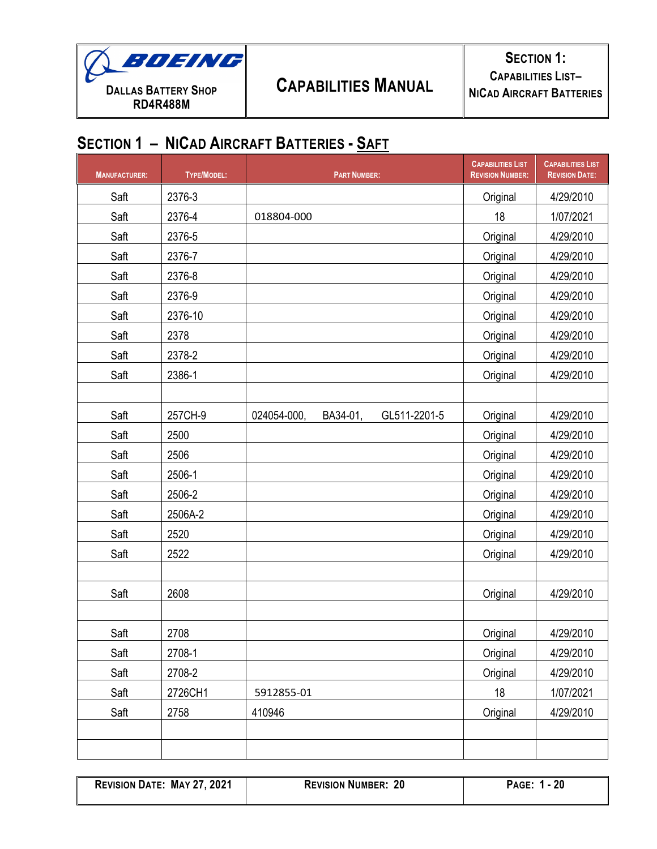

| <b>MANUFACTURER:</b> | TYPE/MODEL: | <b>PART NUMBER:</b>                     | <b>CAPABILITIES LIST</b><br><b>REVISION NUMBER:</b> | <b>CAPABILITIES LIST</b><br><b>REVISION DATE:</b> |
|----------------------|-------------|-----------------------------------------|-----------------------------------------------------|---------------------------------------------------|
| Saft                 | 2376-3      |                                         | Original                                            | 4/29/2010                                         |
| Saft                 | 2376-4      | 018804-000                              | 18                                                  | 1/07/2021                                         |
| Saft                 | 2376-5      |                                         | Original                                            | 4/29/2010                                         |
| Saft                 | 2376-7      |                                         | Original                                            | 4/29/2010                                         |
| Saft                 | 2376-8      |                                         | Original                                            | 4/29/2010                                         |
| Saft                 | 2376-9      |                                         | Original                                            | 4/29/2010                                         |
| Saft                 | 2376-10     |                                         | Original                                            | 4/29/2010                                         |
| Saft                 | 2378        |                                         | Original                                            | 4/29/2010                                         |
| Saft                 | 2378-2      |                                         | Original                                            | 4/29/2010                                         |
| Saft                 | 2386-1      |                                         | Original                                            | 4/29/2010                                         |
|                      |             |                                         |                                                     |                                                   |
| Saft                 | 257CH-9     | BA34-01,<br>024054-000,<br>GL511-2201-5 | Original                                            | 4/29/2010                                         |
| Saft                 | 2500        |                                         | Original                                            | 4/29/2010                                         |
| Saft                 | 2506        |                                         | Original                                            | 4/29/2010                                         |
| Saft                 | 2506-1      |                                         | Original                                            | 4/29/2010                                         |
| Saft                 | 2506-2      |                                         | Original                                            | 4/29/2010                                         |
| Saft                 | 2506A-2     |                                         | Original                                            | 4/29/2010                                         |
| Saft                 | 2520        |                                         | Original                                            | 4/29/2010                                         |
| Saft                 | 2522        |                                         | Original                                            | 4/29/2010                                         |
|                      |             |                                         |                                                     |                                                   |
| Saft                 | 2608        |                                         | Original                                            | 4/29/2010                                         |
|                      |             |                                         |                                                     |                                                   |
| Saft                 | 2708        |                                         | Original                                            | 4/29/2010                                         |
| Saft                 | 2708-1      |                                         | Original                                            | 4/29/2010                                         |
| Saft                 | 2708-2      |                                         | Original                                            | 4/29/2010                                         |
| Saft                 | 2726CH1     | 5912855-01                              | 18                                                  | 1/07/2021                                         |
| Saft                 | 2758        | 410946                                  | Original                                            | 4/29/2010                                         |
|                      |             |                                         |                                                     |                                                   |
|                      |             |                                         |                                                     |                                                   |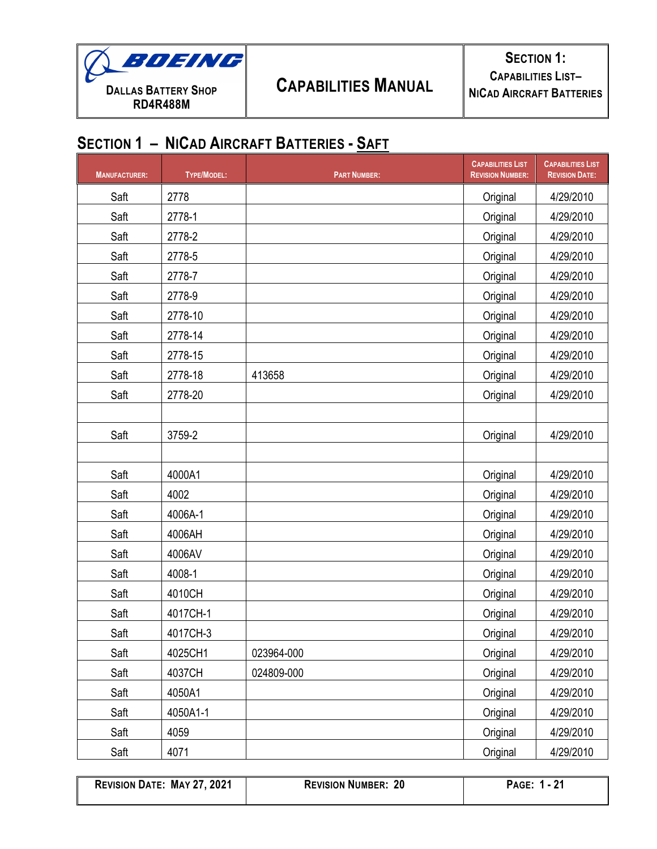

| <b>MANUFACTURER:</b> | TYPE/MODEL: | <b>PART NUMBER:</b> | <b>CAPABILITIES LIST</b><br><b>REVISION NUMBER:</b> | <b>CAPABILITIES LIST</b><br><b>REVISION DATE:</b> |
|----------------------|-------------|---------------------|-----------------------------------------------------|---------------------------------------------------|
| Saft                 | 2778        |                     | Original                                            | 4/29/2010                                         |
| Saft                 | 2778-1      |                     | Original                                            | 4/29/2010                                         |
| Saft                 | 2778-2      |                     | Original                                            | 4/29/2010                                         |
| Saft                 | 2778-5      |                     | Original                                            | 4/29/2010                                         |
| Saft                 | 2778-7      |                     | Original                                            | 4/29/2010                                         |
| Saft                 | 2778-9      |                     | Original                                            | 4/29/2010                                         |
| Saft                 | 2778-10     |                     | Original                                            | 4/29/2010                                         |
| Saft                 | 2778-14     |                     | Original                                            | 4/29/2010                                         |
| Saft                 | 2778-15     |                     | Original                                            | 4/29/2010                                         |
| Saft                 | 2778-18     | 413658              | Original                                            | 4/29/2010                                         |
| Saft                 | 2778-20     |                     | Original                                            | 4/29/2010                                         |
|                      |             |                     |                                                     |                                                   |
| Saft                 | 3759-2      |                     | Original                                            | 4/29/2010                                         |
|                      |             |                     |                                                     |                                                   |
| Saft                 | 4000A1      |                     | Original                                            | 4/29/2010                                         |
| Saft                 | 4002        |                     | Original                                            | 4/29/2010                                         |
| Saft                 | 4006A-1     |                     | Original                                            | 4/29/2010                                         |
| Saft                 | 4006AH      |                     | Original                                            | 4/29/2010                                         |
| Saft                 | 4006AV      |                     | Original                                            | 4/29/2010                                         |
| Saft                 | 4008-1      |                     | Original                                            | 4/29/2010                                         |
| Saft                 | 4010CH      |                     | Original                                            | 4/29/2010                                         |
| Saft                 | 4017CH-1    |                     | Original                                            | 4/29/2010                                         |
| Saft                 | 4017CH-3    |                     | Original                                            | 4/29/2010                                         |
| Saft                 | 4025CH1     | 023964-000          | Original                                            | 4/29/2010                                         |
| Saft                 | 4037CH      | 024809-000          | Original                                            | 4/29/2010                                         |
| Saft                 | 4050A1      |                     | Original                                            | 4/29/2010                                         |
| Saft                 | 4050A1-1    |                     | Original                                            | 4/29/2010                                         |
| Saft                 | 4059        |                     | Original                                            | 4/29/2010                                         |
| Saft                 | 4071        |                     | Original                                            | 4/29/2010                                         |

**REVISION DATE: MAY 27, 2021 REVISION NUMBER: 20 PAGE: 1 - 21**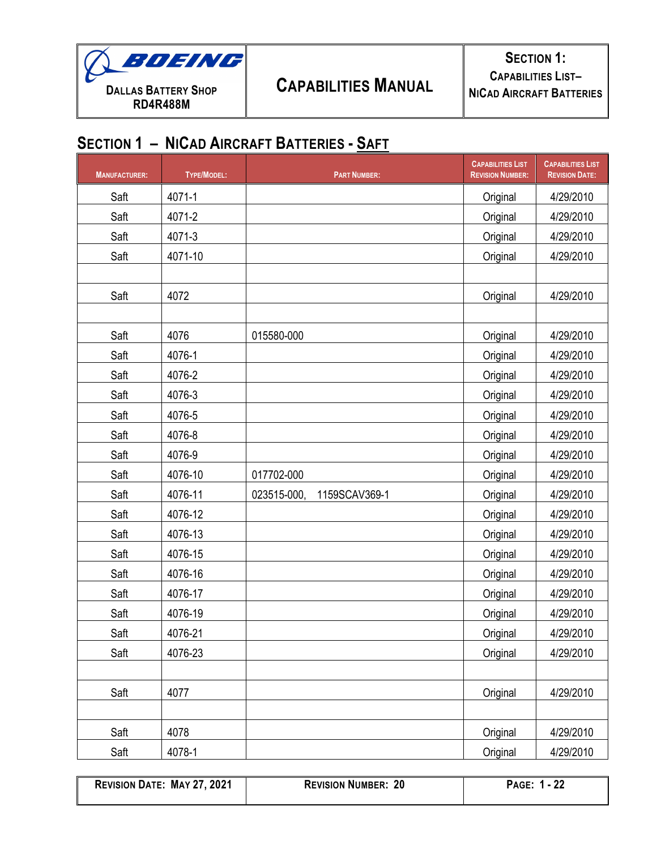

| <b>MANUFACTURER:</b> | TYPE/MODEL: | <b>PART NUMBER:</b>          | <b>CAPABILITIES LIST</b><br><b>REVISION NUMBER:</b> | <b>CAPABILITIES LIST</b><br><b>REVISION DATE:</b> |
|----------------------|-------------|------------------------------|-----------------------------------------------------|---------------------------------------------------|
| Saft                 | 4071-1      |                              | Original                                            | 4/29/2010                                         |
| Saft                 | 4071-2      |                              | Original                                            | 4/29/2010                                         |
| Saft                 | 4071-3      |                              | Original                                            | 4/29/2010                                         |
| Saft                 | 4071-10     |                              | Original                                            | 4/29/2010                                         |
|                      |             |                              |                                                     |                                                   |
| Saft                 | 4072        |                              | Original                                            | 4/29/2010                                         |
|                      |             |                              |                                                     |                                                   |
| Saft                 | 4076        | 015580-000                   | Original                                            | 4/29/2010                                         |
| Saft                 | 4076-1      |                              | Original                                            | 4/29/2010                                         |
| Saft                 | 4076-2      |                              | Original                                            | 4/29/2010                                         |
| Saft                 | 4076-3      |                              | Original                                            | 4/29/2010                                         |
| Saft                 | 4076-5      |                              | Original                                            | 4/29/2010                                         |
| Saft                 | 4076-8      |                              | Original                                            | 4/29/2010                                         |
| Saft                 | 4076-9      |                              | Original                                            | 4/29/2010                                         |
| Saft                 | 4076-10     | 017702-000                   | Original                                            | 4/29/2010                                         |
| Saft                 | 4076-11     | 023515-000,<br>1159SCAV369-1 | Original                                            | 4/29/2010                                         |
| Saft                 | 4076-12     |                              | Original                                            | 4/29/2010                                         |
| Saft                 | 4076-13     |                              | Original                                            | 4/29/2010                                         |
| Saft                 | 4076-15     |                              | Original                                            | 4/29/2010                                         |
| Saft                 | 4076-16     |                              | Original                                            | 4/29/2010                                         |
| Saft                 | 4076-17     |                              | Original                                            | 4/29/2010                                         |
| Saft                 | 4076-19     |                              | Original                                            | 4/29/2010                                         |
| Saft                 | 4076-21     |                              | Original                                            | 4/29/2010                                         |
| Saft                 | 4076-23     |                              | Original                                            | 4/29/2010                                         |
|                      |             |                              |                                                     |                                                   |
| Saft                 | 4077        |                              | Original                                            | 4/29/2010                                         |
|                      |             |                              |                                                     |                                                   |
| Saft                 | 4078        |                              | Original                                            | 4/29/2010                                         |
| Saft                 | 4078-1      |                              | Original                                            | 4/29/2010                                         |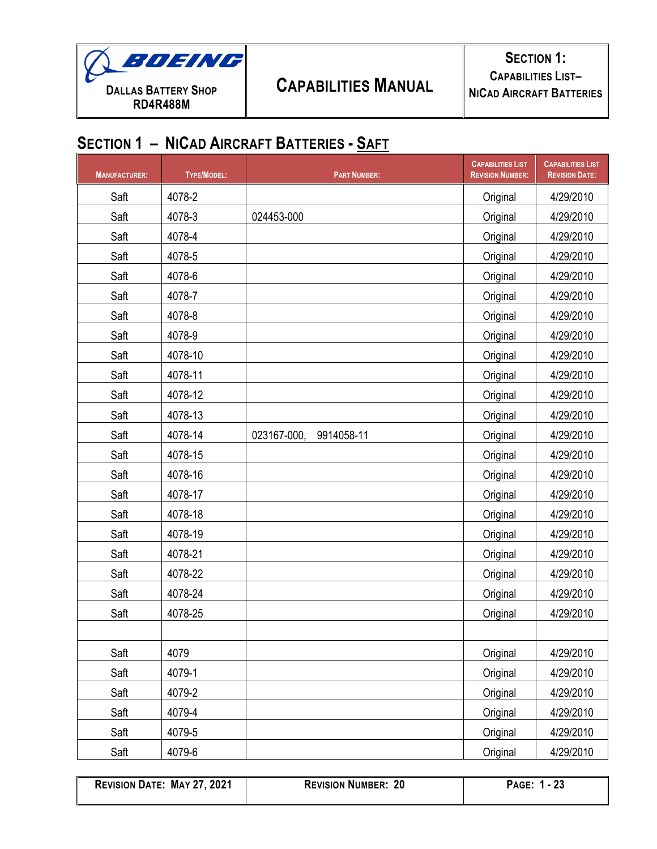

| <b>MANUFACTURER:</b> | <b>TYPE/MODEL:</b> | <b>PART NUMBER:</b>       | <b>CAPABILITIES LIST</b><br><b>REVISION NUMBER:</b> | <b>CAPABILITIES LIST</b><br><b>REVISION DATE:</b> |
|----------------------|--------------------|---------------------------|-----------------------------------------------------|---------------------------------------------------|
| Saft                 | 4078-2             |                           | Original                                            | 4/29/2010                                         |
| Saft                 | 4078-3             | 024453-000                | Original                                            | 4/29/2010                                         |
| Saft                 | 4078-4             |                           | Original                                            | 4/29/2010                                         |
| Saft                 | 4078-5             |                           | Original                                            | 4/29/2010                                         |
| Saft                 | 4078-6             |                           | Original                                            | 4/29/2010                                         |
| Saft                 | 4078-7             |                           | Original                                            | 4/29/2010                                         |
| Saft                 | 4078-8             |                           | Original                                            | 4/29/2010                                         |
| Saft                 | 4078-9             |                           | Original                                            | 4/29/2010                                         |
| Saft                 | 4078-10            |                           | Original                                            | 4/29/2010                                         |
| Saft                 | 4078-11            |                           | Original                                            | 4/29/2010                                         |
| Saft                 | 4078-12            |                           | Original                                            | 4/29/2010                                         |
| Saft                 | 4078-13            |                           | Original                                            | 4/29/2010                                         |
| Saft                 | 4078-14            | 023167-000,<br>9914058-11 | Original                                            | 4/29/2010                                         |
| Saft                 | 4078-15            |                           | Original                                            | 4/29/2010                                         |
| Saft                 | 4078-16            |                           | Original                                            | 4/29/2010                                         |
| Saft                 | 4078-17            |                           | Original                                            | 4/29/2010                                         |
| Saft                 | 4078-18            |                           | Original                                            | 4/29/2010                                         |
| Saft                 | 4078-19            |                           | Original                                            | 4/29/2010                                         |
| Saft                 | 4078-21            |                           | Original                                            | 4/29/2010                                         |
| Saft                 | 4078-22            |                           | Original                                            | 4/29/2010                                         |
| Saft                 | 4078-24            |                           | Original                                            | 4/29/2010                                         |
| Saft                 | 4078-25            |                           | Original                                            | 4/29/2010                                         |
|                      |                    |                           |                                                     |                                                   |
| Saft                 | 4079               |                           | Original                                            | 4/29/2010                                         |
| Saft                 | 4079-1             |                           | Original                                            | 4/29/2010                                         |
| Saft                 | 4079-2             |                           | Original                                            | 4/29/2010                                         |
| Saft                 | 4079-4             |                           | Original                                            | 4/29/2010                                         |
| Saft                 | 4079-5             |                           | Original                                            | 4/29/2010                                         |
| Saft                 | 4079-6             |                           | Original                                            | 4/29/2010                                         |

| <b>REVISION DATE: MAY 27, 202</b> |  |  |  |
|-----------------------------------|--|--|--|
|-----------------------------------|--|--|--|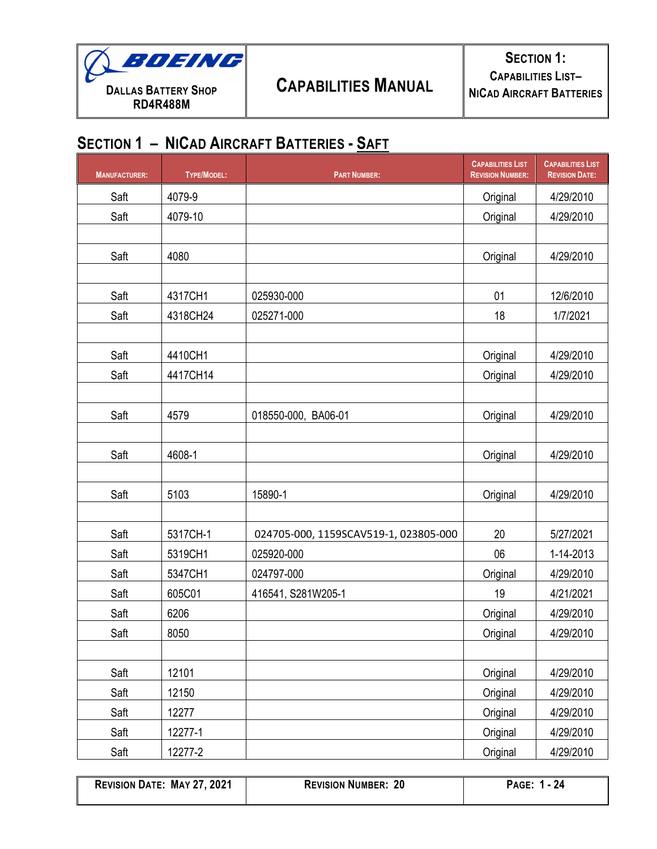

| <b>MANUFACTURER:</b> | TYPE/MODEL: | <b>PART NUMBER:</b>                   | <b>CAPABILITIES LIST</b><br><b>REVISION NUMBER:</b> | <b>CAPABILITIES LIST</b><br><b>REVISION DATE:</b> |
|----------------------|-------------|---------------------------------------|-----------------------------------------------------|---------------------------------------------------|
| Saft                 | 4079-9      |                                       | Original                                            | 4/29/2010                                         |
| Saft                 | 4079-10     |                                       | Original                                            | 4/29/2010                                         |
|                      |             |                                       |                                                     |                                                   |
| Saft                 | 4080        |                                       | Original                                            | 4/29/2010                                         |
|                      |             |                                       |                                                     |                                                   |
| Saft                 | 4317CH1     | 025930-000                            | 01                                                  | 12/6/2010                                         |
| Saft                 | 4318CH24    | 025271-000                            | 18                                                  | 1/7/2021                                          |
|                      |             |                                       |                                                     |                                                   |
| Saft                 | 4410CH1     |                                       | Original                                            | 4/29/2010                                         |
| Saft                 | 4417CH14    |                                       | Original                                            | 4/29/2010                                         |
|                      |             |                                       |                                                     |                                                   |
| Saft                 | 4579        | 018550-000, BA06-01                   | Original                                            | 4/29/2010                                         |
|                      |             |                                       |                                                     |                                                   |
| Saft                 | 4608-1      |                                       | Original                                            | 4/29/2010                                         |
|                      |             |                                       |                                                     |                                                   |
| Saft                 | 5103        | 15890-1                               | Original                                            | 4/29/2010                                         |
|                      |             |                                       |                                                     |                                                   |
| Saft                 | 5317CH-1    | 024705-000, 1159SCAV519-1, 023805-000 | 20                                                  | 5/27/2021                                         |
| Saft                 | 5319CH1     | 025920-000                            | 06                                                  | 1-14-2013                                         |
| Saft                 | 5347CH1     | 024797-000                            | Original                                            | 4/29/2010                                         |
| Saft                 | 605C01      | 416541, S281W205-1                    | 19                                                  | 4/21/2021                                         |
| Saft                 | 6206        |                                       | Original                                            | 4/29/2010                                         |
| Saft                 | 8050        |                                       | Original                                            | 4/29/2010                                         |
|                      |             |                                       |                                                     |                                                   |
| Saft                 | 12101       |                                       | Original                                            | 4/29/2010                                         |
| Saft                 | 12150       |                                       | Original                                            | 4/29/2010                                         |
| Saft                 | 12277       |                                       | Original                                            | 4/29/2010                                         |
| Saft                 | 12277-1     |                                       | Original                                            | 4/29/2010                                         |
| Saft                 | 12277-2     |                                       | Original                                            | 4/29/2010                                         |

| <b>REVISION DATE: MAY 27, 2021</b> | <b>REVISION NUMBER: 20</b> | <b>PAGE: 1 - 24</b> |
|------------------------------------|----------------------------|---------------------|
|                                    |                            |                     |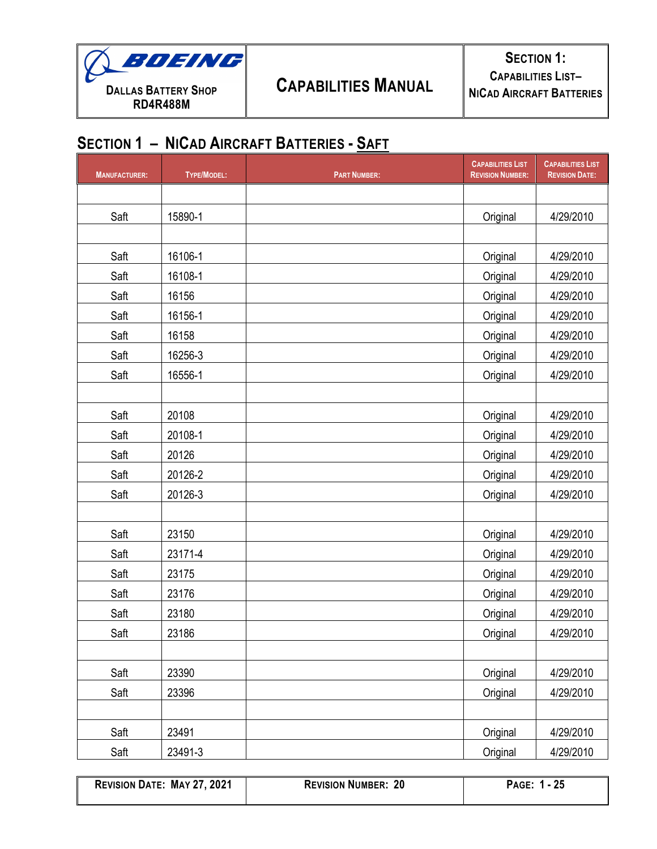

| <b>MANUFACTURER:</b> | TYPE/MODEL: | <b>PART NUMBER:</b> | <b>CAPABILITIES LIST</b><br><b>REVISION NUMBER:</b> | <b>CAPABILITIES LIST</b><br><b>REVISION DATE:</b> |
|----------------------|-------------|---------------------|-----------------------------------------------------|---------------------------------------------------|
|                      |             |                     |                                                     |                                                   |
| Saft                 | 15890-1     |                     | Original                                            | 4/29/2010                                         |
|                      |             |                     |                                                     |                                                   |
| Saft                 | 16106-1     |                     | Original                                            | 4/29/2010                                         |
| Saft                 | 16108-1     |                     | Original                                            | 4/29/2010                                         |
| Saft                 | 16156       |                     | Original                                            | 4/29/2010                                         |
| Saft                 | 16156-1     |                     | Original                                            | 4/29/2010                                         |
| Saft                 | 16158       |                     | Original                                            | 4/29/2010                                         |
| Saft                 | 16256-3     |                     | Original                                            | 4/29/2010                                         |
| Saft                 | 16556-1     |                     | Original                                            | 4/29/2010                                         |
|                      |             |                     |                                                     |                                                   |
| Saft                 | 20108       |                     | Original                                            | 4/29/2010                                         |
| Saft                 | 20108-1     |                     | Original                                            | 4/29/2010                                         |
| Saft                 | 20126       |                     | Original                                            | 4/29/2010                                         |
| Saft                 | 20126-2     |                     | Original                                            | 4/29/2010                                         |
| Saft                 | 20126-3     |                     | Original                                            | 4/29/2010                                         |
|                      |             |                     |                                                     |                                                   |
| Saft                 | 23150       |                     | Original                                            | 4/29/2010                                         |
| Saft                 | 23171-4     |                     | Original                                            | 4/29/2010                                         |
| Saft                 | 23175       |                     | Original                                            | 4/29/2010                                         |
| Saft                 | 23176       |                     | Original                                            | 4/29/2010                                         |
| Saft                 | 23180       |                     | Original                                            | 4/29/2010                                         |
| Saft                 | 23186       |                     | Original                                            | 4/29/2010                                         |
|                      |             |                     |                                                     |                                                   |
| Saft                 | 23390       |                     | Original                                            | 4/29/2010                                         |
| Saft                 | 23396       |                     | Original                                            | 4/29/2010                                         |
|                      |             |                     |                                                     |                                                   |
| Saft                 | 23491       |                     | Original                                            | 4/29/2010                                         |
| Saft                 | 23491-3     |                     | Original                                            | 4/29/2010                                         |

**REVISION DATE: MAY 27, 2021 REVISION NUMBER: 20 PAGE: 1 - 25**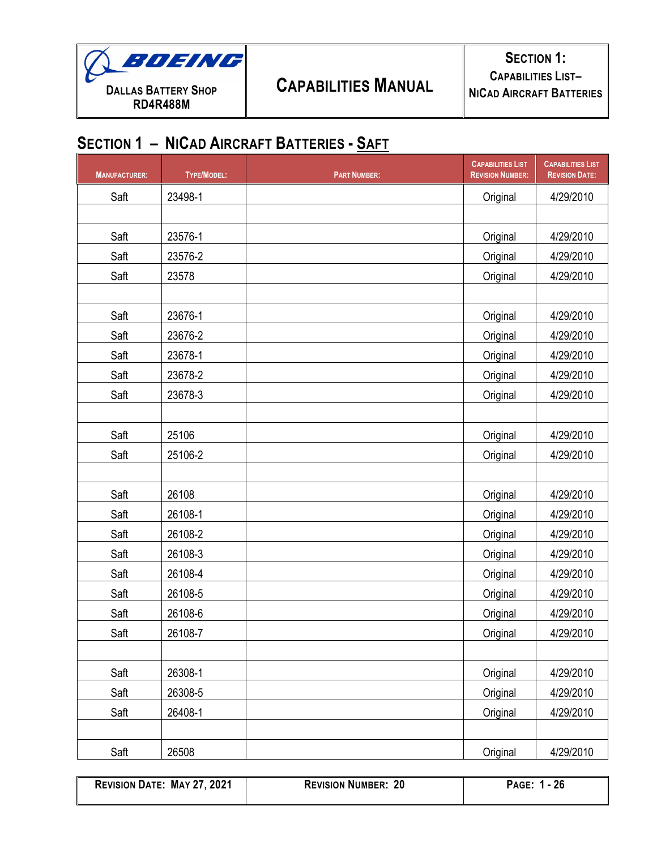

| <b>MANUFACTURER:</b> | TYPE/MODEL: | <b>PART NUMBER:</b> | <b>CAPABILITIES LIST</b><br><b>REVISION NUMBER:</b> | <b>CAPABILITIES LIST</b><br><b>REVISION DATE:</b> |
|----------------------|-------------|---------------------|-----------------------------------------------------|---------------------------------------------------|
| Saft                 | 23498-1     |                     | Original                                            | 4/29/2010                                         |
|                      |             |                     |                                                     |                                                   |
| Saft                 | 23576-1     |                     | Original                                            | 4/29/2010                                         |
| Saft                 | 23576-2     |                     | Original                                            | 4/29/2010                                         |
| Saft                 | 23578       |                     | Original                                            | 4/29/2010                                         |
|                      |             |                     |                                                     |                                                   |
| Saft                 | 23676-1     |                     | Original                                            | 4/29/2010                                         |
| Saft                 | 23676-2     |                     | Original                                            | 4/29/2010                                         |
| Saft                 | 23678-1     |                     | Original                                            | 4/29/2010                                         |
| Saft                 | 23678-2     |                     | Original                                            | 4/29/2010                                         |
| Saft                 | 23678-3     |                     | Original                                            | 4/29/2010                                         |
|                      |             |                     |                                                     |                                                   |
| Saft                 | 25106       |                     | Original                                            | 4/29/2010                                         |
| Saft                 | 25106-2     |                     | Original                                            | 4/29/2010                                         |
|                      |             |                     |                                                     |                                                   |
| Saft                 | 26108       |                     | Original                                            | 4/29/2010                                         |
| Saft                 | 26108-1     |                     | Original                                            | 4/29/2010                                         |
| Saft                 | 26108-2     |                     | Original                                            | 4/29/2010                                         |
| Saft                 | 26108-3     |                     | Original                                            | 4/29/2010                                         |
| Saft                 | 26108-4     |                     | Original                                            | 4/29/2010                                         |
| Saft                 | 26108-5     |                     | Original                                            | 4/29/2010                                         |
| Saft                 | 26108-6     |                     | Original                                            | 4/29/2010                                         |
| Saft                 | 26108-7     |                     | Original                                            | 4/29/2010                                         |
|                      |             |                     |                                                     |                                                   |
| Saft                 | 26308-1     |                     | Original                                            | 4/29/2010                                         |
| Saft                 | 26308-5     |                     | Original                                            | 4/29/2010                                         |
| Saft                 | 26408-1     |                     | Original                                            | 4/29/2010                                         |
|                      |             |                     |                                                     |                                                   |
| Saft                 | 26508       |                     | Original                                            | 4/29/2010                                         |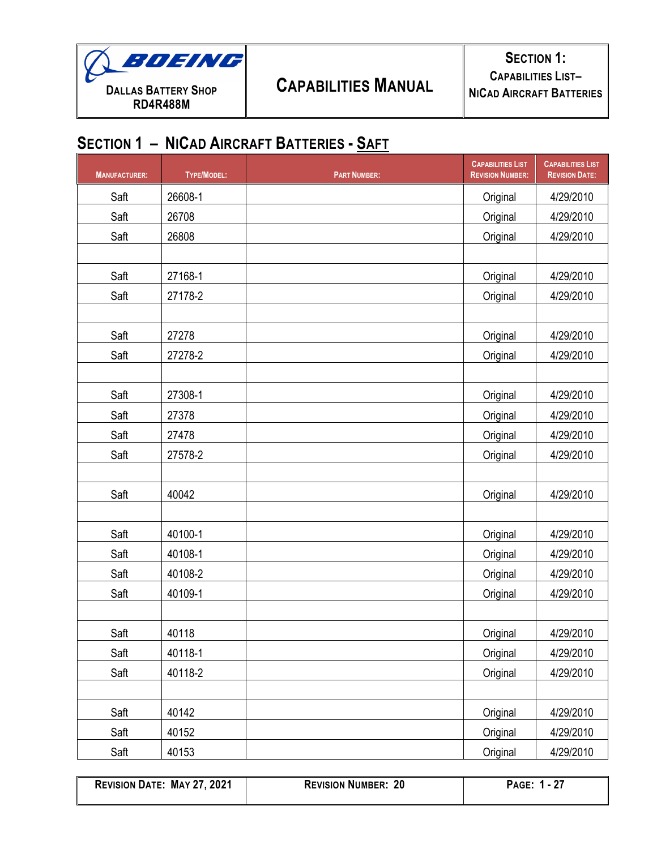

| <b>MANUFACTURER:</b> | <b>TYPE/MODEL:</b> | <b>PART NUMBER:</b> | <b>CAPABILITIES LIST</b><br><b>REVISION NUMBER:</b> | <b>CAPABILITIES LIST</b><br><b>REVISION DATE:</b> |
|----------------------|--------------------|---------------------|-----------------------------------------------------|---------------------------------------------------|
| Saft                 | 26608-1            |                     | Original                                            | 4/29/2010                                         |
| Saft                 | 26708              |                     | Original                                            | 4/29/2010                                         |
| Saft                 | 26808              |                     | Original                                            | 4/29/2010                                         |
|                      |                    |                     |                                                     |                                                   |
| Saft                 | 27168-1            |                     | Original                                            | 4/29/2010                                         |
| Saft                 | 27178-2            |                     | Original                                            | 4/29/2010                                         |
|                      |                    |                     |                                                     |                                                   |
| Saft                 | 27278              |                     | Original                                            | 4/29/2010                                         |
| Saft                 | 27278-2            |                     | Original                                            | 4/29/2010                                         |
|                      |                    |                     |                                                     |                                                   |
| Saft                 | 27308-1            |                     | Original                                            | 4/29/2010                                         |
| Saft                 | 27378              |                     | Original                                            | 4/29/2010                                         |
| Saft                 | 27478              |                     | Original                                            | 4/29/2010                                         |
| Saft                 | 27578-2            |                     | Original                                            | 4/29/2010                                         |
|                      |                    |                     |                                                     |                                                   |
| Saft                 | 40042              |                     | Original                                            | 4/29/2010                                         |
|                      |                    |                     |                                                     |                                                   |
| Saft                 | 40100-1            |                     | Original                                            | 4/29/2010                                         |
| Saft                 | 40108-1            |                     | Original                                            | 4/29/2010                                         |
| Saft                 | 40108-2            |                     | Original                                            | 4/29/2010                                         |
| Saft                 | 40109-1            |                     | Original                                            | 4/29/2010                                         |
|                      |                    |                     |                                                     |                                                   |
| Saft                 | 40118              |                     | Original                                            | 4/29/2010                                         |
| Saft                 | 40118-1            |                     | Original                                            | 4/29/2010                                         |
| Saft                 | 40118-2            |                     | Original                                            | 4/29/2010                                         |
|                      |                    |                     |                                                     |                                                   |
| Saft                 | 40142              |                     | Original                                            | 4/29/2010                                         |
| Saft                 | 40152              |                     | Original                                            | 4/29/2010                                         |
| Saft                 | 40153              |                     | Original                                            | 4/29/2010                                         |

| <b>REVISION DATE: MAY 27, 2021</b> | <b>REVISION NUMBER: 20</b> | PAGE: 1 - 27 |
|------------------------------------|----------------------------|--------------|
|                                    |                            |              |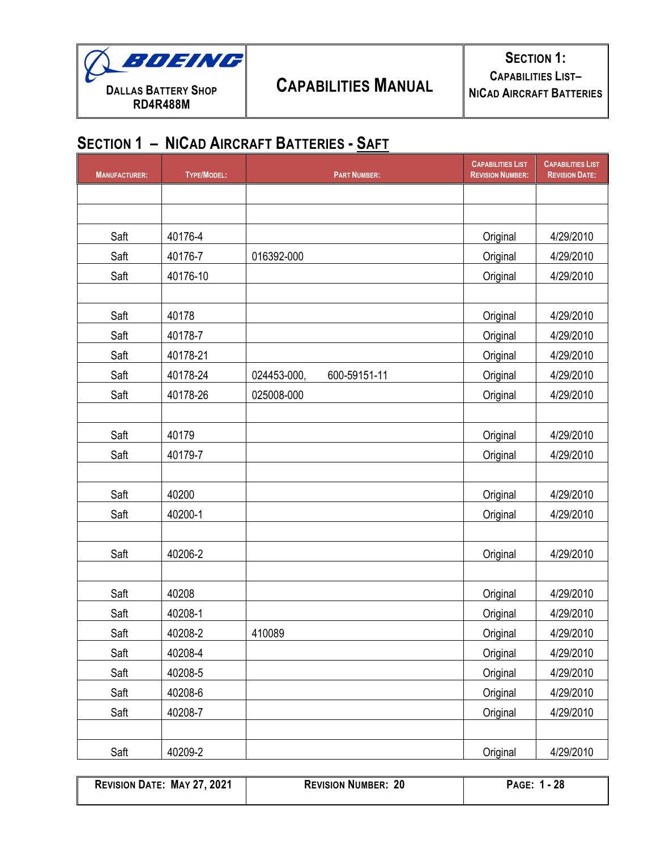

| <b>MANUFACTURER:</b> | TYPE/MODEL: | <b>PART NUMBER:</b>         | <b>CAPABILITIES LIST</b><br><b>REVISION NUMBER:</b> | <b>CAPABILITIES LIST</b><br><b>REVISION DATE:</b> |
|----------------------|-------------|-----------------------------|-----------------------------------------------------|---------------------------------------------------|
|                      |             |                             |                                                     |                                                   |
|                      |             |                             |                                                     |                                                   |
| Saft                 | 40176-4     |                             | Original                                            | 4/29/2010                                         |
| Saft                 | 40176-7     | 016392-000                  | Original                                            | 4/29/2010                                         |
| Saft                 | 40176-10    |                             | Original                                            | 4/29/2010                                         |
|                      |             |                             |                                                     |                                                   |
| Saft                 | 40178       |                             | Original                                            | 4/29/2010                                         |
| Saft                 | 40178-7     |                             | Original                                            | 4/29/2010                                         |
| Saft                 | 40178-21    |                             | Original                                            | 4/29/2010                                         |
| Saft                 | 40178-24    | 024453-000,<br>600-59151-11 | Original                                            | 4/29/2010                                         |
| Saft                 | 40178-26    | 025008-000                  | Original                                            | 4/29/2010                                         |
|                      |             |                             |                                                     |                                                   |
| Saft                 | 40179       |                             | Original                                            | 4/29/2010                                         |
| Saft                 | 40179-7     |                             | Original                                            | 4/29/2010                                         |
|                      |             |                             |                                                     |                                                   |
| Saft                 | 40200       |                             | Original                                            | 4/29/2010                                         |
| Saft                 | 40200-1     |                             | Original                                            | 4/29/2010                                         |
|                      |             |                             |                                                     |                                                   |
| Saft                 | 40206-2     |                             | Original                                            | 4/29/2010                                         |
|                      |             |                             |                                                     |                                                   |
| Saft                 | 40208       |                             | Original                                            | 4/29/2010                                         |
| Saft                 | 40208-1     |                             | Original                                            | 4/29/2010                                         |
| Saft                 | 40208-2     | 410089                      | Original                                            | 4/29/2010                                         |
| Saft                 | 40208-4     |                             | Original                                            | 4/29/2010                                         |
| Saft                 | 40208-5     |                             | Original                                            | 4/29/2010                                         |
| Saft                 | 40208-6     |                             | Original                                            | 4/29/2010                                         |
| Saft                 | 40208-7     |                             | Original                                            | 4/29/2010                                         |
|                      |             |                             |                                                     |                                                   |
| Saft                 | 40209-2     |                             | Original                                            | 4/29/2010                                         |

| <b>REVISION DATE: MAY 27, 2021</b> | <b>REVISION NUMBER: 20</b> | PAGE: 1 - 28 |
|------------------------------------|----------------------------|--------------|
|                                    |                            |              |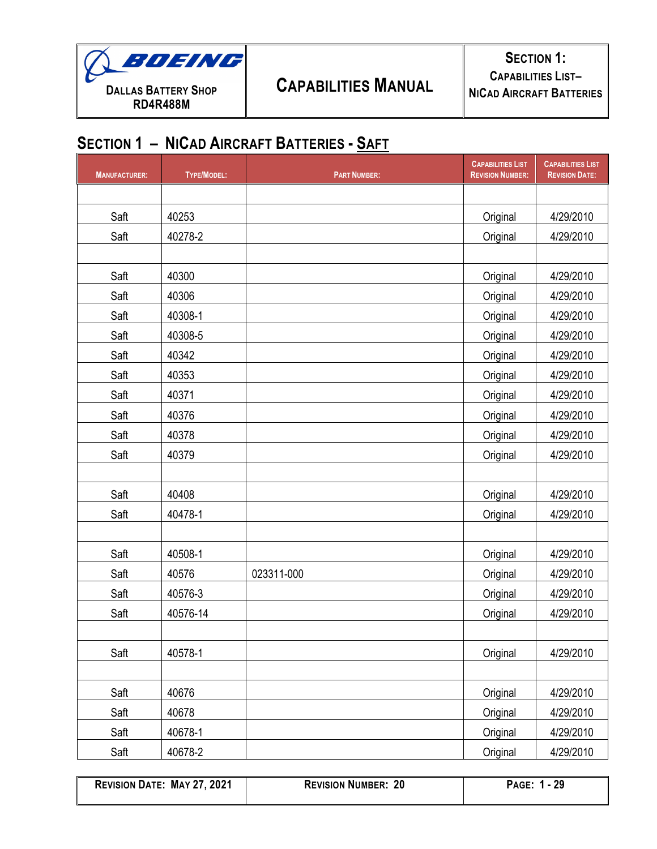

| <b>MANUFACTURER:</b> | <b>TYPE/MODEL:</b> | <b>PART NUMBER:</b> | <b>CAPABILITIES LIST</b><br><b>REVISION NUMBER:</b> | <b>CAPABILITIES LIST</b><br><b>REVISION DATE:</b> |
|----------------------|--------------------|---------------------|-----------------------------------------------------|---------------------------------------------------|
|                      |                    |                     |                                                     |                                                   |
| Saft                 | 40253              |                     | Original                                            | 4/29/2010                                         |
| Saft                 | 40278-2            |                     | Original                                            | 4/29/2010                                         |
|                      |                    |                     |                                                     |                                                   |
| Saft                 | 40300              |                     | Original                                            | 4/29/2010                                         |
| Saft                 | 40306              |                     | Original                                            | 4/29/2010                                         |
| Saft                 | 40308-1            |                     | Original                                            | 4/29/2010                                         |
| Saft                 | 40308-5            |                     | Original                                            | 4/29/2010                                         |
| Saft                 | 40342              |                     | Original                                            | 4/29/2010                                         |
| Saft                 | 40353              |                     | Original                                            | 4/29/2010                                         |
| Saft                 | 40371              |                     | Original                                            | 4/29/2010                                         |
| Saft                 | 40376              |                     | Original                                            | 4/29/2010                                         |
| Saft                 | 40378              |                     | Original                                            | 4/29/2010                                         |
| Saft                 | 40379              |                     | Original                                            | 4/29/2010                                         |
|                      |                    |                     |                                                     |                                                   |
| Saft                 | 40408              |                     | Original                                            | 4/29/2010                                         |
| Saft                 | 40478-1            |                     | Original                                            | 4/29/2010                                         |
|                      |                    |                     |                                                     |                                                   |
| Saft                 | 40508-1            |                     | Original                                            | 4/29/2010                                         |
| Saft                 | 40576              | 023311-000          | Original                                            | 4/29/2010                                         |
| Saft                 | 40576-3            |                     | Original                                            | 4/29/2010                                         |
| Saft                 | 40576-14           |                     | Original                                            | 4/29/2010                                         |
|                      |                    |                     |                                                     |                                                   |
| Saft                 | 40578-1            |                     | Original                                            | 4/29/2010                                         |
|                      |                    |                     |                                                     |                                                   |
| Saft                 | 40676              |                     | Original                                            | 4/29/2010                                         |
| Saft                 | 40678              |                     | Original                                            | 4/29/2010                                         |
| Saft                 | 40678-1            |                     | Original                                            | 4/29/2010                                         |
| Saft                 | 40678-2            |                     | Original                                            | 4/29/2010                                         |

**REVISION DATE: MAY 27, 2021 REVISION NUMBER: 20 PAGE: 1 - 29**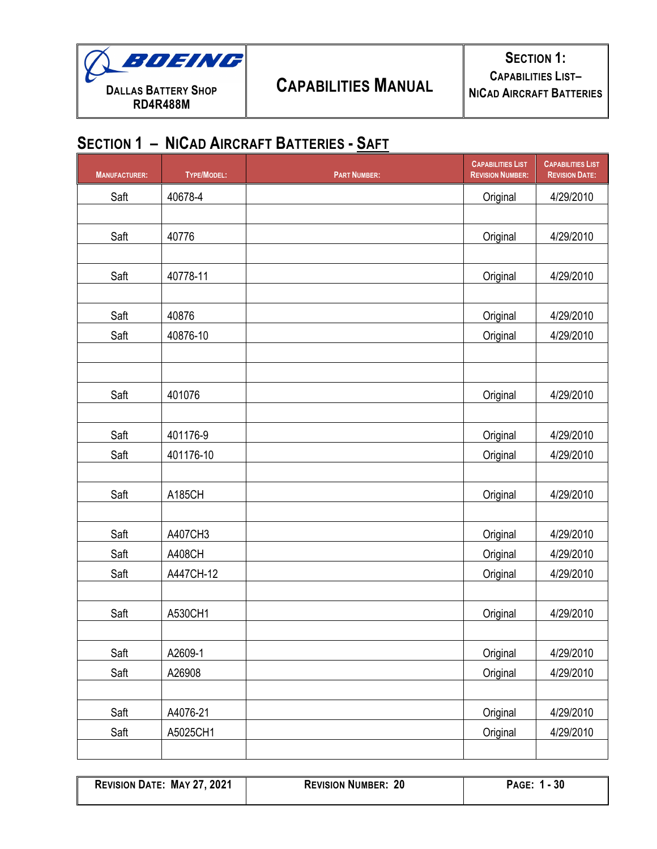

| <b>MANUFACTURER:</b> | TYPE/MODEL: | <b>PART NUMBER:</b> | <b>CAPABILITIES LIST</b><br><b>REVISION NUMBER:</b> | <b>CAPABILITIES LIST</b><br><b>REVISION DATE:</b> |
|----------------------|-------------|---------------------|-----------------------------------------------------|---------------------------------------------------|
| Saft                 | 40678-4     |                     | Original                                            | 4/29/2010                                         |
|                      |             |                     |                                                     |                                                   |
| Saft                 | 40776       |                     | Original                                            | 4/29/2010                                         |
|                      |             |                     |                                                     |                                                   |
| Saft                 | 40778-11    |                     | Original                                            | 4/29/2010                                         |
|                      |             |                     |                                                     |                                                   |
| Saft                 | 40876       |                     | Original                                            | 4/29/2010                                         |
| Saft                 | 40876-10    |                     | Original                                            | 4/29/2010                                         |
|                      |             |                     |                                                     |                                                   |
| Saft                 |             |                     |                                                     |                                                   |
|                      | 401076      |                     | Original                                            | 4/29/2010                                         |
| Saft                 | 401176-9    |                     | Original                                            | 4/29/2010                                         |
| Saft                 | 401176-10   |                     | Original                                            | 4/29/2010                                         |
|                      |             |                     |                                                     |                                                   |
| Saft                 | A185CH      |                     | Original                                            | 4/29/2010                                         |
|                      |             |                     |                                                     |                                                   |
| Saft                 | A407CH3     |                     | Original                                            | 4/29/2010                                         |
| Saft                 | A408CH      |                     | Original                                            | 4/29/2010                                         |
| Saft                 | A447CH-12   |                     | Original                                            | 4/29/2010                                         |
|                      |             |                     |                                                     |                                                   |
| Saft                 | A530CH1     |                     | Original                                            | 4/29/2010                                         |
|                      |             |                     |                                                     |                                                   |
| Saft                 | A2609-1     |                     | Original                                            | 4/29/2010                                         |
| Saft                 | A26908      |                     | Original                                            | 4/29/2010                                         |
| Saft                 | A4076-21    |                     | Original                                            | 4/29/2010                                         |
| Saft                 | A5025CH1    |                     |                                                     | 4/29/2010                                         |
|                      |             |                     | Original                                            |                                                   |

| <b>REVISION DATE: MAY 27, 2021</b> | <b>REVISION NUMBER:</b><br>20 | 30<br>PAGE: |
|------------------------------------|-------------------------------|-------------|
|                                    |                               |             |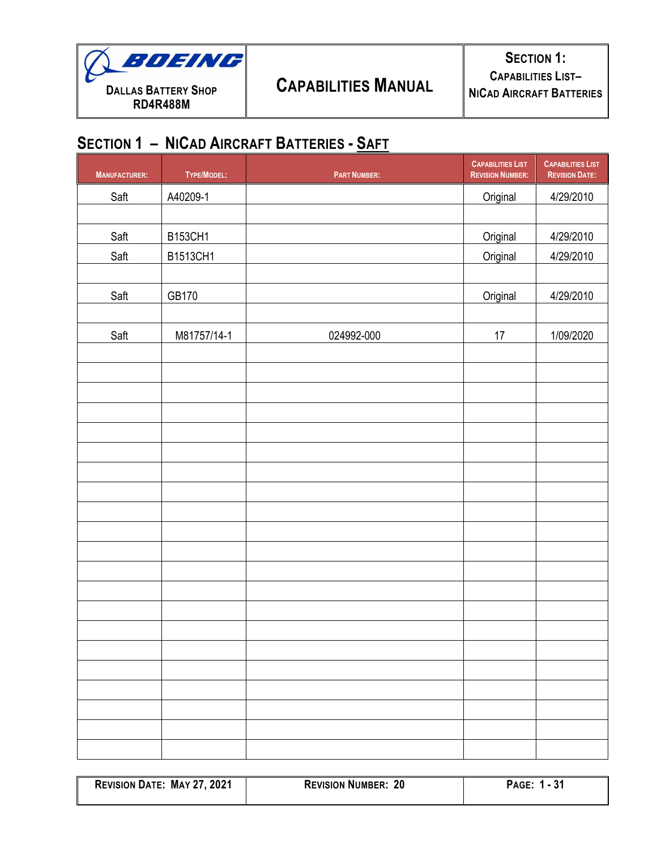

| <b>MANUFACTURER:</b> | TYPE/MODEL: | <b>PART NUMBER:</b> | <b>CAPABILITIES LIST</b><br><b>REVISION NUMBER:</b> | <b>CAPABILITIES LIST</b><br><b>REVISION DATE:</b> |
|----------------------|-------------|---------------------|-----------------------------------------------------|---------------------------------------------------|
| Saft                 | A40209-1    |                     | Original                                            | 4/29/2010                                         |
|                      |             |                     |                                                     |                                                   |
| Saft                 | B153CH1     |                     | Original                                            | 4/29/2010                                         |
| Saft                 | B1513CH1    |                     | Original                                            | 4/29/2010                                         |
|                      |             |                     |                                                     |                                                   |
| Saft                 | GB170       |                     | Original                                            | 4/29/2010                                         |
|                      |             |                     |                                                     |                                                   |
| Saft                 | M81757/14-1 | 024992-000          | $17\,$                                              | 1/09/2020                                         |
|                      |             |                     |                                                     |                                                   |
|                      |             |                     |                                                     |                                                   |
|                      |             |                     |                                                     |                                                   |
|                      |             |                     |                                                     |                                                   |
|                      |             |                     |                                                     |                                                   |
|                      |             |                     |                                                     |                                                   |
|                      |             |                     |                                                     |                                                   |
|                      |             |                     |                                                     |                                                   |
|                      |             |                     |                                                     |                                                   |
|                      |             |                     |                                                     |                                                   |
|                      |             |                     |                                                     |                                                   |
|                      |             |                     |                                                     |                                                   |
|                      |             |                     |                                                     |                                                   |
|                      |             |                     |                                                     |                                                   |
|                      |             |                     |                                                     |                                                   |
|                      |             |                     |                                                     |                                                   |
|                      |             |                     |                                                     |                                                   |
|                      |             |                     |                                                     |                                                   |
|                      |             |                     |                                                     |                                                   |
|                      |             |                     |                                                     |                                                   |

| <b>REVISION DATE: MAY 27, 2021</b> | <b>REVISION NUMBER: '</b><br>-20 | 24<br><b>PAGE:</b><br>$\overline{ }$<br>- 91 |
|------------------------------------|----------------------------------|----------------------------------------------|
|                                    |                                  |                                              |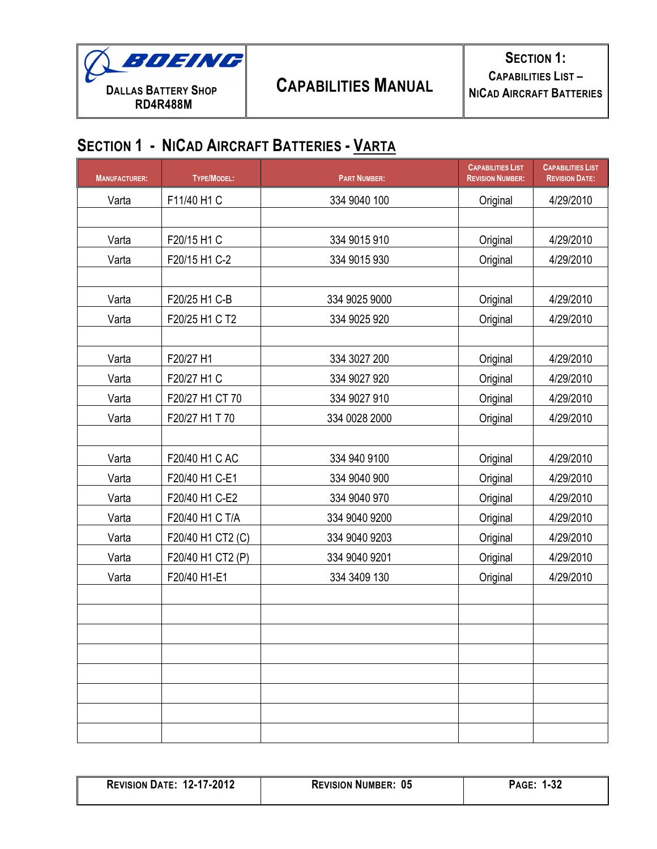

| <b>MANUFACTURER:</b> | <b>TYPE/MODEL:</b> | <b>PART NUMBER:</b> | <b>CAPABILITIES LIST</b><br><b>REVISION NUMBER:</b> | <b>CAPABILITIES LIST</b><br><b>REVISION DATE:</b> |
|----------------------|--------------------|---------------------|-----------------------------------------------------|---------------------------------------------------|
| Varta                | F11/40 H1 C        | 334 9040 100        | Original                                            | 4/29/2010                                         |
|                      |                    |                     |                                                     |                                                   |
| Varta                | F20/15 H1 C        | 334 9015 910        | Original                                            | 4/29/2010                                         |
| Varta                | F20/15 H1 C-2      | 334 9015 930        | Original                                            | 4/29/2010                                         |
|                      |                    |                     |                                                     |                                                   |
| Varta                | F20/25 H1 C-B      | 334 9025 9000       | Original                                            | 4/29/2010                                         |
| Varta                | F20/25 H1 C T2     | 334 9025 920        | Original                                            | 4/29/2010                                         |
|                      |                    |                     |                                                     |                                                   |
| Varta                | F20/27 H1          | 334 3027 200        | Original                                            | 4/29/2010                                         |
| Varta                | F20/27 H1 C        | 334 9027 920        | Original                                            | 4/29/2010                                         |
| Varta                | F20/27 H1 CT 70    | 334 9027 910        | Original                                            | 4/29/2010                                         |
| Varta                | F20/27 H1 T 70     | 334 0028 2000       | Original                                            | 4/29/2010                                         |
|                      |                    |                     |                                                     |                                                   |
| Varta                | F20/40 H1 C AC     | 334 940 9100        | Original                                            | 4/29/2010                                         |
| Varta                | F20/40 H1 C-E1     | 334 9040 900        | Original                                            | 4/29/2010                                         |
| Varta                | F20/40 H1 C-E2     | 334 9040 970        | Original                                            | 4/29/2010                                         |
| Varta                | F20/40 H1 C T/A    | 334 9040 9200       | Original                                            | 4/29/2010                                         |
| Varta                | F20/40 H1 CT2 (C)  | 334 9040 9203       | Original                                            | 4/29/2010                                         |
| Varta                | F20/40 H1 CT2 (P)  | 334 9040 9201       | Original                                            | 4/29/2010                                         |
| Varta                | F20/40 H1-E1       | 334 3409 130        | Original                                            | 4/29/2010                                         |
|                      |                    |                     |                                                     |                                                   |
|                      |                    |                     |                                                     |                                                   |
|                      |                    |                     |                                                     |                                                   |
|                      |                    |                     |                                                     |                                                   |
|                      |                    |                     |                                                     |                                                   |
|                      |                    |                     |                                                     |                                                   |
|                      |                    |                     |                                                     |                                                   |
|                      |                    |                     |                                                     |                                                   |

| <b>REVISION DATE: 12-17-2012</b> | <b>REVISION NUMBER: 05</b> | - 199<br><b>PAGE:</b><br>⊾د-י |
|----------------------------------|----------------------------|-------------------------------|
|                                  |                            |                               |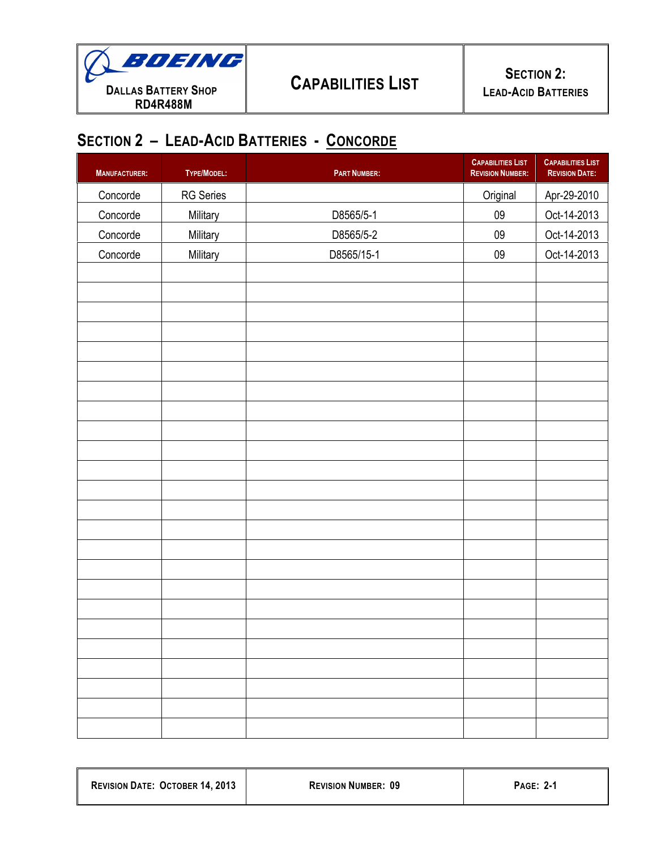

# **SECTION 2 – LEAD-ACID BATTERIES - CONCORDE**

| <b>MANUFACTURER:</b> | TYPE/MODEL:      | <b>PART NUMBER:</b> | <b>CAPABILITIES LIST</b><br><b>REVISION NUMBER:</b> | <b>CAPABILITIES LIST</b><br><b>REVISION DATE:</b> |
|----------------------|------------------|---------------------|-----------------------------------------------------|---------------------------------------------------|
| Concorde             | <b>RG</b> Series |                     | Original                                            | Apr-29-2010                                       |
| Concorde             | Military         | D8565/5-1           | $09\,$                                              | Oct-14-2013                                       |
| Concorde             | Military         | D8565/5-2           | $09\,$                                              | Oct-14-2013                                       |
| Concorde             | Military         | D8565/15-1          | $09\,$                                              | Oct-14-2013                                       |
|                      |                  |                     |                                                     |                                                   |
|                      |                  |                     |                                                     |                                                   |
|                      |                  |                     |                                                     |                                                   |
|                      |                  |                     |                                                     |                                                   |
|                      |                  |                     |                                                     |                                                   |
|                      |                  |                     |                                                     |                                                   |
|                      |                  |                     |                                                     |                                                   |
|                      |                  |                     |                                                     |                                                   |
|                      |                  |                     |                                                     |                                                   |
|                      |                  |                     |                                                     |                                                   |
|                      |                  |                     |                                                     |                                                   |
|                      |                  |                     |                                                     |                                                   |
|                      |                  |                     |                                                     |                                                   |
|                      |                  |                     |                                                     |                                                   |
|                      |                  |                     |                                                     |                                                   |
|                      |                  |                     |                                                     |                                                   |
|                      |                  |                     |                                                     |                                                   |
|                      |                  |                     |                                                     |                                                   |
|                      |                  |                     |                                                     |                                                   |
|                      |                  |                     |                                                     |                                                   |
|                      |                  |                     |                                                     |                                                   |
|                      |                  |                     |                                                     |                                                   |
|                      |                  |                     |                                                     |                                                   |
|                      |                  |                     |                                                     |                                                   |

| <b>REVISION DATE: OCTOBER 14, 2013</b> | <b>REVISION NUMBER: 09</b> | <b>PAGE: 2-1</b> |
|----------------------------------------|----------------------------|------------------|
|                                        |                            |                  |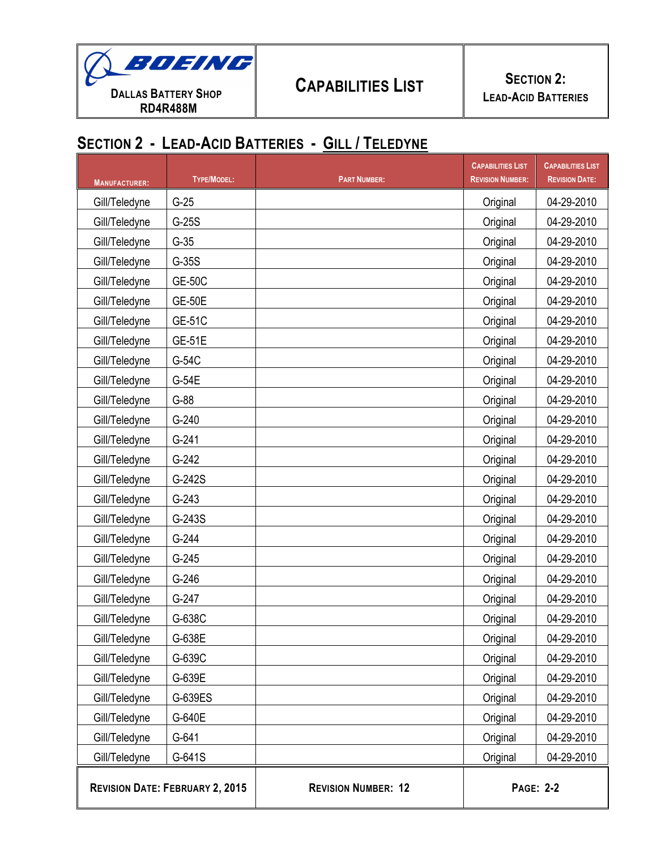

## **SECTION 2 - LEAD-ACID BATTERIES - GILL / TELEDYNE**

| <b>MANUFACTURER:</b> | <b>TYPE/MODEL:</b>                     | <b>PART NUMBER:</b>        | <b>CAPABILITIES LIST</b><br><b>REVISION NUMBER:</b> | <b>CAPABILITIES LIST</b><br><b>REVISION DATE:</b> |
|----------------------|----------------------------------------|----------------------------|-----------------------------------------------------|---------------------------------------------------|
| Gill/Teledyne        | $G-25$                                 |                            | Original                                            | 04-29-2010                                        |
| Gill/Teledyne        | $G-25S$                                |                            | Original                                            | 04-29-2010                                        |
| Gill/Teledyne        | $G-35$                                 |                            | Original                                            | 04-29-2010                                        |
| Gill/Teledyne        | $G-35S$                                |                            | Original                                            | 04-29-2010                                        |
| Gill/Teledyne        | <b>GE-50C</b>                          |                            | Original                                            | 04-29-2010                                        |
| Gill/Teledyne        | <b>GE-50E</b>                          |                            | Original                                            | 04-29-2010                                        |
| Gill/Teledyne        | <b>GE-51C</b>                          |                            | Original                                            | 04-29-2010                                        |
| Gill/Teledyne        | <b>GE-51E</b>                          |                            | Original                                            | 04-29-2010                                        |
| Gill/Teledyne        | G-54C                                  |                            | Original                                            | 04-29-2010                                        |
| Gill/Teledyne        | G-54E                                  |                            | Original                                            | 04-29-2010                                        |
| Gill/Teledyne        | $G-88$                                 |                            | Original                                            | 04-29-2010                                        |
| Gill/Teledyne        | $G-240$                                |                            | Original                                            | 04-29-2010                                        |
| Gill/Teledyne        | $G-241$                                |                            | Original                                            | 04-29-2010                                        |
| Gill/Teledyne        | $G-242$                                |                            | Original                                            | 04-29-2010                                        |
| Gill/Teledyne        | G-242S                                 |                            | Original                                            | 04-29-2010                                        |
| Gill/Teledyne        | $G-243$                                |                            | Original                                            | 04-29-2010                                        |
| Gill/Teledyne        | G-243S                                 |                            | Original                                            | 04-29-2010                                        |
| Gill/Teledyne        | $G-244$                                |                            | Original                                            | 04-29-2010                                        |
| Gill/Teledyne        | $G-245$                                |                            | Original                                            | 04-29-2010                                        |
| Gill/Teledyne        | $G-246$                                |                            | Original                                            | 04-29-2010                                        |
| Gill/Teledyne        | $G-247$                                |                            | Original                                            | 04-29-2010                                        |
| Gill/Teledyne        | G-638C                                 |                            | Original                                            | 04-29-2010                                        |
| Gill/Teledyne        | G-638E                                 |                            | Original                                            | 04-29-2010                                        |
| Gill/Teledyne        | G-639C                                 |                            | Original                                            | 04-29-2010                                        |
| Gill/Teledyne        | G-639E                                 |                            | Original                                            | 04-29-2010                                        |
| Gill/Teledyne        | G-639ES                                |                            | Original                                            | 04-29-2010                                        |
| Gill/Teledyne        | G-640E                                 |                            | Original                                            | 04-29-2010                                        |
| Gill/Teledyne        | G-641                                  |                            | Original                                            | 04-29-2010                                        |
| Gill/Teledyne        | G-641S                                 |                            | Original                                            | 04-29-2010                                        |
|                      | <b>REVISION DATE: FEBRUARY 2, 2015</b> | <b>REVISION NUMBER: 12</b> | <b>PAGE: 2-2</b>                                    |                                                   |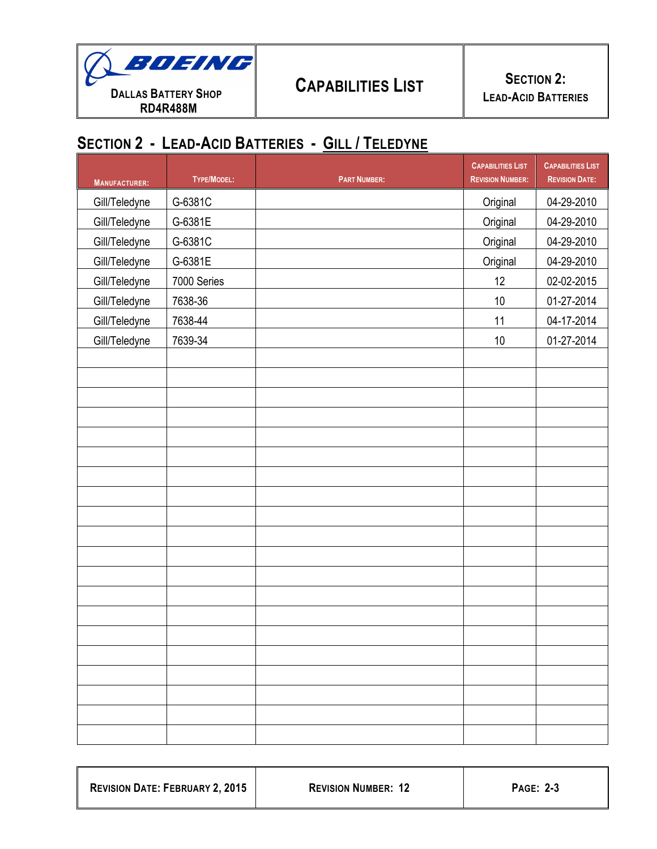

## **SECTION 2 - LEAD-ACID BATTERIES - GILL / TELEDYNE**

| 04-29-2010<br>04-29-2010<br>04-29-2010<br>04-29-2010<br>02-02-2015<br>01-27-2014<br>04-17-2014 |
|------------------------------------------------------------------------------------------------|
|                                                                                                |
|                                                                                                |
|                                                                                                |
|                                                                                                |
|                                                                                                |
|                                                                                                |
|                                                                                                |
| 01-27-2014                                                                                     |
|                                                                                                |
|                                                                                                |
|                                                                                                |
|                                                                                                |
|                                                                                                |
|                                                                                                |
|                                                                                                |
|                                                                                                |
|                                                                                                |
|                                                                                                |
|                                                                                                |
|                                                                                                |
|                                                                                                |
|                                                                                                |
|                                                                                                |
|                                                                                                |
|                                                                                                |
|                                                                                                |
|                                                                                                |
|                                                                                                |

| <b>REVISION DATE: FEBRUARY 2, 2015</b> | <b>REVISION NUMBER: 12</b> | <b>PAGE: 2-3</b> |
|----------------------------------------|----------------------------|------------------|
|                                        |                            |                  |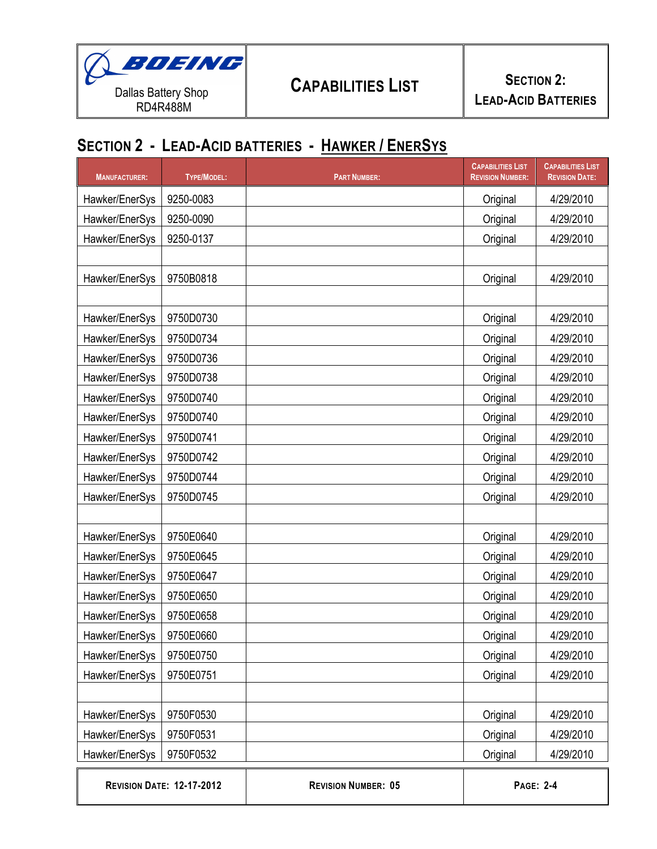

## **SECTION 2 - LEAD-ACID BATTERIES - HAWKER / ENERSYS**

| <b>MANUFACTURER:</b> | TYPE/MODEL:                      | <b>PART NUMBER:</b>        | <b>CAPABILITIES LIST</b><br><b>REVISION NUMBER:</b> | <b>CAPABILITIES LIST</b><br><b>REVISION DATE:</b> |
|----------------------|----------------------------------|----------------------------|-----------------------------------------------------|---------------------------------------------------|
| Hawker/EnerSys       | 9250-0083                        |                            | Original                                            | 4/29/2010                                         |
| Hawker/EnerSys       | 9250-0090                        |                            | Original                                            | 4/29/2010                                         |
| Hawker/EnerSys       | 9250-0137                        |                            | Original                                            | 4/29/2010                                         |
|                      |                                  |                            |                                                     |                                                   |
| Hawker/EnerSys       | 9750B0818                        |                            | Original                                            | 4/29/2010                                         |
|                      |                                  |                            |                                                     |                                                   |
| Hawker/EnerSys       | 9750D0730                        |                            | Original                                            | 4/29/2010                                         |
| Hawker/EnerSys       | 9750D0734                        |                            | Original                                            | 4/29/2010                                         |
| Hawker/EnerSys       | 9750D0736                        |                            | Original                                            | 4/29/2010                                         |
| Hawker/EnerSys       | 9750D0738                        |                            | Original                                            | 4/29/2010                                         |
| Hawker/EnerSys       | 9750D0740                        |                            | Original                                            | 4/29/2010                                         |
| Hawker/EnerSys       | 9750D0740                        |                            | Original                                            | 4/29/2010                                         |
| Hawker/EnerSys       | 9750D0741                        |                            | Original                                            | 4/29/2010                                         |
| Hawker/EnerSys       | 9750D0742                        |                            | Original                                            | 4/29/2010                                         |
| Hawker/EnerSys       | 9750D0744                        |                            | Original                                            | 4/29/2010                                         |
| Hawker/EnerSys       | 9750D0745                        |                            | Original                                            | 4/29/2010                                         |
|                      |                                  |                            |                                                     |                                                   |
| Hawker/EnerSys       | 9750E0640                        |                            | Original                                            | 4/29/2010                                         |
| Hawker/EnerSys       | 9750E0645                        |                            | Original                                            | 4/29/2010                                         |
| Hawker/EnerSys       | 9750E0647                        |                            | Original                                            | 4/29/2010                                         |
| Hawker/EnerSys       | 9750E0650                        |                            | Original                                            | 4/29/2010                                         |
| Hawker/EnerSys       | 9750E0658                        |                            | Original                                            | 4/29/2010                                         |
| Hawker/EnerSys       | 9750E0660                        |                            | Original                                            | 4/29/2010                                         |
| Hawker/EnerSys       | 9750E0750                        |                            | Original                                            | 4/29/2010                                         |
| Hawker/EnerSys       | 9750E0751                        |                            | Original                                            | 4/29/2010                                         |
|                      |                                  |                            |                                                     |                                                   |
| Hawker/EnerSys       | 9750F0530                        |                            | Original                                            | 4/29/2010                                         |
| Hawker/EnerSys       | 9750F0531                        |                            | Original                                            | 4/29/2010                                         |
| Hawker/EnerSys       | 9750F0532                        |                            | Original                                            | 4/29/2010                                         |
|                      | <b>REVISION DATE: 12-17-2012</b> | <b>REVISION NUMBER: 05</b> | <b>PAGE: 2-4</b>                                    |                                                   |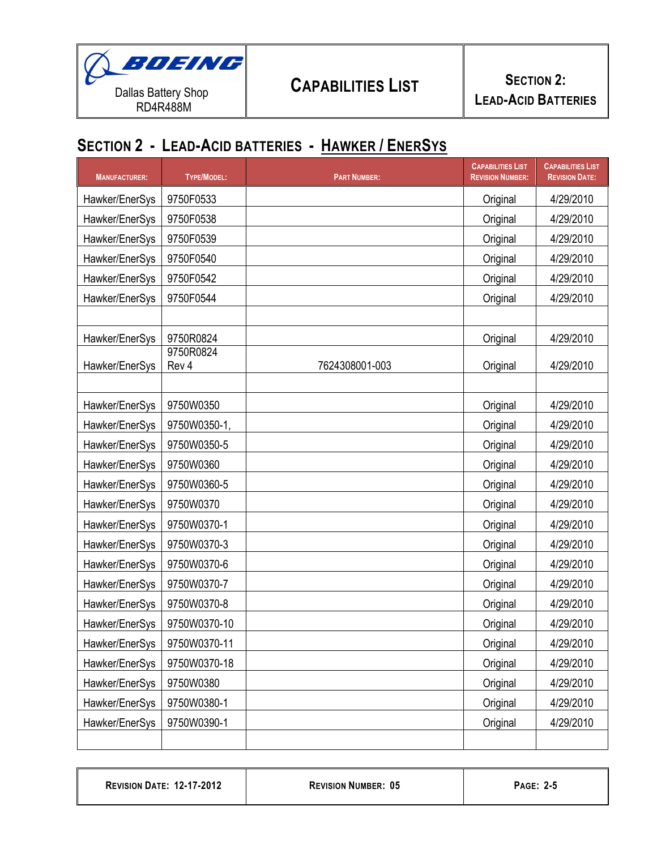

## **SECTION 2 - LEAD-ACID BATTERIES - HAWKER / ENERSYS**

| <b>MANUFACTURER:</b> | <b>TYPE/MODEL:</b> | <b>PART NUMBER:</b> | <b>CAPABILITIES LIST</b><br><b>REVISION NUMBER:</b> | <b>CAPABILITIES LIST</b><br><b>REVISION DATE:</b> |
|----------------------|--------------------|---------------------|-----------------------------------------------------|---------------------------------------------------|
| Hawker/EnerSys       | 9750F0533          |                     | Original                                            | 4/29/2010                                         |
| Hawker/EnerSys       | 9750F0538          |                     | Original                                            | 4/29/2010                                         |
| Hawker/EnerSys       | 9750F0539          |                     | Original                                            | 4/29/2010                                         |
| Hawker/EnerSys       | 9750F0540          |                     | Original                                            | 4/29/2010                                         |
| Hawker/EnerSys       | 9750F0542          |                     | Original                                            | 4/29/2010                                         |
| Hawker/EnerSys       | 9750F0544          |                     | Original                                            | 4/29/2010                                         |
|                      |                    |                     |                                                     |                                                   |
| Hawker/EnerSys       | 9750R0824          |                     | Original                                            | 4/29/2010                                         |
| Hawker/EnerSys       | 9750R0824<br>Rev 4 | 7624308001-003      | Original                                            | 4/29/2010                                         |
|                      |                    |                     |                                                     |                                                   |
| Hawker/EnerSys       | 9750W0350          |                     | Original                                            | 4/29/2010                                         |
| Hawker/EnerSys       | 9750W0350-1,       |                     | Original                                            | 4/29/2010                                         |
| Hawker/EnerSys       | 9750W0350-5        |                     | Original                                            | 4/29/2010                                         |
| Hawker/EnerSys       | 9750W0360          |                     | Original                                            | 4/29/2010                                         |
| Hawker/EnerSys       | 9750W0360-5        |                     | Original                                            | 4/29/2010                                         |
| Hawker/EnerSys       | 9750W0370          |                     | Original                                            | 4/29/2010                                         |
| Hawker/EnerSys       | 9750W0370-1        |                     | Original                                            | 4/29/2010                                         |
| Hawker/EnerSys       | 9750W0370-3        |                     | Original                                            | 4/29/2010                                         |
| Hawker/EnerSys       | 9750W0370-6        |                     | Original                                            | 4/29/2010                                         |
| Hawker/EnerSys       | 9750W0370-7        |                     | Original                                            | 4/29/2010                                         |
| Hawker/EnerSys       | 9750W0370-8        |                     | Original                                            | 4/29/2010                                         |
| Hawker/EnerSys       | 9750W0370-10       |                     | Original                                            | 4/29/2010                                         |
| Hawker/EnerSys       | 9750W0370-11       |                     | Original                                            | 4/29/2010                                         |
| Hawker/EnerSys       | 9750W0370-18       |                     | Original                                            | 4/29/2010                                         |
| Hawker/EnerSys       | 9750W0380          |                     | Original                                            | 4/29/2010                                         |
| Hawker/EnerSys       | 9750W0380-1        |                     | Original                                            | 4/29/2010                                         |
| Hawker/EnerSys       | 9750W0390-1        |                     | Original                                            | 4/29/2010                                         |
|                      |                    |                     |                                                     |                                                   |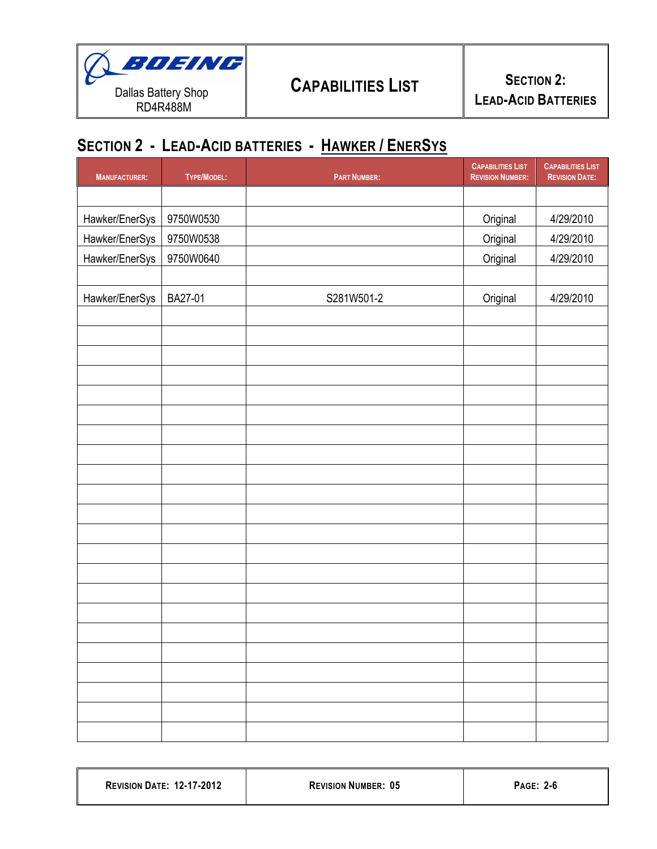

# **SECTION 2 - LEAD-ACID BATTERIES - HAWKER / ENERSYS**

| <b>MANUFACTURER:</b> | TYPE/MODEL: | <b>PART NUMBER:</b> | <b>CAPABILITIES LIST</b><br><b>REVISION NUMBER:</b> | <b>CAPABILITIES LIST</b><br><b>REVISION DATE:</b> |
|----------------------|-------------|---------------------|-----------------------------------------------------|---------------------------------------------------|
|                      |             |                     |                                                     |                                                   |
| Hawker/EnerSys       | 9750W0530   |                     | Original                                            | 4/29/2010                                         |
| Hawker/EnerSys       | 9750W0538   |                     | Original                                            | 4/29/2010                                         |
| Hawker/EnerSys       | 9750W0640   |                     | Original                                            | 4/29/2010                                         |
|                      |             |                     |                                                     |                                                   |
| Hawker/EnerSys       | BA27-01     | S281W501-2          | Original                                            | 4/29/2010                                         |
|                      |             |                     |                                                     |                                                   |
|                      |             |                     |                                                     |                                                   |
|                      |             |                     |                                                     |                                                   |
|                      |             |                     |                                                     |                                                   |
|                      |             |                     |                                                     |                                                   |
|                      |             |                     |                                                     |                                                   |
|                      |             |                     |                                                     |                                                   |
|                      |             |                     |                                                     |                                                   |
|                      |             |                     |                                                     |                                                   |
|                      |             |                     |                                                     |                                                   |
|                      |             |                     |                                                     |                                                   |
|                      |             |                     |                                                     |                                                   |
|                      |             |                     |                                                     |                                                   |
|                      |             |                     |                                                     |                                                   |
|                      |             |                     |                                                     |                                                   |
|                      |             |                     |                                                     |                                                   |
|                      |             |                     |                                                     |                                                   |
|                      |             |                     |                                                     |                                                   |
|                      |             |                     |                                                     |                                                   |
|                      |             |                     |                                                     |                                                   |
|                      |             |                     |                                                     |                                                   |
|                      |             |                     |                                                     |                                                   |

| <b>REVISION DATE: 12-17-2012</b> | <b>REVISION NUMBER: 05</b> | <b>PAGE: 2-6</b> |
|----------------------------------|----------------------------|------------------|
|                                  |                            |                  |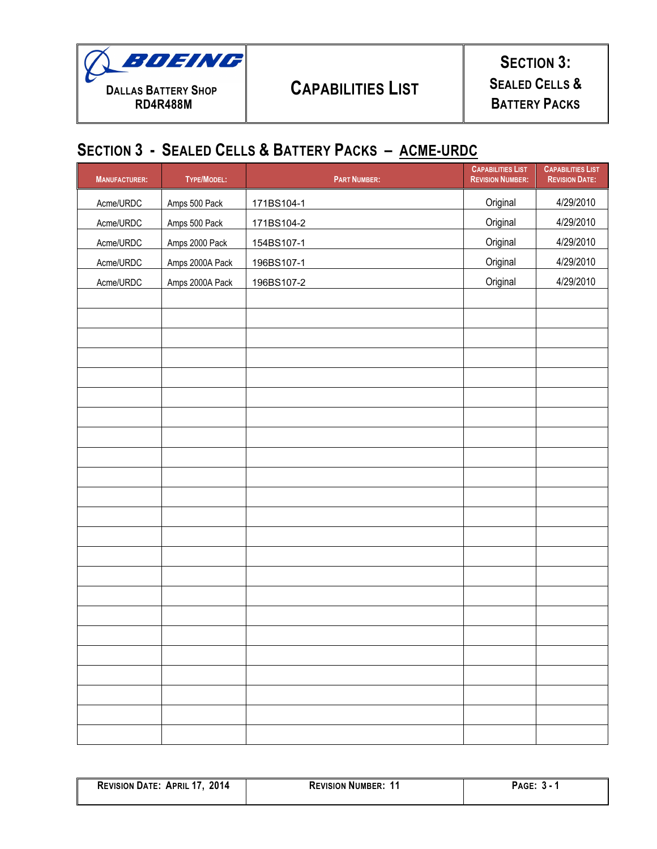

# **CAPABILITIES LIST**

### **SECTION 3: SEALED CELLS & BATTERY PACKS**

### **SECTION 3 - SEALED CELLS & BATTERY PACKS – ACME-URDC**

| <b>MANUFACTURER:</b> | TYPE/MODEL:     | <b>PART NUMBER:</b> | <b>CAPABILITIES LIST</b><br><b>REVISION NUMBER:</b> | <b>CAPABILITIES LIST</b><br><b>REVISION DATE:</b> |
|----------------------|-----------------|---------------------|-----------------------------------------------------|---------------------------------------------------|
| Acme/URDC            | Amps 500 Pack   | 171BS104-1          | Original                                            | 4/29/2010                                         |
| Acme/URDC            | Amps 500 Pack   | 171BS104-2          | Original                                            | 4/29/2010                                         |
| Acme/URDC            | Amps 2000 Pack  | 154BS107-1          | Original                                            | 4/29/2010                                         |
| Acme/URDC            | Amps 2000A Pack | 196BS107-1          | Original                                            | 4/29/2010                                         |
| Acme/URDC            | Amps 2000A Pack | 196BS107-2          | Original                                            | 4/29/2010                                         |
|                      |                 |                     |                                                     |                                                   |
|                      |                 |                     |                                                     |                                                   |
|                      |                 |                     |                                                     |                                                   |
|                      |                 |                     |                                                     |                                                   |
|                      |                 |                     |                                                     |                                                   |
|                      |                 |                     |                                                     |                                                   |
|                      |                 |                     |                                                     |                                                   |
|                      |                 |                     |                                                     |                                                   |
|                      |                 |                     |                                                     |                                                   |
|                      |                 |                     |                                                     |                                                   |
|                      |                 |                     |                                                     |                                                   |
|                      |                 |                     |                                                     |                                                   |
|                      |                 |                     |                                                     |                                                   |
|                      |                 |                     |                                                     |                                                   |
|                      |                 |                     |                                                     |                                                   |
|                      |                 |                     |                                                     |                                                   |
|                      |                 |                     |                                                     |                                                   |
|                      |                 |                     |                                                     |                                                   |
|                      |                 |                     |                                                     |                                                   |
|                      |                 |                     |                                                     |                                                   |
|                      |                 |                     |                                                     |                                                   |
|                      |                 |                     |                                                     |                                                   |
|                      |                 |                     |                                                     |                                                   |

| 2014<br><b>REVISION DATE: APRIL 17.</b> | <b>REVISION NUMBER:</b> | 'AGE'<br>- 30 |
|-----------------------------------------|-------------------------|---------------|
|                                         |                         |               |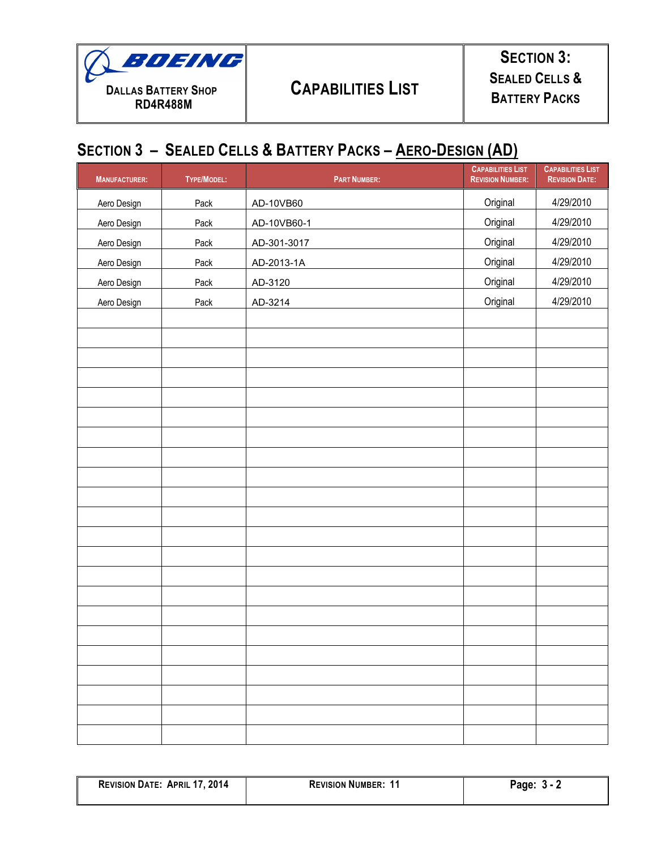

**SECTION 3: SEALED CELLS & BATTERY PACKS**

## **SECTION 3 – SEALED CELLS & BATTERY PACKS – AERO-DESIGN (AD)**

| <b>MANUFACTURER:</b> | TYPE/MODEL: | <b>PART NUMBER:</b> | <b>CAPABILITIES LIST</b><br><b>REVISION NUMBER:</b> | <b>CAPABILITIES LIST</b><br><b>REVISION DATE:</b> |
|----------------------|-------------|---------------------|-----------------------------------------------------|---------------------------------------------------|
| Aero Design          | Pack        | AD-10VB60           | Original                                            | 4/29/2010                                         |
| Aero Design          | Pack        | AD-10VB60-1         | Original                                            | 4/29/2010                                         |
| Aero Design          | Pack        | AD-301-3017         | Original                                            | 4/29/2010                                         |
| Aero Design          | Pack        | AD-2013-1A          | Original                                            | 4/29/2010                                         |
| Aero Design          | Pack        | AD-3120             | Original                                            | 4/29/2010                                         |
| Aero Design          | Pack        | AD-3214             | Original                                            | 4/29/2010                                         |
|                      |             |                     |                                                     |                                                   |
|                      |             |                     |                                                     |                                                   |
|                      |             |                     |                                                     |                                                   |
|                      |             |                     |                                                     |                                                   |
|                      |             |                     |                                                     |                                                   |
|                      |             |                     |                                                     |                                                   |
|                      |             |                     |                                                     |                                                   |
|                      |             |                     |                                                     |                                                   |
|                      |             |                     |                                                     |                                                   |
|                      |             |                     |                                                     |                                                   |
|                      |             |                     |                                                     |                                                   |
|                      |             |                     |                                                     |                                                   |
|                      |             |                     |                                                     |                                                   |
|                      |             |                     |                                                     |                                                   |
|                      |             |                     |                                                     |                                                   |
|                      |             |                     |                                                     |                                                   |
|                      |             |                     |                                                     |                                                   |
|                      |             |                     |                                                     |                                                   |
|                      |             |                     |                                                     |                                                   |
|                      |             |                     |                                                     |                                                   |
|                      |             |                     |                                                     |                                                   |
|                      |             |                     |                                                     |                                                   |

| <b>REVISION DATE: APRIL 17, 2014</b> | <b>REVISION NUMBER: 11</b> | Page: $3 - 2$ |
|--------------------------------------|----------------------------|---------------|
|                                      |                            |               |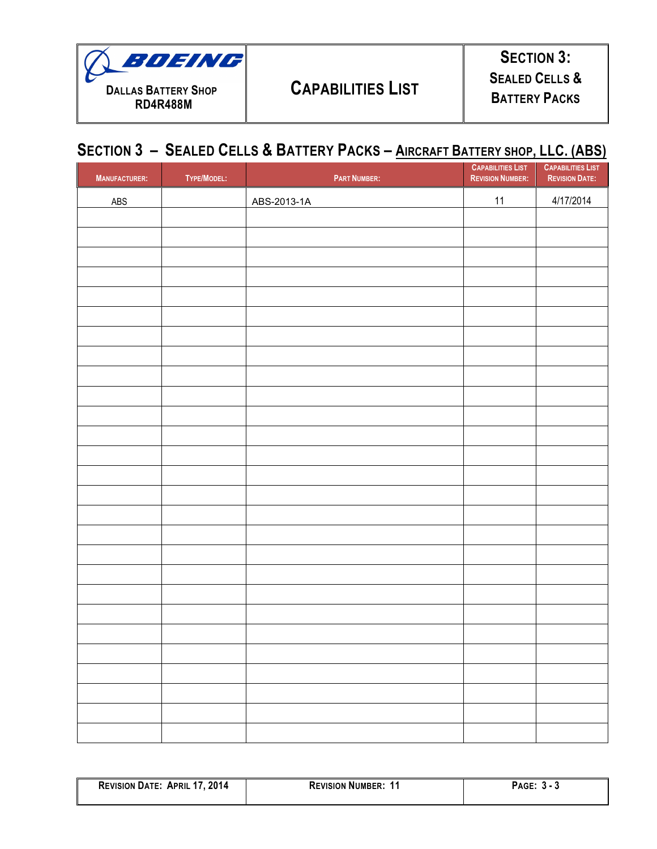

## **CAPABILITIES LIST**

## **SECTION 3 – SEALED CELLS & BATTERY PACKS – AIRCRAFT BATTERY SHOP, LLC. (ABS)**

| <b>MANUFACTURER:</b> | TYPE/MODEL: | <b>PART NUMBER:</b> | <b>CAPABILITIES LIST</b><br><b>REVISION NUMBER:</b> | <b>CAPABILITIES LIST</b><br><b>REVISION DATE:</b> |
|----------------------|-------------|---------------------|-----------------------------------------------------|---------------------------------------------------|
| ABS                  |             | ABS-2013-1A         | 11                                                  | 4/17/2014                                         |
|                      |             |                     |                                                     |                                                   |
|                      |             |                     |                                                     |                                                   |
|                      |             |                     |                                                     |                                                   |
|                      |             |                     |                                                     |                                                   |
|                      |             |                     |                                                     |                                                   |
|                      |             |                     |                                                     |                                                   |
|                      |             |                     |                                                     |                                                   |
|                      |             |                     |                                                     |                                                   |
|                      |             |                     |                                                     |                                                   |
|                      |             |                     |                                                     |                                                   |
|                      |             |                     |                                                     |                                                   |
|                      |             |                     |                                                     |                                                   |
|                      |             |                     |                                                     |                                                   |
|                      |             |                     |                                                     |                                                   |
|                      |             |                     |                                                     |                                                   |
|                      |             |                     |                                                     |                                                   |
|                      |             |                     |                                                     |                                                   |
|                      |             |                     |                                                     |                                                   |
|                      |             |                     |                                                     |                                                   |
|                      |             |                     |                                                     |                                                   |
|                      |             |                     |                                                     |                                                   |
|                      |             |                     |                                                     |                                                   |
|                      |             |                     |                                                     |                                                   |
|                      |             |                     |                                                     |                                                   |
|                      |             |                     |                                                     |                                                   |
|                      |             |                     |                                                     |                                                   |
|                      |             |                     |                                                     |                                                   |

| 2014<br><b>REVISION DATE:</b><br><b>APRIL</b> | <b>REVISION NUMBER:</b> | Page |
|-----------------------------------------------|-------------------------|------|
|                                               |                         |      |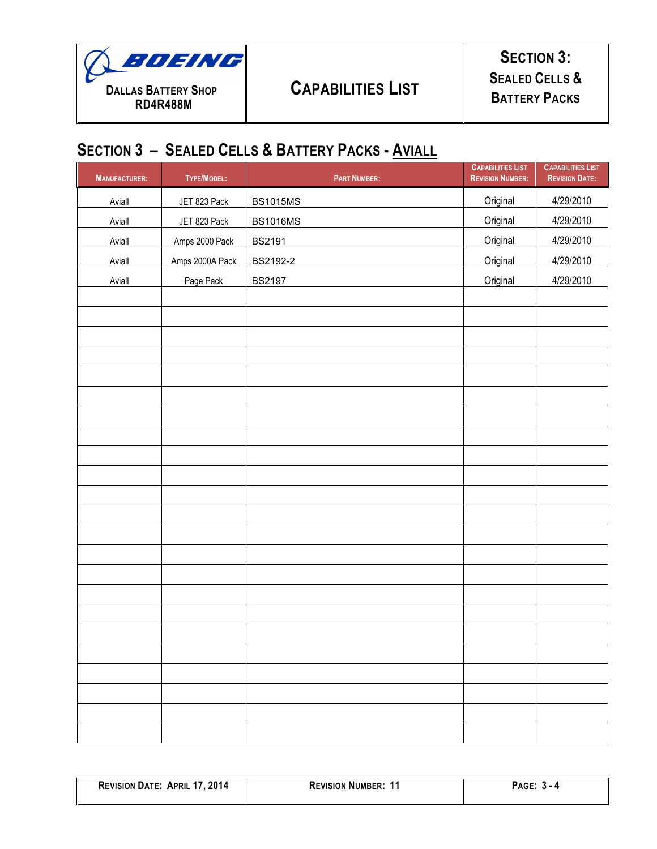

## **SECTION 3: SEALED CELLS & BATTERY PACKS**

### **SECTION 3 – SEALED CELLS & BATTERY PACKS - AVIALL**

| <b>MANUFACTURER:</b> | TYPE/MODEL:     | <b>PART NUMBER:</b> | <b>CAPABILITIES LIST</b><br><b>REVISION NUMBER:</b> | <b>CAPABILITIES LIST</b><br><b>REVISION DATE:</b> |
|----------------------|-----------------|---------------------|-----------------------------------------------------|---------------------------------------------------|
| Aviall               | JET 823 Pack    | <b>BS1015MS</b>     | Original                                            | 4/29/2010                                         |
| Aviall               | JET 823 Pack    | <b>BS1016MS</b>     | Original                                            | 4/29/2010                                         |
| Aviall               | Amps 2000 Pack  | <b>BS2191</b>       | Original                                            | 4/29/2010                                         |
| Aviall               | Amps 2000A Pack | BS2192-2            | Original                                            | 4/29/2010                                         |
| Aviall               | Page Pack       | <b>BS2197</b>       | Original                                            | 4/29/2010                                         |
|                      |                 |                     |                                                     |                                                   |
|                      |                 |                     |                                                     |                                                   |
|                      |                 |                     |                                                     |                                                   |
|                      |                 |                     |                                                     |                                                   |
|                      |                 |                     |                                                     |                                                   |
|                      |                 |                     |                                                     |                                                   |
|                      |                 |                     |                                                     |                                                   |
|                      |                 |                     |                                                     |                                                   |
|                      |                 |                     |                                                     |                                                   |
|                      |                 |                     |                                                     |                                                   |
|                      |                 |                     |                                                     |                                                   |
|                      |                 |                     |                                                     |                                                   |
|                      |                 |                     |                                                     |                                                   |
|                      |                 |                     |                                                     |                                                   |
|                      |                 |                     |                                                     |                                                   |
|                      |                 |                     |                                                     |                                                   |
|                      |                 |                     |                                                     |                                                   |
|                      |                 |                     |                                                     |                                                   |
|                      |                 |                     |                                                     |                                                   |
|                      |                 |                     |                                                     |                                                   |
|                      |                 |                     |                                                     |                                                   |
|                      |                 |                     |                                                     |                                                   |
|                      |                 |                     |                                                     |                                                   |

| 2014<br><b>REVISION DATE:</b><br><b>APRIL</b> | <b>REVISION NUMBER:</b> | <b>AGE</b><br>- 4 |
|-----------------------------------------------|-------------------------|-------------------|
|                                               |                         |                   |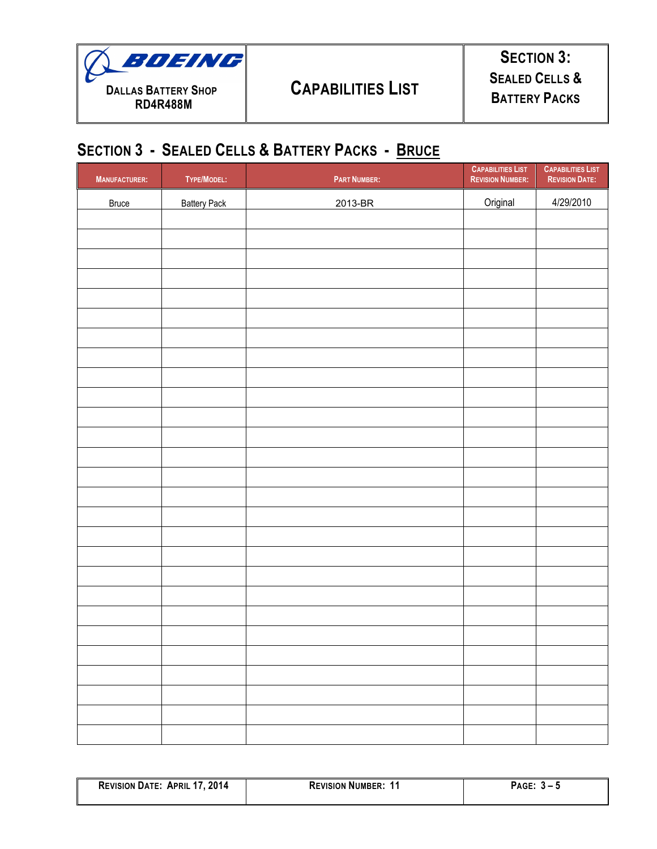

## **SECTION 3 - SEALED CELLS & BATTERY PACKS - BRUCE**

| <b>MANUFACTURER:</b> | TYPE/MODEL:         | <b>PART NUMBER:</b> | <b>CAPABILITIES LIST</b><br><b>REVISION NUMBER:</b> | <b>CAPABILITIES LIST</b><br><b>REVISION DATE:</b> |
|----------------------|---------------------|---------------------|-----------------------------------------------------|---------------------------------------------------|
| <b>Bruce</b>         | <b>Battery Pack</b> | 2013-BR             | Original                                            | 4/29/2010                                         |
|                      |                     |                     |                                                     |                                                   |
|                      |                     |                     |                                                     |                                                   |
|                      |                     |                     |                                                     |                                                   |
|                      |                     |                     |                                                     |                                                   |
|                      |                     |                     |                                                     |                                                   |
|                      |                     |                     |                                                     |                                                   |
|                      |                     |                     |                                                     |                                                   |
|                      |                     |                     |                                                     |                                                   |
|                      |                     |                     |                                                     |                                                   |
|                      |                     |                     |                                                     |                                                   |
|                      |                     |                     |                                                     |                                                   |
|                      |                     |                     |                                                     |                                                   |
|                      |                     |                     |                                                     |                                                   |
|                      |                     |                     |                                                     |                                                   |
|                      |                     |                     |                                                     |                                                   |
|                      |                     |                     |                                                     |                                                   |
|                      |                     |                     |                                                     |                                                   |
|                      |                     |                     |                                                     |                                                   |
|                      |                     |                     |                                                     |                                                   |
|                      |                     |                     |                                                     |                                                   |
|                      |                     |                     |                                                     |                                                   |
|                      |                     |                     |                                                     |                                                   |
|                      |                     |                     |                                                     |                                                   |
|                      |                     |                     |                                                     |                                                   |
|                      |                     |                     |                                                     |                                                   |

| 2014<br><b>REVISION DATE: APRIL 17,</b> | <b>REVISION NUMBER:</b> | PAGE: |
|-----------------------------------------|-------------------------|-------|
|                                         |                         |       |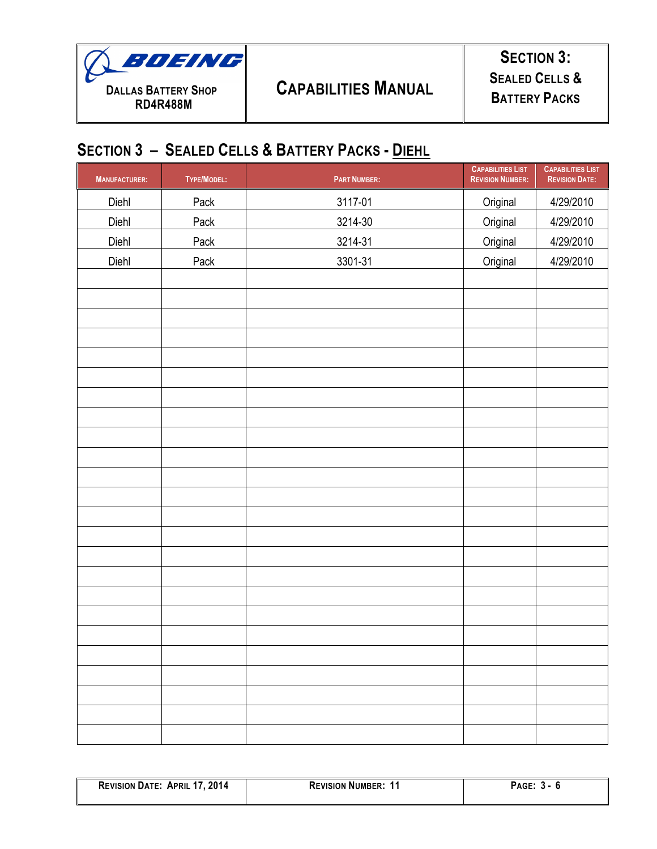

**SECTION 3: SEALED CELLS & BATTERY PACKS**

#### **SECTION 3 – SEALED CELLS & BATTERY PACKS - DIEHL**

| <b>MANUFACTURER:</b> | TYPE/MODEL: | <b>PART NUMBER:</b> | <b>CAPABILITIES LIST</b><br><b>REVISION NUMBER:</b> | <b>CAPABILITIES LIST</b><br><b>REVISION DATE:</b> |
|----------------------|-------------|---------------------|-----------------------------------------------------|---------------------------------------------------|
| Diehl                | Pack        | 3117-01             | Original                                            | 4/29/2010                                         |
| Diehl                | Pack        | 3214-30             | Original                                            | 4/29/2010                                         |
| Diehl                | Pack        | 3214-31             | Original                                            | 4/29/2010                                         |
| Diehl                | Pack        | 3301-31             | Original                                            | 4/29/2010                                         |
|                      |             |                     |                                                     |                                                   |
|                      |             |                     |                                                     |                                                   |
|                      |             |                     |                                                     |                                                   |
|                      |             |                     |                                                     |                                                   |
|                      |             |                     |                                                     |                                                   |
|                      |             |                     |                                                     |                                                   |
|                      |             |                     |                                                     |                                                   |
|                      |             |                     |                                                     |                                                   |
|                      |             |                     |                                                     |                                                   |
|                      |             |                     |                                                     |                                                   |
|                      |             |                     |                                                     |                                                   |
|                      |             |                     |                                                     |                                                   |
|                      |             |                     |                                                     |                                                   |
|                      |             |                     |                                                     |                                                   |
|                      |             |                     |                                                     |                                                   |
|                      |             |                     |                                                     |                                                   |
|                      |             |                     |                                                     |                                                   |
|                      |             |                     |                                                     |                                                   |
|                      |             |                     |                                                     |                                                   |
|                      |             |                     |                                                     |                                                   |
|                      |             |                     |                                                     |                                                   |
|                      |             |                     |                                                     |                                                   |
|                      |             |                     |                                                     |                                                   |
|                      |             |                     |                                                     |                                                   |

| '7, 2014<br><b>REVISION DATE:</b><br><b>APRIL</b> | <b>REVISION NUMBER:</b> | PAGE: |
|---------------------------------------------------|-------------------------|-------|
|                                                   |                         |       |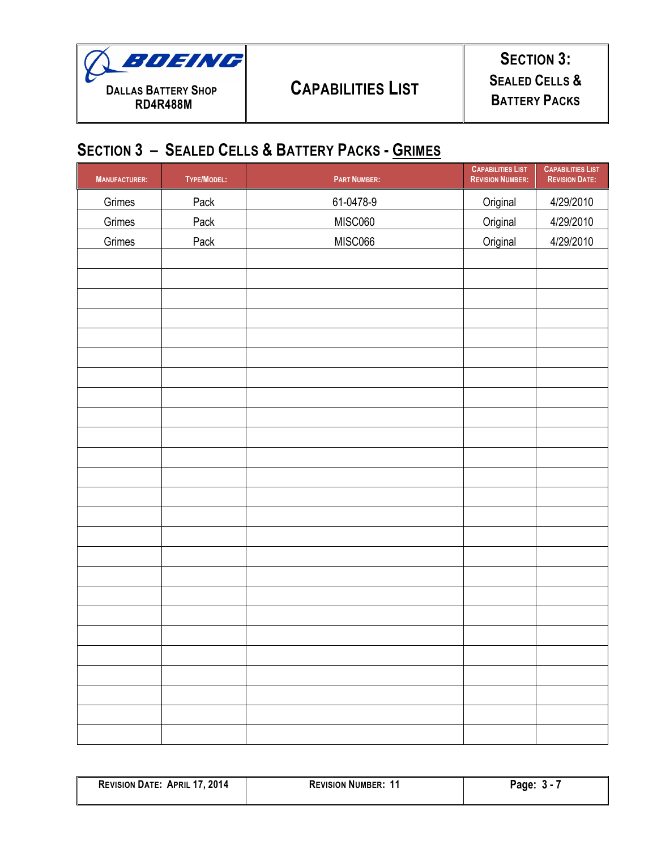

#### **SECTION 3 – SEALED CELLS & BATTERY PACKS - GRIMES**

| <b>MANUFACTURER:</b> | TYPE/MODEL: | <b>PART NUMBER:</b> | <b>CAPABILITIES LIST</b><br><b>REVISION NUMBER:</b> | <b>CAPABILITIES LIST</b><br><b>REVISION DATE:</b> |
|----------------------|-------------|---------------------|-----------------------------------------------------|---------------------------------------------------|
| Grimes               | Pack        | 61-0478-9           | Original                                            | 4/29/2010                                         |
| Grimes               | Pack        | MISC060             | Original                                            | 4/29/2010                                         |
| Grimes               | Pack        | MISC066             | Original                                            | 4/29/2010                                         |
|                      |             |                     |                                                     |                                                   |
|                      |             |                     |                                                     |                                                   |
|                      |             |                     |                                                     |                                                   |
|                      |             |                     |                                                     |                                                   |
|                      |             |                     |                                                     |                                                   |
|                      |             |                     |                                                     |                                                   |
|                      |             |                     |                                                     |                                                   |
|                      |             |                     |                                                     |                                                   |
|                      |             |                     |                                                     |                                                   |
|                      |             |                     |                                                     |                                                   |
|                      |             |                     |                                                     |                                                   |
|                      |             |                     |                                                     |                                                   |
|                      |             |                     |                                                     |                                                   |
|                      |             |                     |                                                     |                                                   |
|                      |             |                     |                                                     |                                                   |
|                      |             |                     |                                                     |                                                   |
|                      |             |                     |                                                     |                                                   |
|                      |             |                     |                                                     |                                                   |
|                      |             |                     |                                                     |                                                   |
|                      |             |                     |                                                     |                                                   |
|                      |             |                     |                                                     |                                                   |
|                      |             |                     |                                                     |                                                   |
|                      |             |                     |                                                     |                                                   |
|                      |             |                     |                                                     |                                                   |
|                      |             |                     |                                                     |                                                   |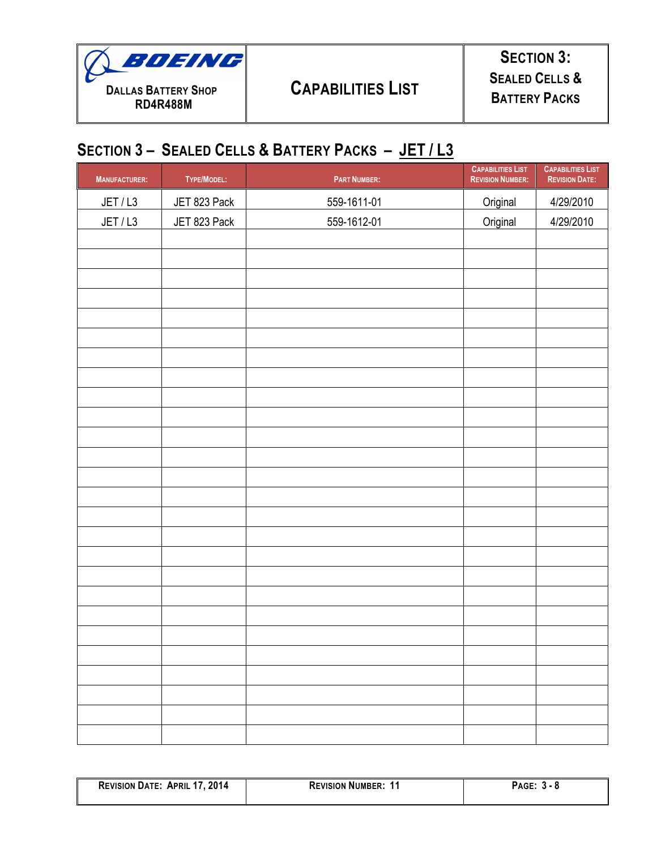

**SECTION 3: SEALED CELLS & BATTERY PACKS**

## **SECTION 3 – SEALED CELLS & BATTERY PACKS – JET / L3**

| <b>MANUFACTURER:</b> | TYPE/MODEL:  | <b>PART NUMBER:</b> | <b>CAPABILITIES LIST</b><br><b>REVISION NUMBER:</b> | <b>CAPABILITIES LIST</b><br><b>REVISION DATE:</b> |
|----------------------|--------------|---------------------|-----------------------------------------------------|---------------------------------------------------|
| JET / L3             | JET 823 Pack | 559-1611-01         | Original                                            | 4/29/2010                                         |
| JET/L3               | JET 823 Pack | 559-1612-01         | Original                                            | 4/29/2010                                         |
|                      |              |                     |                                                     |                                                   |
|                      |              |                     |                                                     |                                                   |
|                      |              |                     |                                                     |                                                   |
|                      |              |                     |                                                     |                                                   |
|                      |              |                     |                                                     |                                                   |
|                      |              |                     |                                                     |                                                   |
|                      |              |                     |                                                     |                                                   |
|                      |              |                     |                                                     |                                                   |
|                      |              |                     |                                                     |                                                   |
|                      |              |                     |                                                     |                                                   |
|                      |              |                     |                                                     |                                                   |
|                      |              |                     |                                                     |                                                   |
|                      |              |                     |                                                     |                                                   |
|                      |              |                     |                                                     |                                                   |
|                      |              |                     |                                                     |                                                   |
|                      |              |                     |                                                     |                                                   |
|                      |              |                     |                                                     |                                                   |
|                      |              |                     |                                                     |                                                   |
|                      |              |                     |                                                     |                                                   |
|                      |              |                     |                                                     |                                                   |
|                      |              |                     |                                                     |                                                   |
|                      |              |                     |                                                     |                                                   |
|                      |              |                     |                                                     |                                                   |
|                      |              |                     |                                                     |                                                   |
|                      |              |                     |                                                     |                                                   |

| 2014<br><b>REVISION DATE:</b><br><b>APRIL</b><br>$\mathbf{1}$ | <b>REVISION NUMBER:</b> | AGE.         |
|---------------------------------------------------------------|-------------------------|--------------|
|                                                               |                         | . . o<br>÷J. |
|                                                               |                         |              |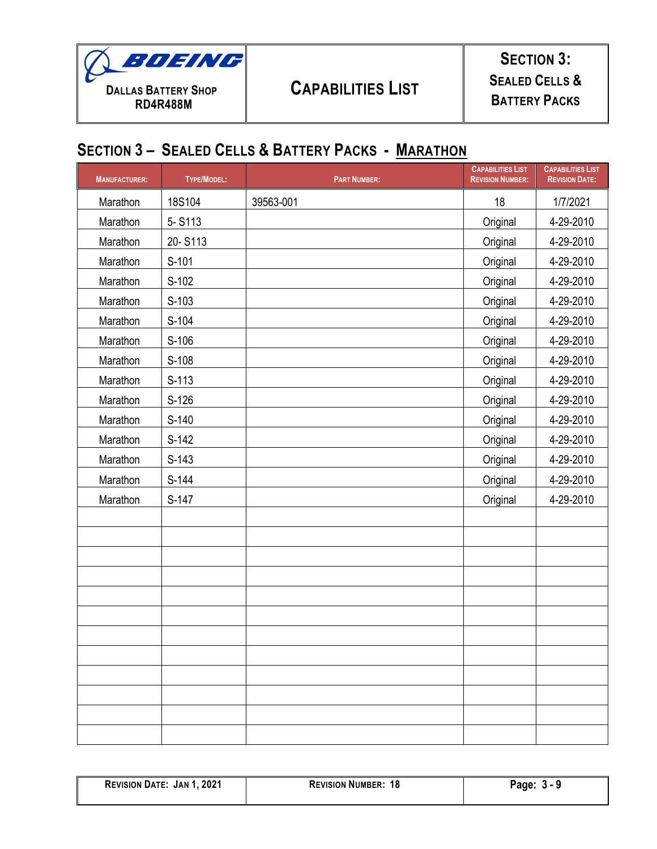

# **CAPABILITIES LIST**

## **SECTION 3: SEALED CELLS & BATTERY PACKS**

# **SECTION 3 – SEALED CELLS & BATTERY PACKS - MARATHON**

| <b>MANUFACTURER:</b> | <b>TYPE/MODEL:</b> | <b>PART NUMBER:</b> | <b>CAPABILITIES LIST</b><br><b>REVISION NUMBER:</b> | <b>CAPABILITIES LIST</b><br><b>REVISION DATE:</b> |
|----------------------|--------------------|---------------------|-----------------------------------------------------|---------------------------------------------------|
| Marathon             | 18S104             | 39563-001           | 18                                                  | 1/7/2021                                          |
| Marathon             | 5-S113             |                     | Original                                            | 4-29-2010                                         |
| Marathon             | 20-S113            |                     | Original                                            | 4-29-2010                                         |
| Marathon             | S-101              |                     | Original                                            | 4-29-2010                                         |
| Marathon             | $S-102$            |                     | Original                                            | 4-29-2010                                         |
| Marathon             | $S-103$            |                     | Original                                            | 4-29-2010                                         |
| Marathon             | S-104              |                     | Original                                            | 4-29-2010                                         |
| Marathon             | S-106              |                     | Original                                            | 4-29-2010                                         |
| Marathon             | S-108              |                     | Original                                            | 4-29-2010                                         |
| Marathon             | $S-113$            |                     | Original                                            | 4-29-2010                                         |
| Marathon             | $S-126$            |                     | Original                                            | 4-29-2010                                         |
| Marathon             | $S-140$            |                     | Original                                            | 4-29-2010                                         |
| Marathon             | S-142              |                     | Original                                            | 4-29-2010                                         |
| Marathon             | $S-143$            |                     | Original                                            | 4-29-2010                                         |
| Marathon             | S-144              |                     | Original                                            | 4-29-2010                                         |
| Marathon             | S-147              |                     | Original                                            | 4-29-2010                                         |
|                      |                    |                     |                                                     |                                                   |
|                      |                    |                     |                                                     |                                                   |
|                      |                    |                     |                                                     |                                                   |
|                      |                    |                     |                                                     |                                                   |
|                      |                    |                     |                                                     |                                                   |
|                      |                    |                     |                                                     |                                                   |
|                      |                    |                     |                                                     |                                                   |
|                      |                    |                     |                                                     |                                                   |
|                      |                    |                     |                                                     |                                                   |
|                      |                    |                     |                                                     |                                                   |
|                      |                    |                     |                                                     |                                                   |
|                      |                    |                     |                                                     |                                                   |

| <b>REVISION DATE: JAN 1, 2021</b> | <b>REVISION NUMBER: 18</b> | Page:<br>-3 - 9 |
|-----------------------------------|----------------------------|-----------------|
|                                   |                            |                 |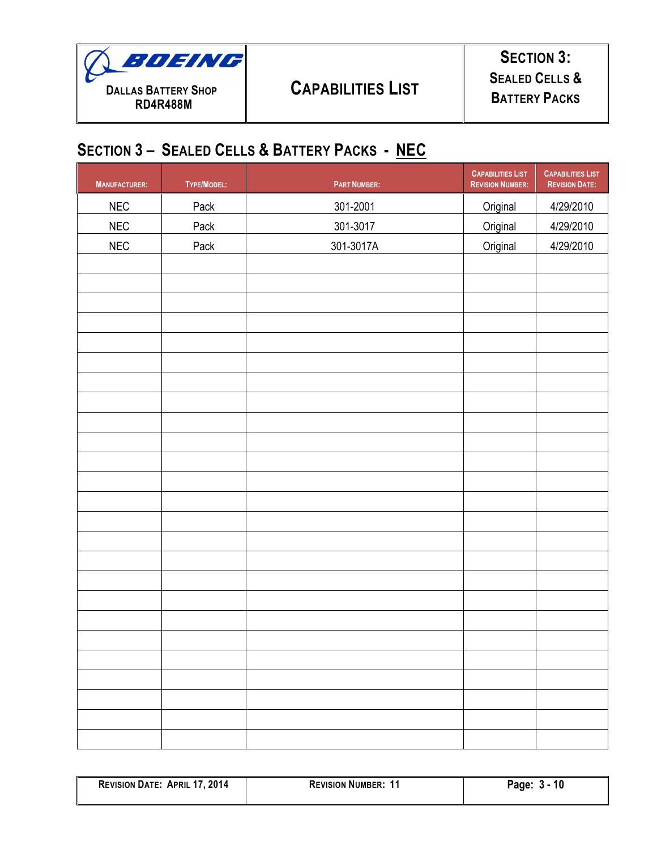

#### **SECTION 3 – SEALED CELLS & BATTERY PACKS - NEC**

| <b>MANUFACTURER:</b> | TYPE/MODEL: | <b>PART NUMBER:</b> | <b>CAPABILITIES LIST</b><br><b>REVISION NUMBER:</b> | <b>CAPABILITIES LIST</b><br><b>REVISION DATE:</b> |
|----------------------|-------------|---------------------|-----------------------------------------------------|---------------------------------------------------|
| NEC                  | Pack        | 301-2001            | Original                                            | 4/29/2010                                         |
| NEC                  | Pack        | 301-3017            | Original                                            | 4/29/2010                                         |
| NEC                  | Pack        | 301-3017A           | Original                                            | 4/29/2010                                         |
|                      |             |                     |                                                     |                                                   |
|                      |             |                     |                                                     |                                                   |
|                      |             |                     |                                                     |                                                   |
|                      |             |                     |                                                     |                                                   |
|                      |             |                     |                                                     |                                                   |
|                      |             |                     |                                                     |                                                   |
|                      |             |                     |                                                     |                                                   |
|                      |             |                     |                                                     |                                                   |
|                      |             |                     |                                                     |                                                   |
|                      |             |                     |                                                     |                                                   |
|                      |             |                     |                                                     |                                                   |
|                      |             |                     |                                                     |                                                   |
|                      |             |                     |                                                     |                                                   |
|                      |             |                     |                                                     |                                                   |
|                      |             |                     |                                                     |                                                   |
|                      |             |                     |                                                     |                                                   |
|                      |             |                     |                                                     |                                                   |
|                      |             |                     |                                                     |                                                   |
|                      |             |                     |                                                     |                                                   |
|                      |             |                     |                                                     |                                                   |
|                      |             |                     |                                                     |                                                   |
|                      |             |                     |                                                     |                                                   |
|                      |             |                     |                                                     |                                                   |
|                      |             |                     |                                                     |                                                   |
|                      |             |                     |                                                     |                                                   |

| 2014<br><b>REVISION DATE:</b><br><b>APRIL 17</b> | <b>REVISION NUMBER:</b><br>. | 10<br>Page: |
|--------------------------------------------------|------------------------------|-------------|
|                                                  |                              |             |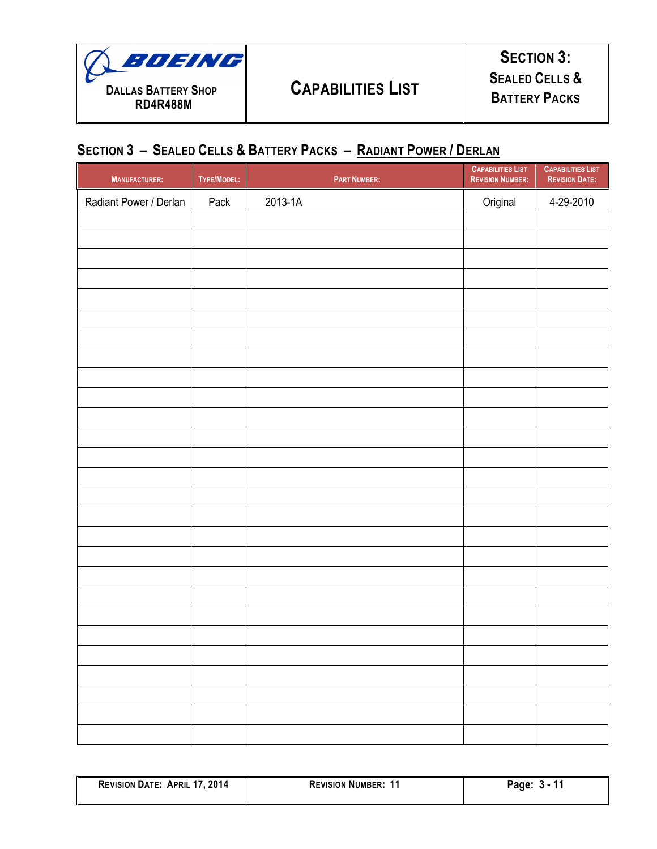

#### **SECTION 3 – SEALED CELLS & BATTERY PACKS – RADIANT POWER / DERLAN**

| <b>MANUFACTURER:</b>   | TYPE/MODEL: | <b>PART NUMBER:</b> | <b>CAPABILITIES LIST</b><br><b>REVISION NUMBER:</b> | <b>CAPABILITIES LIST</b><br><b>REVISION DATE:</b> |
|------------------------|-------------|---------------------|-----------------------------------------------------|---------------------------------------------------|
| Radiant Power / Derlan | Pack        | 2013-1A             | Original                                            | 4-29-2010                                         |
|                        |             |                     |                                                     |                                                   |
|                        |             |                     |                                                     |                                                   |
|                        |             |                     |                                                     |                                                   |
|                        |             |                     |                                                     |                                                   |
|                        |             |                     |                                                     |                                                   |
|                        |             |                     |                                                     |                                                   |
|                        |             |                     |                                                     |                                                   |
|                        |             |                     |                                                     |                                                   |
|                        |             |                     |                                                     |                                                   |
|                        |             |                     |                                                     |                                                   |
|                        |             |                     |                                                     |                                                   |
|                        |             |                     |                                                     |                                                   |
|                        |             |                     |                                                     |                                                   |
|                        |             |                     |                                                     |                                                   |
|                        |             |                     |                                                     |                                                   |
|                        |             |                     |                                                     |                                                   |
|                        |             |                     |                                                     |                                                   |
|                        |             |                     |                                                     |                                                   |
|                        |             |                     |                                                     |                                                   |
|                        |             |                     |                                                     |                                                   |
|                        |             |                     |                                                     |                                                   |
|                        |             |                     |                                                     |                                                   |
|                        |             |                     |                                                     |                                                   |
|                        |             |                     |                                                     |                                                   |
|                        |             |                     |                                                     |                                                   |
|                        |             |                     |                                                     |                                                   |
|                        |             |                     |                                                     |                                                   |

| <b>REVISION DATE: APRIL 17, 2014</b> | <b>REVISION NUMBER: 11</b> | - 44<br>Page: |
|--------------------------------------|----------------------------|---------------|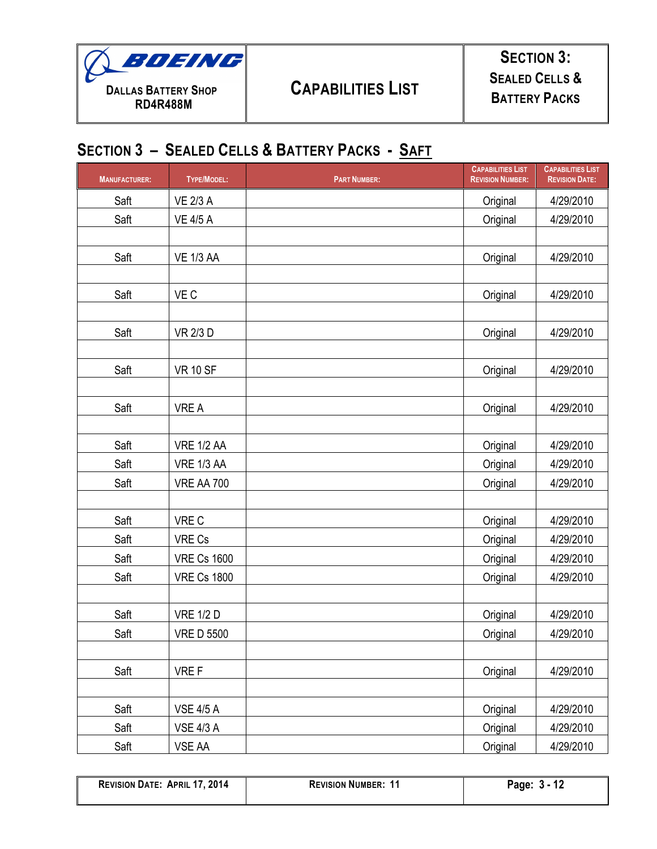

#### **SECTION 3 – SEALED CELLS & BATTERY PACKS - SAFT**

| <b>MANUFACTURER:</b> | <b>TYPE/MODEL:</b> | <b>PART NUMBER:</b> | <b>CAPABILITIES LIST</b><br><b>REVISION NUMBER:</b> | <b>CAPABILITIES LIST</b><br><b>REVISION DATE:</b> |
|----------------------|--------------------|---------------------|-----------------------------------------------------|---------------------------------------------------|
| Saft                 | <b>VE 2/3 A</b>    |                     | Original                                            | 4/29/2010                                         |
| Saft                 | <b>VE 4/5 A</b>    |                     | Original                                            | 4/29/2010                                         |
|                      |                    |                     |                                                     |                                                   |
| Saft                 | <b>VE 1/3 AA</b>   |                     | Original                                            | 4/29/2010                                         |
|                      |                    |                     |                                                     |                                                   |
| Saft                 | VE C               |                     | Original                                            | 4/29/2010                                         |
|                      |                    |                     |                                                     |                                                   |
| Saft                 | <b>VR 2/3 D</b>    |                     | Original                                            | 4/29/2010                                         |
|                      |                    |                     |                                                     |                                                   |
| Saft                 | <b>VR 10 SF</b>    |                     | Original                                            | 4/29/2010                                         |
|                      |                    |                     |                                                     |                                                   |
| Saft                 | <b>VRE A</b>       |                     | Original                                            | 4/29/2010                                         |
|                      |                    |                     |                                                     |                                                   |
| Saft                 | <b>VRE 1/2 AA</b>  |                     | Original                                            | 4/29/2010                                         |
| Saft                 | VRE 1/3 AA         |                     | Original                                            | 4/29/2010                                         |
| Saft                 | <b>VRE AA 700</b>  |                     | Original                                            | 4/29/2010                                         |
|                      |                    |                     |                                                     |                                                   |
| Saft                 | VRE C              |                     | Original                                            | 4/29/2010                                         |
| Saft                 | VRE Cs             |                     | Original                                            | 4/29/2010                                         |
| Saft                 | <b>VRE Cs 1600</b> |                     | Original                                            | 4/29/2010                                         |
| Saft                 | <b>VRE Cs 1800</b> |                     | Original                                            | 4/29/2010                                         |
|                      |                    |                     |                                                     |                                                   |
| Saft                 | <b>VRE 1/2 D</b>   |                     | Original                                            | 4/29/2010                                         |
| Saft                 | <b>VRE D 5500</b>  |                     | Original                                            | 4/29/2010                                         |
|                      |                    |                     |                                                     |                                                   |
| Saft                 | VRE F              |                     | Original                                            | 4/29/2010                                         |
|                      |                    |                     |                                                     |                                                   |
| Saft                 | <b>VSE 4/5 A</b>   |                     | Original                                            | 4/29/2010                                         |
| Saft                 | <b>VSE 4/3 A</b>   |                     | Original                                            | 4/29/2010                                         |
| Saft                 | VSE AA             |                     | Original                                            | 4/29/2010                                         |

| <b>REVISION DATE: APRIL 17, 2014</b> |  |  |  |
|--------------------------------------|--|--|--|
|--------------------------------------|--|--|--|